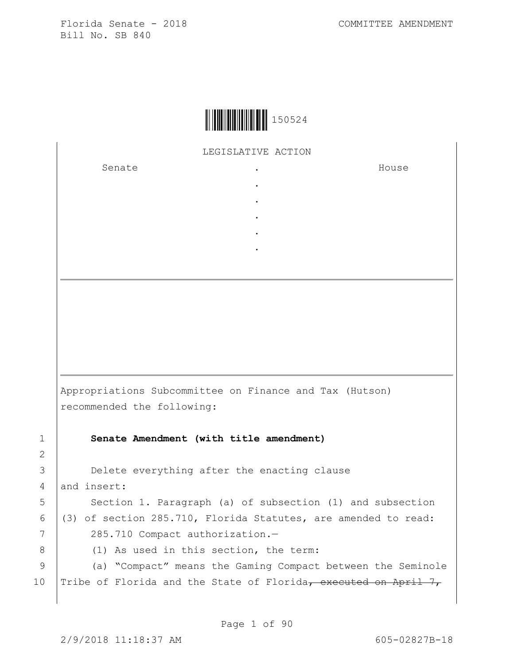| 150524 |
|--------|
|--------|

LEGISLATIVE ACTION

. . . . .

Senate the senate of the senate of the senate of  $\cdot$ 

House

Appropriations Subcommittee on Finance and Tax (Hutson) recommended the following: 1 **Senate Amendment (with title amendment)** 3 **Delete everything after the enacting clause** 4 and insert: 5 | Section 1. Paragraph (a) of subsection (1) and subsection

6 (3) of section 285.710, Florida Statutes, are amended to read: 7 285.710 Compact authorization.-

2

8 (1) As used in this section, the term:

9 (a) "Compact" means the Gaming Compact between the Seminole 10 | Tribe of Florida and the State of Florida, executed on April 7,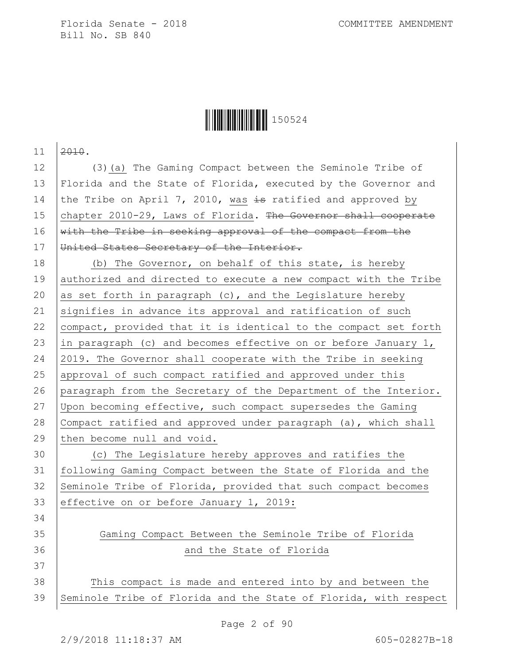

 $11 \overline{2010}$ . 12 (3)(a) The Gaming Compact between the Seminole Tribe of 13 Florida and the State of Florida, executed by the Governor and 14 the Tribe on April 7, 2010, was  $\pm$ s ratified and approved by 15 chapter 2010-29, Laws of Florida. The Governor shall cooperate 16 with the Tribe in seeking approval of the compact from the 17 | United States Secretary of the Interior. 18 (b) The Governor, on behalf of this state, is hereby 19 authorized and directed to execute a new compact with the Tribe 20 as set forth in paragraph (c), and the Legislature hereby 21 signifies in advance its approval and ratification of such 22 compact, provided that it is identical to the compact set forth 23 in paragraph (c) and becomes effective on or before January 1, 24 2019. The Governor shall cooperate with the Tribe in seeking 25 approval of such compact ratified and approved under this 26 paragraph from the Secretary of the Department of the Interior. 27 Upon becoming effective, such compact supersedes the Gaming 28 Compact ratified and approved under paragraph (a), which shall 29 then become null and void. 30 (c) The Legislature hereby approves and ratifies the 31 following Gaming Compact between the State of Florida and the 32 Seminole Tribe of Florida, provided that such compact becomes 33 effective on or before January 1, 2019: 34 35 Gaming Compact Between the Seminole Tribe of Florida 36 and the State of Florida 37 38 This compact is made and entered into by and between the 39 Seminole Tribe of Florida and the State of Florida, with respect

Page 2 of 90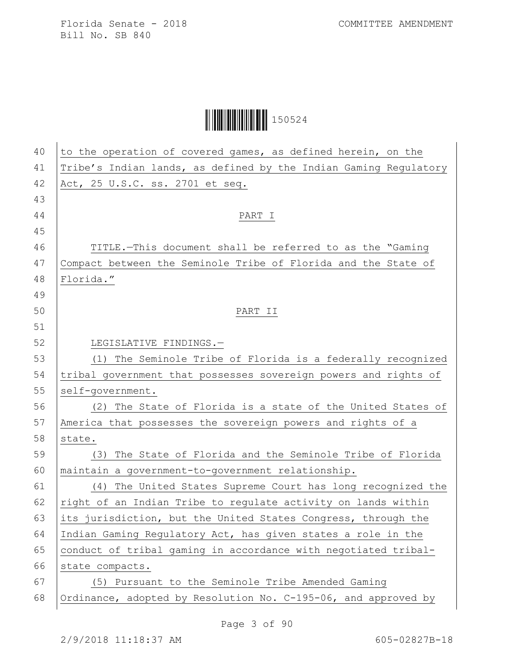| 40 | to the operation of covered games, as defined herein, on the     |
|----|------------------------------------------------------------------|
| 41 | Tribe's Indian lands, as defined by the Indian Gaming Regulatory |
| 42 | Act, 25 U.S.C. ss. 2701 et seq.                                  |
| 43 |                                                                  |
| 44 | PART I                                                           |
| 45 |                                                                  |
| 46 | TITLE.-This document shall be referred to as the "Gaming         |
| 47 | Compact between the Seminole Tribe of Florida and the State of   |
| 48 | Florida."                                                        |
| 49 |                                                                  |
| 50 | PART II                                                          |
| 51 |                                                                  |
| 52 | LEGISLATIVE FINDINGS.-                                           |
| 53 | (1) The Seminole Tribe of Florida is a federally recognized      |
| 54 | tribal government that possesses sovereign powers and rights of  |
| 55 | self-government.                                                 |
| 56 | (2) The State of Florida is a state of the United States of      |
| 57 | America that possesses the sovereign powers and rights of a      |
| 58 | state.                                                           |
| 59 | The State of Florida and the Seminole Tribe of Florida<br>(3)    |
| 60 | maintain a government-to-government relationship.                |
| 61 | The United States Supreme Court has long recognized the<br>(4)   |
| 62 | right of an Indian Tribe to regulate activity on lands within    |
| 63 | its jurisdiction, but the United States Congress, through the    |
| 64 | Indian Gaming Regulatory Act, has given states a role in the     |
| 65 | conduct of tribal gaming in accordance with negotiated tribal-   |
| 66 | state compacts.                                                  |
| 67 | (5) Pursuant to the Seminole Tribe Amended Gaming                |
| 68 | Ordinance, adopted by Resolution No. C-195-06, and approved by   |
|    |                                                                  |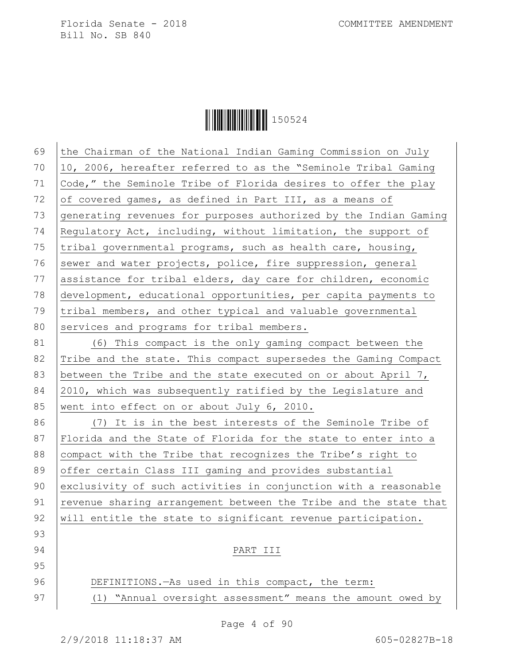**│││││││││││││││││** 150524

| 69 | the Chairman of the National Indian Gaming Commission on July    |
|----|------------------------------------------------------------------|
| 70 | 10, 2006, hereafter referred to as the "Seminole Tribal Gaming   |
| 71 | Code," the Seminole Tribe of Florida desires to offer the play   |
| 72 | of covered games, as defined in Part III, as a means of          |
| 73 | generating revenues for purposes authorized by the Indian Gaming |
| 74 | Regulatory Act, including, without limitation, the support of    |
| 75 | tribal governmental programs, such as health care, housing,      |
| 76 | sewer and water projects, police, fire suppression, general      |
| 77 | assistance for tribal elders, day care for children, economic    |
| 78 | development, educational opportunities, per capita payments to   |
| 79 | tribal members, and other typical and valuable governmental      |
| 80 | services and programs for tribal members.                        |
| 81 | (6) This compact is the only gaming compact between the          |
| 82 | Tribe and the state. This compact supersedes the Gaming Compact  |
| 83 | between the Tribe and the state executed on or about April 7,    |
| 84 | 2010, which was subsequently ratified by the Legislature and     |
| 85 | went into effect on or about July 6, 2010.                       |
| 86 | (7) It is in the best interests of the Seminole Tribe of         |
| 87 | Florida and the State of Florida for the state to enter into a   |
| 88 | compact with the Tribe that recognizes the Tribe's right to      |
| 89 | offer certain Class III gaming and provides substantial          |
| 90 | exclusivity of such activities in conjunction with a reasonable  |
| 91 | revenue sharing arrangement between the Tribe and the state that |
| 92 | will entitle the state to significant revenue participation.     |
| 93 |                                                                  |
| 94 | PART III                                                         |
| 95 |                                                                  |
| 96 | DEFINITIONS. - As used in this compact, the term:                |
| 97 | "Annual oversight assessment" means the amount owed by<br>(1)    |
|    |                                                                  |

Page 4 of 90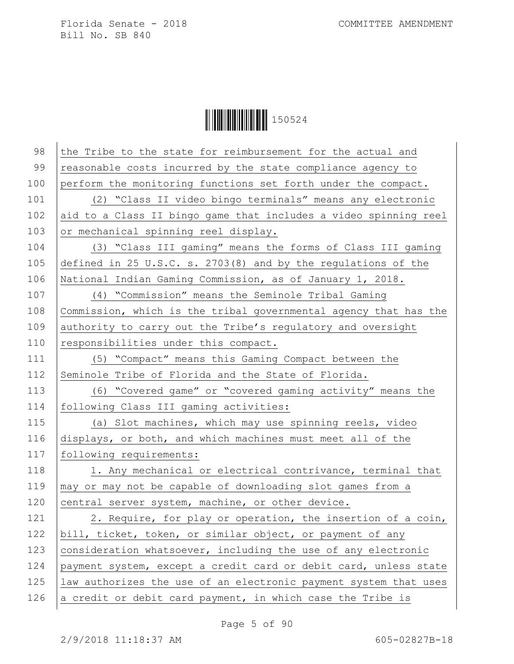| 98  | the Tribe to the state for reimbursement for the actual and      |
|-----|------------------------------------------------------------------|
| 99  | reasonable costs incurred by the state compliance agency to      |
| 100 | perform the monitoring functions set forth under the compact.    |
| 101 | (2) "Class II video bingo terminals" means any electronic        |
| 102 | aid to a Class II bingo game that includes a video spinning reel |
| 103 | or mechanical spinning reel display.                             |
| 104 | (3) "Class III gaming" means the forms of Class III gaming       |
| 105 | defined in 25 U.S.C. s. $2703(8)$ and by the regulations of the  |
| 106 | National Indian Gaming Commission, as of January 1, 2018.        |
| 107 | (4) "Commission" means the Seminole Tribal Gaming                |
| 108 | Commission, which is the tribal governmental agency that has the |
| 109 | authority to carry out the Tribe's regulatory and oversight      |
| 110 | responsibilities under this compact.                             |
| 111 | (5) "Compact" means this Gaming Compact between the              |
| 112 | Seminole Tribe of Florida and the State of Florida.              |
| 113 | (6) "Covered game" or "covered gaming activity" means the        |
| 114 | following Class III gaming activities:                           |
| 115 | (a) Slot machines, which may use spinning reels, video           |
| 116 | displays, or both, and which machines must meet all of the       |
| 117 | following requirements:                                          |
| 118 | 1. Any mechanical or electrical contrivance, terminal that       |
| 119 | may or may not be capable of downloading slot games from a       |
| 120 | central server system, machine, or other device.                 |
| 121 | 2. Require, for play or operation, the insertion of a coin,      |
| 122 | bill, ticket, token, or similar object, or payment of any        |
| 123 | consideration whatsoever, including the use of any electronic    |
| 124 | payment system, except a credit card or debit card, unless state |
| 125 | law authorizes the use of an electronic payment system that uses |
| 126 | a credit or debit card payment, in which case the Tribe is       |
|     |                                                                  |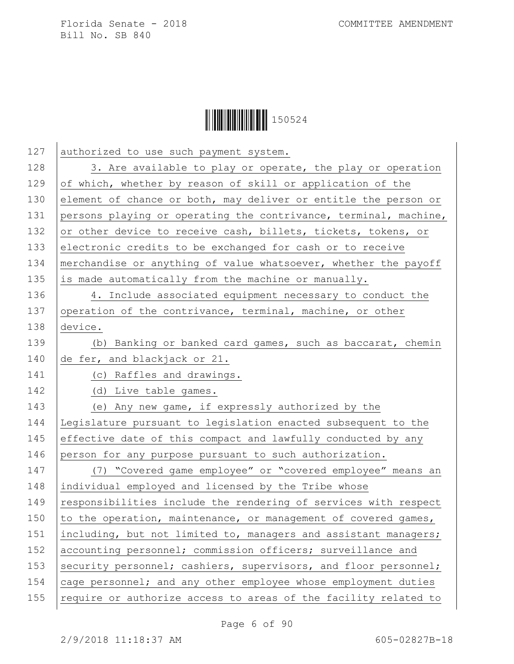

| 127 | authorized to use such payment system.                           |
|-----|------------------------------------------------------------------|
| 128 | 3. Are available to play or operate, the play or operation       |
| 129 | of which, whether by reason of skill or application of the       |
| 130 | element of chance or both, may deliver or entitle the person or  |
| 131 | persons playing or operating the contrivance, terminal, machine, |
| 132 | or other device to receive cash, billets, tickets, tokens, or    |
| 133 | electronic credits to be exchanged for cash or to receive        |
| 134 | merchandise or anything of value whatsoever, whether the payoff  |
| 135 | is made automatically from the machine or manually.              |
| 136 | 4. Include associated equipment necessary to conduct the         |
| 137 | operation of the contrivance, terminal, machine, or other        |
| 138 | device.                                                          |
| 139 | (b) Banking or banked card games, such as baccarat, chemin       |
| 140 | de fer, and blackjack or 21.                                     |
| 141 | (c) Raffles and drawings.                                        |
| 142 | (d) Live table games.                                            |
| 143 | (e) Any new game, if expressly authorized by the                 |
| 144 | Legislature pursuant to legislation enacted subsequent to the    |
| 145 | effective date of this compact and lawfully conducted by any     |
| 146 | person for any purpose pursuant to such authorization.           |
| 147 | (7) "Covered game employee" or "covered employee" means an       |
| 148 | individual employed and licensed by the Tribe whose              |
| 149 | responsibilities include the rendering of services with respect  |
| 150 | to the operation, maintenance, or management of covered games,   |
| 151 | including, but not limited to, managers and assistant managers;  |
| 152 | accounting personnel; commission officers; surveillance and      |
| 153 | security personnel; cashiers, supervisors, and floor personnel;  |
| 154 | cage personnel; and any other employee whose employment duties   |
| 155 | require or authorize access to areas of the facility related to  |
|     |                                                                  |

Page 6 of 90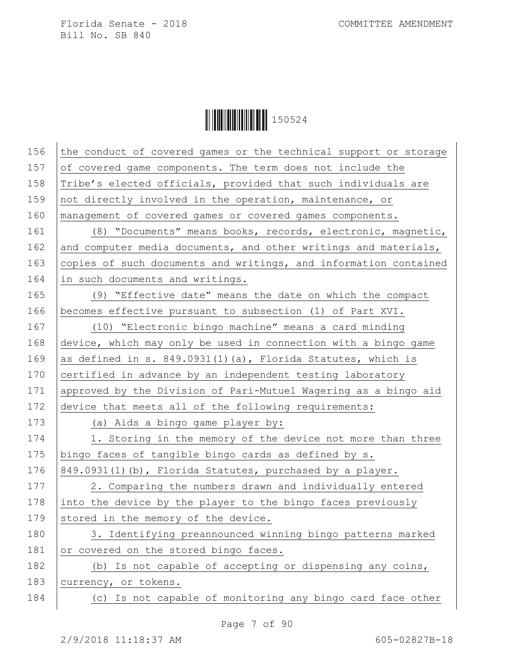| 156 | the conduct of covered games or the technical support or storage |
|-----|------------------------------------------------------------------|
| 157 | of covered game components. The term does not include the        |
| 158 | Tribe's elected officials, provided that such individuals are    |
| 159 | not directly involved in the operation, maintenance, or          |
| 160 | management of covered games or covered games components.         |
| 161 | (8) "Documents" means books, records, electronic, magnetic,      |
| 162 | and computer media documents, and other writings and materials,  |
| 163 | copies of such documents and writings, and information contained |
| 164 | in such documents and writings.                                  |
| 165 | (9) "Effective date" means the date on which the compact         |
| 166 | becomes effective pursuant to subsection (1) of Part XVI.        |
| 167 | (10) "Electronic bingo machine" means a card minding             |
| 168 | device, which may only be used in connection with a bingo game   |
| 169 | as defined in s. 849.0931(1)(a), Florida Statutes, which is      |
| 170 | certified in advance by an independent testing laboratory        |
| 171 | approved by the Division of Pari-Mutuel Wagering as a bingo aid  |
| 172 | device that meets all of the following requirements:             |
| 173 | (a) Aids a bingo game player by:                                 |
| 174 | 1. Storing in the memory of the device not more than three       |
| 175 | bingo faces of tangible bingo cards as defined by s.             |
| 176 | 849.0931(1)(b), Florida Statutes, purchased by a player.         |
| 177 | 2. Comparing the numbers drawn and individually entered          |
| 178 | into the device by the player to the bingo faces previously      |
| 179 | stored in the memory of the device.                              |
| 180 | 3. Identifying preannounced winning bingo patterns marked        |
| 181 | or covered on the stored bingo faces.                            |
| 182 | (b) Is not capable of accepting or dispensing any coins,         |
| 183 | currency, or tokens.                                             |
| 184 | (c) Is not capable of monitoring any bingo card face other       |
|     |                                                                  |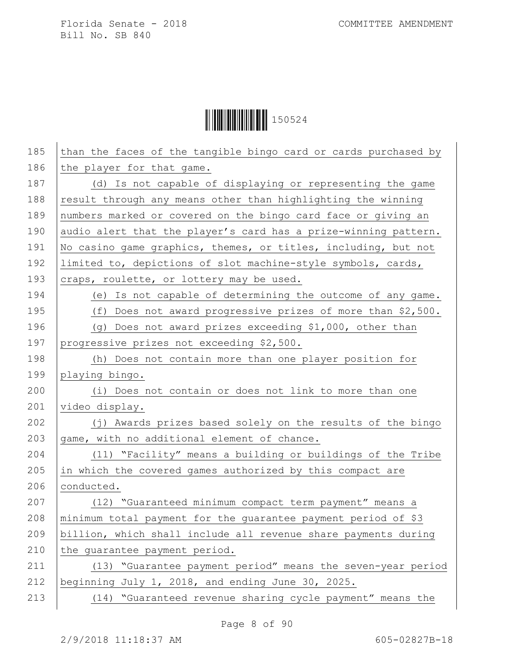**│││││││││││││││││** 150524

| 185 | than the faces of the tangible bingo card or cards purchased by |
|-----|-----------------------------------------------------------------|
| 186 | the player for that game.                                       |
| 187 | (d) Is not capable of displaying or representing the game       |
| 188 | result through any means other than highlighting the winning    |
| 189 | numbers marked or covered on the bingo card face or giving an   |
| 190 | audio alert that the player's card has a prize-winning pattern. |
| 191 | No casino game graphics, themes, or titles, including, but not  |
| 192 | limited to, depictions of slot machine-style symbols, cards,    |
| 193 | craps, roulette, or lottery may be used.                        |
| 194 | (e) Is not capable of determining the outcome of any game.      |
| 195 | (f) Does not award progressive prizes of more than \$2,500.     |
| 196 | (g) Does not award prizes exceeding \$1,000, other than         |
| 197 | progressive prizes not exceeding \$2,500.                       |
| 198 | (h) Does not contain more than one player position for          |
| 199 | playing bingo.                                                  |
| 200 | (i) Does not contain or does not link to more than one          |
| 201 | video display.                                                  |
| 202 | (j) Awards prizes based solely on the results of the bingo      |
| 203 | game, with no additional element of chance.                     |
| 204 | (11) "Facility" means a building or buildings of the Tribe      |
| 205 | in which the covered games authorized by this compact are       |
| 206 | conducted.                                                      |
| 207 | (12) "Guaranteed minimum compact term payment" means a          |
| 208 | minimum total payment for the quarantee payment period of \$3   |
| 209 | billion, which shall include all revenue share payments during  |
| 210 | the quarantee payment period.                                   |
| 211 | (13) "Guarantee payment period" means the seven-year period     |
| 212 | beginning July 1, 2018, and ending June 30, 2025.               |
| 213 | (14) "Guaranteed revenue sharing cycle payment" means the       |
|     |                                                                 |

Page 8 of 90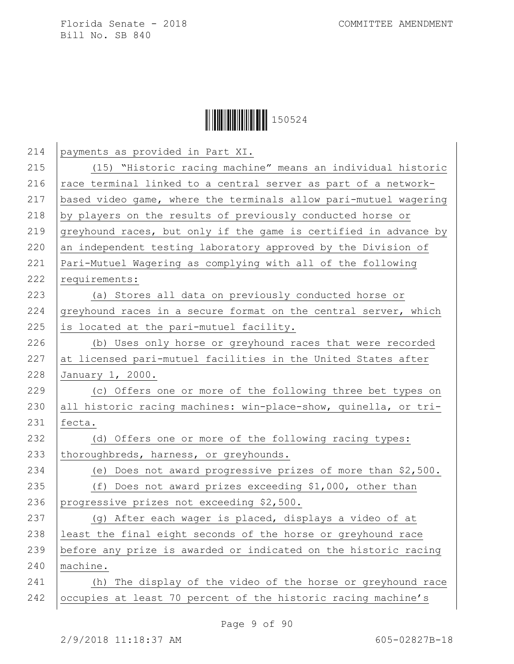| 214 | payments as provided in Part XI.                                 |
|-----|------------------------------------------------------------------|
| 215 | (15) "Historic racing machine" means an individual historic      |
| 216 | race terminal linked to a central server as part of a network-   |
| 217 | based video game, where the terminals allow pari-mutuel wagering |
| 218 | by players on the results of previously conducted horse or       |
| 219 | greyhound races, but only if the game is certified in advance by |
| 220 | an independent testing laboratory approved by the Division of    |
| 221 | Pari-Mutuel Wagering as complying with all of the following      |
| 222 | requirements:                                                    |
| 223 | (a) Stores all data on previously conducted horse or             |
| 224 | greyhound races in a secure format on the central server, which  |
| 225 | is located at the pari-mutuel facility.                          |
| 226 | (b) Uses only horse or greyhound races that were recorded        |
| 227 | at licensed pari-mutuel facilities in the United States after    |
| 228 | January 1, 2000.                                                 |
| 229 | (c) Offers one or more of the following three bet types on       |
| 230 | all historic racing machines: win-place-show, quinella, or tri-  |
| 231 | fecta.                                                           |
| 232 | (d) Offers one or more of the following racing types:            |
| 233 | thoroughbreds, harness, or greyhounds.                           |
| 234 | (e) Does not award progressive prizes of more than \$2,500.      |
| 235 | (f) Does not award prizes exceeding \$1,000, other than          |
| 236 | progressive prizes not exceeding \$2,500.                        |
| 237 | (g) After each wager is placed, displays a video of at           |
| 238 | least the final eight seconds of the horse or greyhound race     |
| 239 | before any prize is awarded or indicated on the historic racing  |
| 240 | machine.                                                         |
| 241 | (h) The display of the video of the horse or greyhound race      |
| 242 | occupies at least 70 percent of the historic racing machine's    |
|     |                                                                  |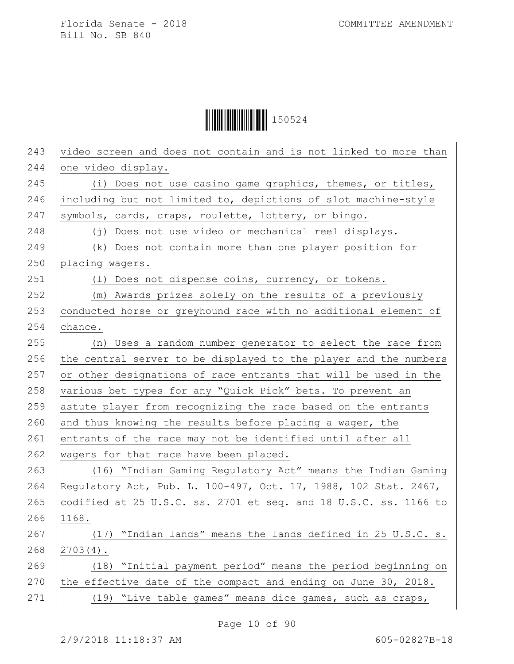**│││││││││││││││││** 150524

| 243 | video screen and does not contain and is not linked to more than |
|-----|------------------------------------------------------------------|
| 244 | one video display.                                               |
| 245 | (i) Does not use casino game graphics, themes, or titles,        |
| 246 | including but not limited to, depictions of slot machine-style   |
| 247 | symbols, cards, craps, roulette, lottery, or bingo.              |
| 248 | (j) Does not use video or mechanical reel displays.              |
| 249 | (k) Does not contain more than one player position for           |
| 250 | placing wagers.                                                  |
| 251 | (1) Does not dispense coins, currency, or tokens.                |
| 252 | (m) Awards prizes solely on the results of a previously          |
| 253 | conducted horse or greyhound race with no additional element of  |
| 254 | chance.                                                          |
| 255 | (n) Uses a random number generator to select the race from       |
| 256 | the central server to be displayed to the player and the numbers |
| 257 | or other designations of race entrants that will be used in the  |
| 258 | various bet types for any "Quick Pick" bets. To prevent an       |
| 259 | astute player from recognizing the race based on the entrants    |
| 260 | and thus knowing the results before placing a wager, the         |
| 261 | entrants of the race may not be identified until after all       |
| 262 | wagers for that race have been placed.                           |
| 263 | (16) "Indian Gaming Regulatory Act" means the Indian Gaming      |
| 264 | Regulatory Act, Pub. L. 100-497, Oct. 17, 1988, 102 Stat. 2467,  |
| 265 | codified at 25 U.S.C. ss. 2701 et seq. and 18 U.S.C. ss. 1166 to |
| 266 | 1168.                                                            |
| 267 | (17) "Indian lands" means the lands defined in 25 U.S.C. s.      |
| 268 | $2703(4)$ .                                                      |
| 269 | (18) "Initial payment period" means the period beginning on      |
| 270 | the effective date of the compact and ending on June 30, 2018.   |
| 271 | (19) "Live table games" means dice games, such as craps,         |
|     |                                                                  |

Page 10 of 90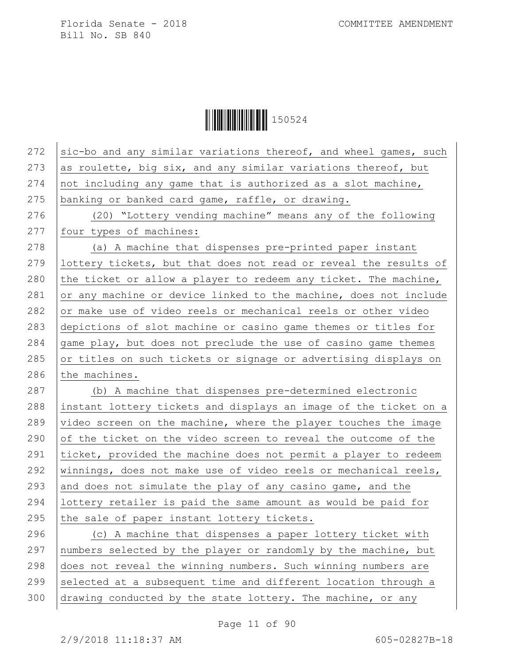**|| || || || || || || || || || || ||** 150524

| 272 | sic-bo and any similar variations thereof, and wheel games, such |
|-----|------------------------------------------------------------------|
| 273 | as roulette, big six, and any similar variations thereof, but    |
| 274 | not including any game that is authorized as a slot machine,     |
| 275 | banking or banked card game, raffle, or drawing.                 |
| 276 | (20) "Lottery vending machine" means any of the following        |
| 277 | four types of machines:                                          |
| 278 | (a) A machine that dispenses pre-printed paper instant           |
| 279 | lottery tickets, but that does not read or reveal the results of |
| 280 | the ticket or allow a player to redeem any ticket. The machine,  |
| 281 | or any machine or device linked to the machine, does not include |
| 282 | or make use of video reels or mechanical reels or other video    |
| 283 | depictions of slot machine or casino game themes or titles for   |
| 284 | game play, but does not preclude the use of casino game themes   |
| 285 | or titles on such tickets or signage or advertising displays on  |
| 286 | the machines.                                                    |
|     |                                                                  |
| 287 | (b) A machine that dispenses pre-determined electronic           |
| 288 | instant lottery tickets and displays an image of the ticket on a |
| 289 | video screen on the machine, where the player touches the image  |
| 290 | of the ticket on the video screen to reveal the outcome of the   |
| 291 | ticket, provided the machine does not permit a player to redeem  |
| 292 | winnings, does not make use of video reels or mechanical reels,  |
| 293 | and does not simulate the play of any casino game, and the       |
| 294 | lottery retailer is paid the same amount as would be paid for    |
| 295 | the sale of paper instant lottery tickets.                       |
| 296 | (c) A machine that dispenses a paper lottery ticket with         |
| 297 | numbers selected by the player or randomly by the machine, but   |
| 298 | does not reveal the winning numbers. Such winning numbers are    |
| 299 | selected at a subsequent time and different location through a   |
| 300 | drawing conducted by the state lottery. The machine, or any      |

Page 11 of 90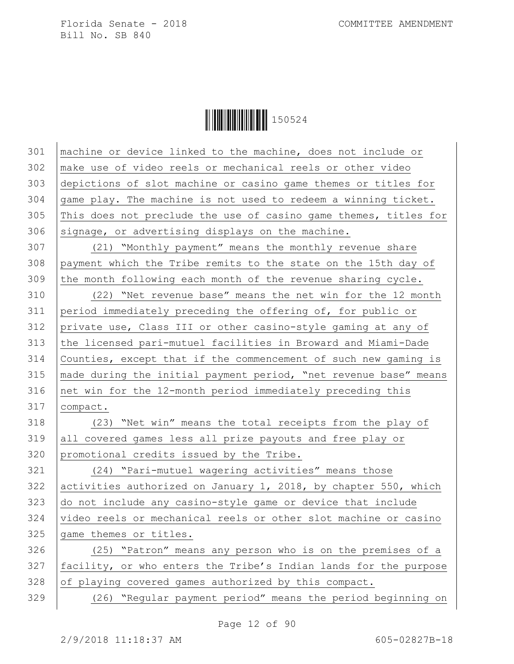**|| || || || || || || || || || || ||** 150524

 machine or device linked to the machine, does not include or make use of video reels or mechanical reels or other video depictions of slot machine or casino game themes or titles for game play. The machine is not used to redeem a winning ticket. 305 This does not preclude the use of casino game themes, titles for signage, or advertising displays on the machine. (21) "Monthly payment" means the monthly revenue share payment which the Tribe remits to the state on the 15th day of 309 the month following each month of the revenue sharing cycle. (22) "Net revenue base" means the net win for the 12 month period immediately preceding the offering of, for public or private use, Class III or other casino-style gaming at any of the licensed pari-mutuel facilities in Broward and Miami-Dade Counties, except that if the commencement of such new gaming is made during the initial payment period, "net revenue base" means net win for the 12-month period immediately preceding this compact. (23) "Net win" means the total receipts from the play of 319 all covered games less all prize payouts and free play or promotional credits issued by the Tribe. (24) "Pari-mutuel wagering activities" means those 322 activities authorized on January 1, 2018, by chapter 550, which do not include any casino-style game or device that include 324 video reels or mechanical reels or other slot machine or casino 325 game themes or titles. (25) "Patron" means any person who is on the premises of a 327 | facility, or who enters the Tribe's Indian lands for the purpose of playing covered games authorized by this compact. (26) "Regular payment period" means the period beginning on

Page 12 of 90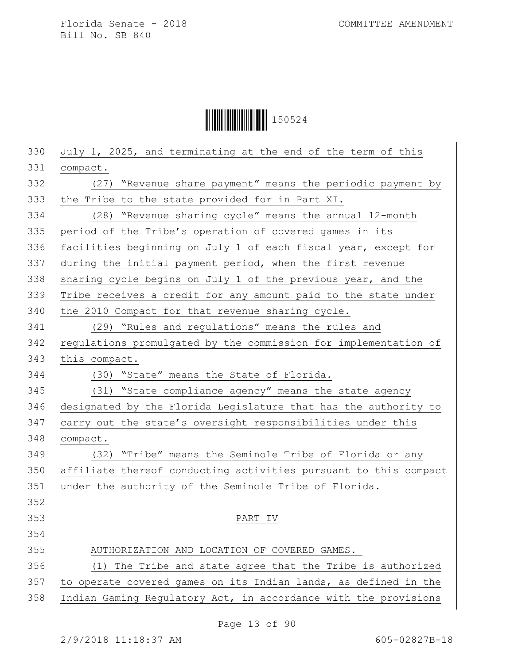**│││││││││││││││││** 150524

| 330 | July 1, 2025, and terminating at the end of the term of this     |
|-----|------------------------------------------------------------------|
| 331 | compact.                                                         |
| 332 | (27) "Revenue share payment" means the periodic payment by       |
| 333 | the Tribe to the state provided for in Part XI.                  |
| 334 | (28) "Revenue sharing cycle" means the annual 12-month           |
| 335 | period of the Tribe's operation of covered games in its          |
| 336 | facilities beginning on July 1 of each fiscal year, except for   |
| 337 | during the initial payment period, when the first revenue        |
| 338 | sharing cycle begins on July 1 of the previous year, and the     |
| 339 | Tribe receives a credit for any amount paid to the state under   |
| 340 | the 2010 Compact for that revenue sharing cycle.                 |
| 341 | (29) "Rules and regulations" means the rules and                 |
| 342 | regulations promulgated by the commission for implementation of  |
| 343 | this compact.                                                    |
| 344 | (30) "State" means the State of Florida.                         |
| 345 | (31) "State compliance agency" means the state agency            |
| 346 | designated by the Florida Legislature that has the authority to  |
| 347 | carry out the state's oversight responsibilities under this      |
| 348 | compact.                                                         |
| 349 | (32) "Tribe" means the Seminole Tribe of Florida or any          |
| 350 | affiliate thereof conducting activities pursuant to this compact |
| 351 | under the authority of the Seminole Tribe of Florida.            |
| 352 |                                                                  |
| 353 | PART IV                                                          |
| 354 |                                                                  |
| 355 | AUTHORIZATION AND LOCATION OF COVERED GAMES.-                    |
| 356 | (1) The Tribe and state agree that the Tribe is authorized       |
| 357 | to operate covered games on its Indian lands, as defined in the  |
| 358 | Indian Gaming Regulatory Act, in accordance with the provisions  |

Page 13 of 90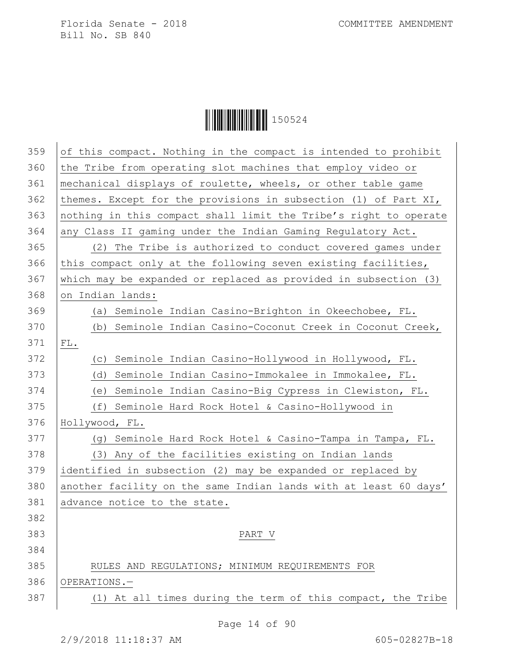| 359 | of this compact. Nothing in the compact is intended to prohibit  |
|-----|------------------------------------------------------------------|
| 360 | the Tribe from operating slot machines that employ video or      |
| 361 | mechanical displays of roulette, wheels, or other table game     |
| 362 | themes. Except for the provisions in subsection (1) of Part XI,  |
| 363 | nothing in this compact shall limit the Tribe's right to operate |
| 364 | any Class II gaming under the Indian Gaming Regulatory Act.      |
| 365 | The Tribe is authorized to conduct covered games under<br>(2)    |
| 366 | this compact only at the following seven existing facilities,    |
| 367 | which may be expanded or replaced as provided in subsection (3)  |
| 368 | on Indian lands:                                                 |
| 369 | (a) Seminole Indian Casino-Brighton in Okeechobee, FL.           |
| 370 | (b) Seminole Indian Casino-Coconut Creek in Coconut Creek,       |
| 371 | ${\rm FL}$ .                                                     |
| 372 | (c) Seminole Indian Casino-Hollywood in Hollywood, FL.           |
| 373 | Seminole Indian Casino-Immokalee in Immokalee, FL.<br>(d)        |
| 374 | (e) Seminole Indian Casino-Big Cypress in Clewiston, FL.         |
| 375 | (f) Seminole Hard Rock Hotel & Casino-Hollywood in               |
| 376 | Hollywood, FL.                                                   |
| 377 | (g) Seminole Hard Rock Hotel & Casino-Tampa in Tampa, FL.        |
| 378 | (3) Any of the facilities existing on Indian lands               |
| 379 | identified in subsection (2) may be expanded or replaced by      |
| 380 | another facility on the same Indian lands with at least 60 days' |
| 381 | advance notice to the state.                                     |
| 382 |                                                                  |
| 383 | PART V                                                           |
| 384 |                                                                  |
| 385 | RULES AND REGULATIONS; MINIMUM REQUIREMENTS FOR                  |
| 386 | OPERATIONS.-                                                     |
| 387 | (1) At all times during the term of this compact, the Tribe      |
|     |                                                                  |
|     | Page 14 of 90                                                    |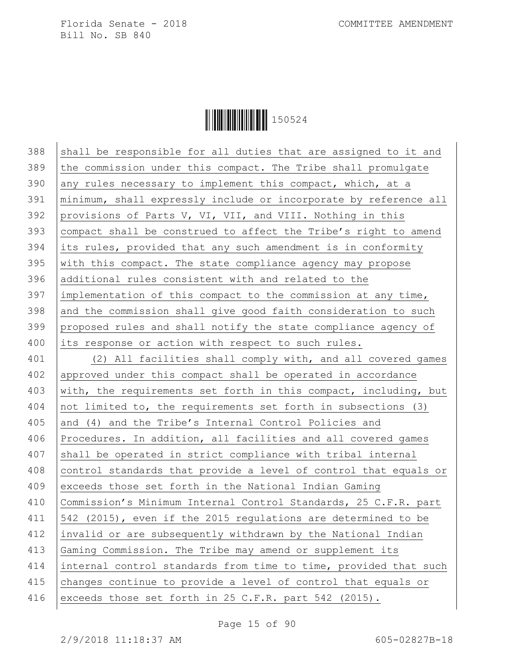**|| || || || || || || || || || || || ||** 150524

 $388$  shall be responsible for all duties that are assigned to it and 389 the commission under this compact. The Tribe shall promulgate 390 any rules necessary to implement this compact, which, at a 391 minimum, shall expressly include or incorporate by reference all 392 provisions of Parts V, VI, VII, and VIII. Nothing in this 393 compact shall be construed to affect the Tribe's right to amend 394 its rules, provided that any such amendment is in conformity 395 with this compact. The state compliance agency may propose 396 additional rules consistent with and related to the  $397$  implementation of this compact to the commission at any time,  $398$  and the commission shall give good faith consideration to such 399 proposed rules and shall notify the state compliance agency of 400 its response or action with respect to such rules. 401 (2) All facilities shall comply with, and all covered games 402 approved under this compact shall be operated in accordance 403 with, the requirements set forth in this compact, including, but 404 not limited to, the requirements set forth in subsections (3) 405 and (4) and the Tribe's Internal Control Policies and 406 Procedures. In addition, all facilities and all covered games 407 shall be operated in strict compliance with tribal internal 408 control standards that provide a level of control that equals or 409 exceeds those set forth in the National Indian Gaming 410 | Commission's Minimum Internal Control Standards, 25 C.F.R. part 411 542 (2015), even if the 2015 regulations are determined to be 412 invalid or are subsequently withdrawn by the National Indian 413 Gaming Commission. The Tribe may amend or supplement its 414 internal control standards from time to time, provided that such 415 changes continue to provide a level of control that equals or 416 exceeds those set forth in 25 C.F.R. part 542 (2015).

Page 15 of 90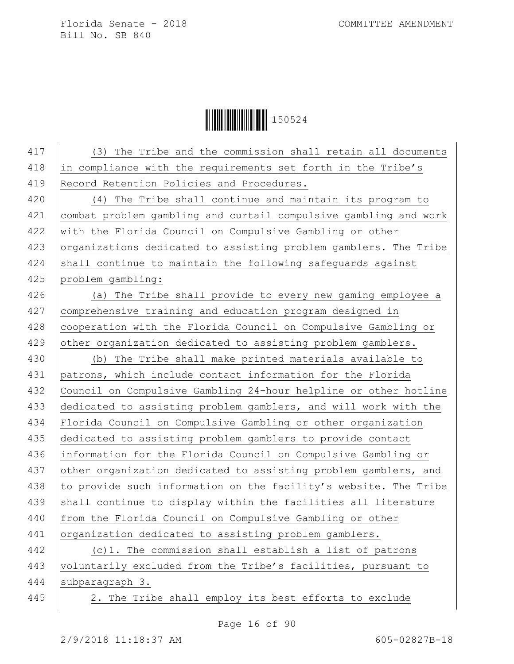| 417 | The Tribe and the commission shall retain all documents<br>(3)   |
|-----|------------------------------------------------------------------|
| 418 | in compliance with the requirements set forth in the Tribe's     |
| 419 | Record Retention Policies and Procedures.                        |
| 420 | (4) The Tribe shall continue and maintain its program to         |
| 421 | combat problem gambling and curtail compulsive gambling and work |
| 422 | with the Florida Council on Compulsive Gambling or other         |
| 423 | organizations dedicated to assisting problem gamblers. The Tribe |
| 424 | shall continue to maintain the following safeguards against      |
| 425 | problem gambling:                                                |
| 426 | (a) The Tribe shall provide to every new gaming employee a       |
| 427 | comprehensive training and education program designed in         |
| 428 | cooperation with the Florida Council on Compulsive Gambling or   |
| 429 | other organization dedicated to assisting problem gamblers.      |
| 430 | (b) The Tribe shall make printed materials available to          |
| 431 | patrons, which include contact information for the Florida       |
| 432 | Council on Compulsive Gambling 24-hour helpline or other hotline |
| 433 | dedicated to assisting problem gamblers, and will work with the  |
| 434 | Florida Council on Compulsive Gambling or other organization     |
| 435 | dedicated to assisting problem gamblers to provide contact       |
| 436 | information for the Florida Council on Compulsive Gambling or    |
| 437 | other organization dedicated to assisting problem gamblers, and  |
| 438 | to provide such information on the facility's website. The Tribe |
| 439 | shall continue to display within the facilities all literature   |
| 440 | from the Florida Council on Compulsive Gambling or other         |
| 441 | organization dedicated to assisting problem gamblers.            |
| 442 | (c)1. The commission shall establish a list of patrons           |
| 443 | voluntarily excluded from the Tribe's facilities, pursuant to    |
| 444 | subparagraph 3.                                                  |
| 445 | 2. The Tribe shall employ its best efforts to exclude            |
|     |                                                                  |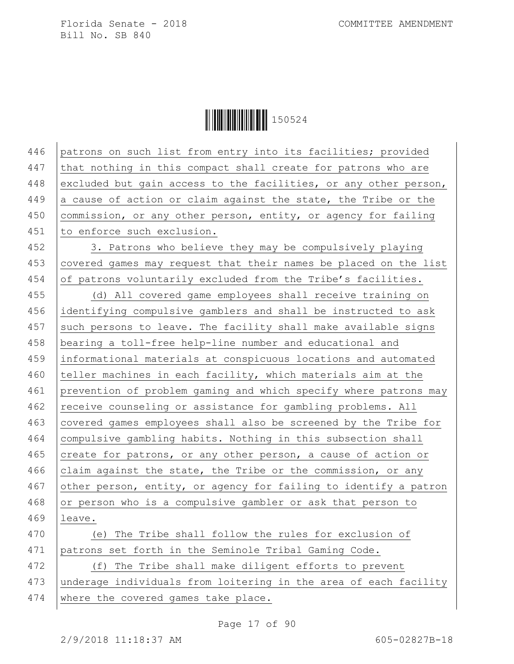**|| || || || || || || || || || || ||** 150524

446 patrons on such list from entry into its facilities; provided 447 that nothing in this compact shall create for patrons who are 448 excluded but gain access to the facilities, or any other person, 449 a cause of action or claim against the state, the Tribe or the 450 commission, or any other person, entity, or agency for failing 451 to enforce such exclusion.

452 3. Patrons who believe they may be compulsively playing 453 covered games may request that their names be placed on the list 454 of patrons voluntarily excluded from the Tribe's facilities.

455 (d) All covered game employees shall receive training on 456 identifying compulsive gamblers and shall be instructed to ask  $457$  such persons to leave. The facility shall make available signs 458 bearing a toll-free help-line number and educational and 459 informational materials at conspicuous locations and automated 460 teller machines in each facility, which materials aim at the 461 prevention of problem gaming and which specify where patrons may 462 receive counseling or assistance for gambling problems. All 463 covered games employees shall also be screened by the Tribe for 464 compulsive gambling habits. Nothing in this subsection shall 465 create for patrons, or any other person, a cause of action or 466 claim against the state, the Tribe or the commission, or any 467 other person, entity, or agency for failing to identify a patron 468 or person who is a compulsive gambler or ask that person to 469 leave. 470 (e) The Tribe shall follow the rules for exclusion of

471 patrons set forth in the Seminole Tribal Gaming Code. 472 (f) The Tribe shall make diligent efforts to prevent

473 underage individuals from loitering in the area of each facility

474 where the covered games take place.

Page 17 of 90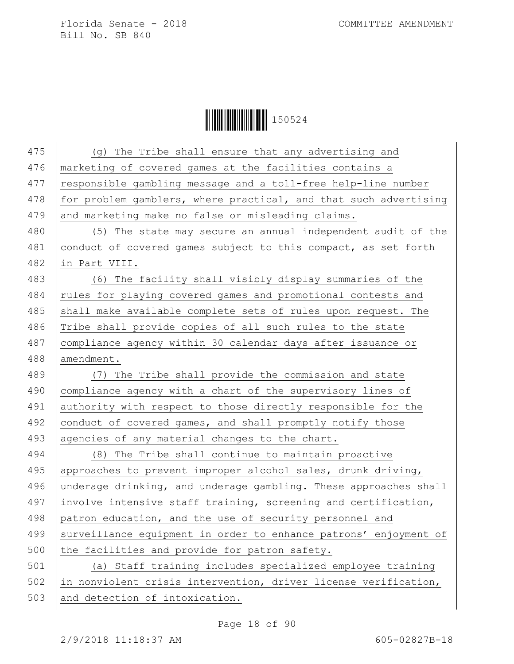**│││││││││││││││││** 150524

| 475 | (g) The Tribe shall ensure that any advertising and              |
|-----|------------------------------------------------------------------|
| 476 | marketing of covered games at the facilities contains a          |
| 477 | responsible gambling message and a toll-free help-line number    |
| 478 | for problem gamblers, where practical, and that such advertising |
| 479 | and marketing make no false or misleading claims.                |
| 480 | (5) The state may secure an annual independent audit of the      |
| 481 | conduct of covered games subject to this compact, as set forth   |
| 482 | in Part VIII.                                                    |
| 483 | (6) The facility shall visibly display summaries of the          |
| 484 | rules for playing covered games and promotional contests and     |
| 485 | shall make available complete sets of rules upon request. The    |
| 486 | Tribe shall provide copies of all such rules to the state        |
| 487 | compliance agency within 30 calendar days after issuance or      |
| 488 | amendment.                                                       |
| 489 | (7) The Tribe shall provide the commission and state             |
| 490 | compliance agency with a chart of the supervisory lines of       |
| 491 | authority with respect to those directly responsible for the     |
| 492 | conduct of covered games, and shall promptly notify those        |
| 493 | agencies of any material changes to the chart.                   |
| 494 | (8) The Tribe shall continue to maintain proactive               |
| 495 | approaches to prevent improper alcohol sales, drunk driving,     |
| 496 | underage drinking, and underage gambling. These approaches shall |
| 497 | involve intensive staff training, screening and certification,   |
| 498 | patron education, and the use of security personnel and          |
| 499 | surveillance equipment in order to enhance patrons' enjoyment of |
| 500 | the facilities and provide for patron safety.                    |
| 501 | (a) Staff training includes specialized employee training        |
| 502 | in nonviolent crisis intervention, driver license verification,  |
| 503 | and detection of intoxication.                                   |
|     |                                                                  |

Page 18 of 90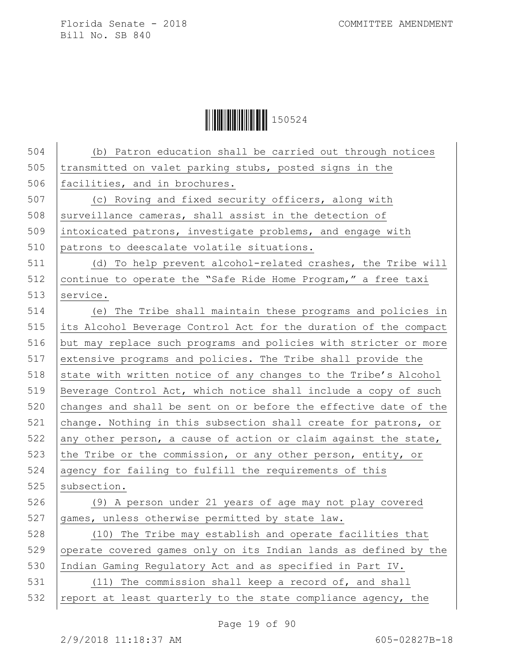**│││││││││││││││││** 150524

| 504 | (b) Patron education shall be carried out through notices        |
|-----|------------------------------------------------------------------|
| 505 | transmitted on valet parking stubs, posted signs in the          |
| 506 | facilities, and in brochures.                                    |
| 507 | (c) Roving and fixed security officers, along with               |
| 508 | surveillance cameras, shall assist in the detection of           |
| 509 | intoxicated patrons, investigate problems, and engage with       |
| 510 | patrons to deescalate volatile situations.                       |
| 511 | (d) To help prevent alcohol-related crashes, the Tribe will      |
| 512 | continue to operate the "Safe Ride Home Program," a free taxi    |
| 513 | service.                                                         |
| 514 | (e) The Tribe shall maintain these programs and policies in      |
| 515 | its Alcohol Beverage Control Act for the duration of the compact |
| 516 | but may replace such programs and policies with stricter or more |
| 517 | extensive programs and policies. The Tribe shall provide the     |
| 518 | state with written notice of any changes to the Tribe's Alcohol  |
| 519 | Beverage Control Act, which notice shall include a copy of such  |
| 520 | changes and shall be sent on or before the effective date of the |
| 521 | change. Nothing in this subsection shall create for patrons, or  |
| 522 | any other person, a cause of action or claim against the state,  |
| 523 | the Tribe or the commission, or any other person, entity, or     |
| 524 | agency for failing to fulfill the requirements of this           |
| 525 | subsection.                                                      |
| 526 | (9) A person under 21 years of age may not play covered          |
| 527 | games, unless otherwise permitted by state law.                  |
| 528 | (10) The Tribe may establish and operate facilities that         |
| 529 | operate covered games only on its Indian lands as defined by the |
| 530 | Indian Gaming Regulatory Act and as specified in Part IV.        |
| 531 | (11) The commission shall keep a record of, and shall            |
| 532 | report at least quarterly to the state compliance agency, the    |
|     |                                                                  |

Page 19 of 90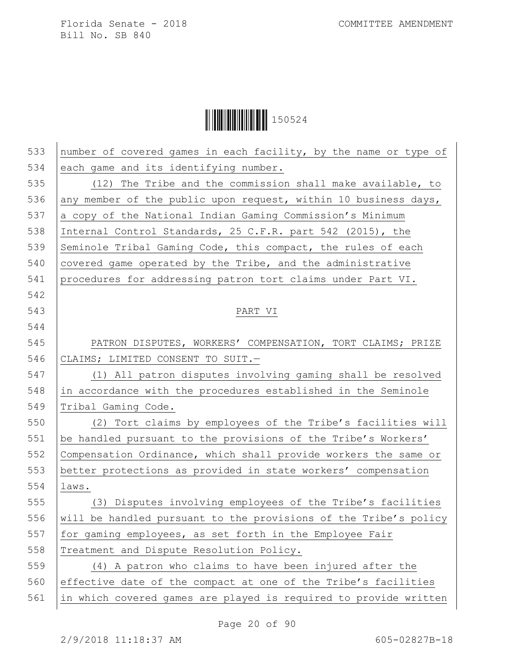|  | 150524 |
|--|--------|
|--|--------|

| 533 | number of covered games in each facility, by the name or type of |
|-----|------------------------------------------------------------------|
| 534 | each game and its identifying number.                            |
| 535 | (12) The Tribe and the commission shall make available, to       |
| 536 | any member of the public upon request, within 10 business days,  |
| 537 | a copy of the National Indian Gaming Commission's Minimum        |
| 538 | Internal Control Standards, 25 C.F.R. part 542 (2015), the       |
| 539 | Seminole Tribal Gaming Code, this compact, the rules of each     |
| 540 | covered game operated by the Tribe, and the administrative       |
| 541 | procedures for addressing patron tort claims under Part VI.      |
| 542 |                                                                  |
| 543 | PART VI                                                          |
| 544 |                                                                  |
| 545 | PATRON DISPUTES, WORKERS' COMPENSATION, TORT CLAIMS; PRIZE       |
| 546 | CLAIMS; LIMITED CONSENT TO SUIT.-                                |
| 547 | (1) All patron disputes involving gaming shall be resolved       |
| 548 | in accordance with the procedures established in the Seminole    |
| 549 | Tribal Gaming Code.                                              |
| 550 | (2) Tort claims by employees of the Tribe's facilities will      |
| 551 | be handled pursuant to the provisions of the Tribe's Workers'    |
| 552 | Compensation Ordinance, which shall provide workers the same or  |
| 553 | better protections as provided in state workers' compensation    |
| 554 | laws.                                                            |
| 555 | (3) Disputes involving employees of the Tribe's facilities       |
| 556 | will be handled pursuant to the provisions of the Tribe's policy |
| 557 | for gaming employees, as set forth in the Employee Fair          |
| 558 | Treatment and Dispute Resolution Policy.                         |
| 559 | (4) A patron who claims to have been injured after the           |
| 560 | effective date of the compact at one of the Tribe's facilities   |
| 561 | in which covered games are played is required to provide written |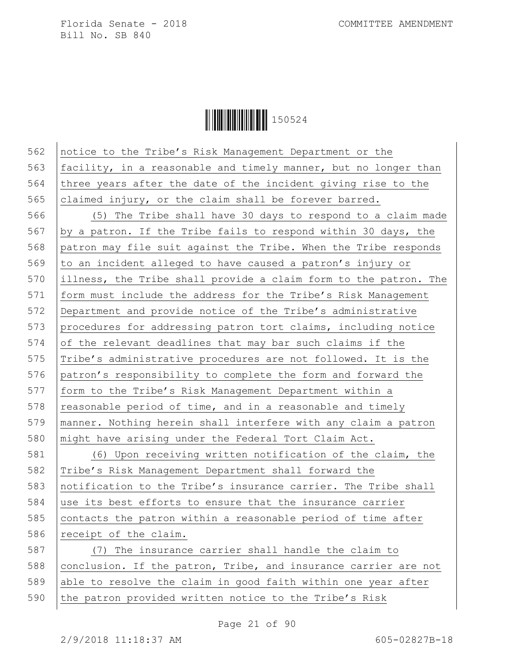**|| || || || || || || || || || || || ||** 150524

562 notice to the Tribe's Risk Management Department or the 563  $|$  facility, in a reasonable and timely manner, but no longer than 564 three years after the date of the incident giving rise to the 565 claimed injury, or the claim shall be forever barred. 566 (5) The Tribe shall have 30 days to respond to a claim made 567 by a patron. If the Tribe fails to respond within 30 days, the 568 patron may file suit against the Tribe. When the Tribe responds 569 to an incident alleged to have caused a patron's injury or 570 illness, the Tribe shall provide a claim form to the patron. The 571 form must include the address for the Tribe's Risk Management 572 Department and provide notice of the Tribe's administrative 573 procedures for addressing patron tort claims, including notice 574 of the relevant deadlines that may bar such claims if the 575 | Tribe's administrative procedures are not followed. It is the 576 patron's responsibility to complete the form and forward the 577 | form to the Tribe's Risk Management Department within a 578 reasonable period of time, and in a reasonable and timely 579 manner. Nothing herein shall interfere with any claim a patron 580 might have arising under the Federal Tort Claim Act. 581 (6) Upon receiving written notification of the claim, the 582 Tribe's Risk Management Department shall forward the 583 notification to the Tribe's insurance carrier. The Tribe shall 584 use its best efforts to ensure that the insurance carrier  $585$  contacts the patron within a reasonable period of time after 586 receipt of the claim. 587 (7) The insurance carrier shall handle the claim to 588 conclusion. If the patron, Tribe, and insurance carrier are not 589 able to resolve the claim in good faith within one year after 590 the patron provided written notice to the Tribe's Risk

Page 21 of 90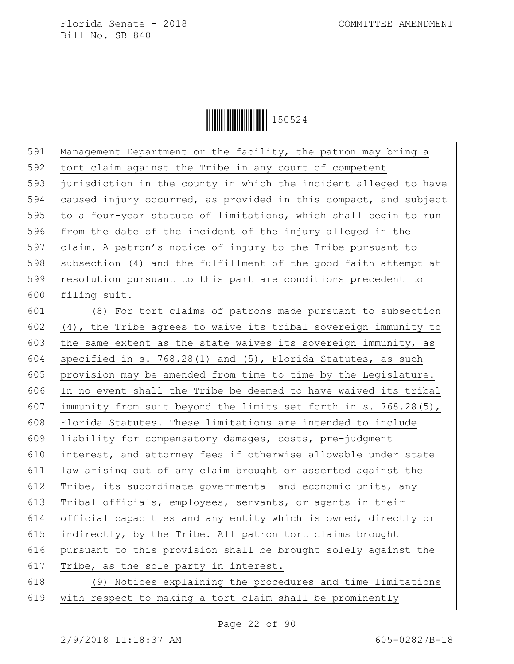**|| || || || || || || || || || || ||** 150524

| 591 | Management Department or the facility, the patron may bring a    |
|-----|------------------------------------------------------------------|
| 592 | tort claim against the Tribe in any court of competent           |
| 593 | jurisdiction in the county in which the incident alleged to have |
| 594 | caused injury occurred, as provided in this compact, and subject |
| 595 | to a four-year statute of limitations, which shall begin to run  |
| 596 | from the date of the incident of the injury alleged in the       |
| 597 | claim. A patron's notice of injury to the Tribe pursuant to      |
| 598 | subsection (4) and the fulfillment of the good faith attempt at  |
| 599 | resolution pursuant to this part are conditions precedent to     |
| 600 | filing suit.                                                     |
| 601 | (8) For tort claims of patrons made pursuant to subsection       |
| 602 | (4), the Tribe agrees to waive its tribal sovereign immunity to  |
| 603 | the same extent as the state waives its sovereign immunity, as   |
| 604 | specified in s. 768.28(1) and (5), Florida Statutes, as such     |
| 605 | provision may be amended from time to time by the Legislature.   |
| 606 | In no event shall the Tribe be deemed to have waived its tribal  |
| 607 | immunity from suit beyond the limits set forth in s. 768.28(5),  |
| 608 | Florida Statutes. These limitations are intended to include      |
| 609 | liability for compensatory damages, costs, pre-judgment          |
| 610 | interest, and attorney fees if otherwise allowable under state   |
| 611 | law arising out of any claim brought or asserted against the     |
| 612 | Tribe, its subordinate governmental and economic units, any      |
| 613 | Tribal officials, employees, servants, or agents in their        |
| 614 | official capacities and any entity which is owned, directly or   |
| 615 | indirectly, by the Tribe. All patron tort claims brought         |
| 616 | pursuant to this provision shall be brought solely against the   |
| 617 | Tribe, as the sole party in interest.                            |
| 618 | (9) Notices explaining the procedures and time limitations       |
| 619 | with respect to making a tort claim shall be prominently         |

Page 22 of 90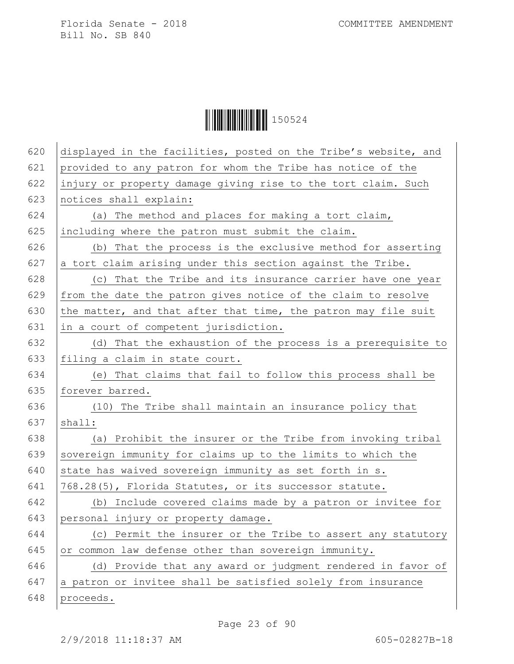| 620 | displayed in the facilities, posted on the Tribe's website, and |
|-----|-----------------------------------------------------------------|
| 621 | provided to any patron for whom the Tribe has notice of the     |
| 622 | injury or property damage giving rise to the tort claim. Such   |
| 623 | notices shall explain:                                          |
| 624 | (a) The method and places for making a tort claim,              |
| 625 | including where the patron must submit the claim.               |
| 626 | (b) That the process is the exclusive method for asserting      |
| 627 | a tort claim arising under this section against the Tribe.      |
| 628 | (c) That the Tribe and its insurance carrier have one year      |
| 629 | from the date the patron gives notice of the claim to resolve   |
| 630 | the matter, and that after that time, the patron may file suit  |
| 631 | in a court of competent jurisdiction.                           |
| 632 | (d) That the exhaustion of the process is a prerequisite to     |
| 633 | filing a claim in state court.                                  |
| 634 | (e) That claims that fail to follow this process shall be       |
| 635 | forever barred.                                                 |
| 636 | (10) The Tribe shall maintain an insurance policy that          |
| 637 | shall:                                                          |
| 638 | (a) Prohibit the insurer or the Tribe from invoking tribal      |
| 639 | sovereign immunity for claims up to the limits to which the     |
| 640 | state has waived sovereign immunity as set forth in s.          |
| 641 | 768.28(5), Florida Statutes, or its successor statute.          |
| 642 | (b) Include covered claims made by a patron or invitee for      |
| 643 | personal injury or property damage.                             |
| 644 | (c) Permit the insurer or the Tribe to assert any statutory     |
| 645 | or common law defense other than sovereign immunity.            |
| 646 | (d) Provide that any award or judgment rendered in favor of     |
| 647 | a patron or invitee shall be satisfied solely from insurance    |
| 648 | proceeds.                                                       |
|     |                                                                 |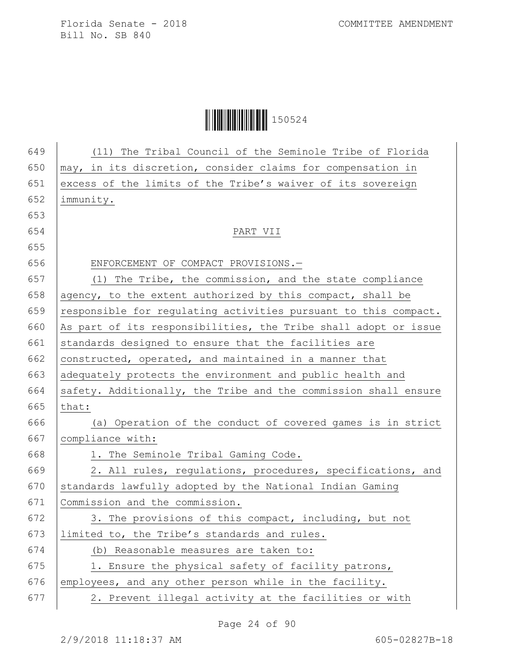## **│││││││││││││││││** 150524

| 650<br>651<br>652<br>653<br>654<br>655<br>656<br>657 | may, in its discretion, consider claims for compensation in<br>excess of the limits of the Tribe's waiver of its sovereign<br>immunity.<br>PART VII<br>ENFORCEMENT OF COMPACT PROVISIONS.- |
|------------------------------------------------------|--------------------------------------------------------------------------------------------------------------------------------------------------------------------------------------------|
|                                                      |                                                                                                                                                                                            |
|                                                      |                                                                                                                                                                                            |
|                                                      |                                                                                                                                                                                            |
|                                                      |                                                                                                                                                                                            |
|                                                      |                                                                                                                                                                                            |
|                                                      |                                                                                                                                                                                            |
|                                                      |                                                                                                                                                                                            |
|                                                      | (1) The Tribe, the commission, and the state compliance                                                                                                                                    |
| 658                                                  | agency, to the extent authorized by this compact, shall be                                                                                                                                 |
| 659                                                  | responsible for regulating activities pursuant to this compact.                                                                                                                            |
| 660                                                  | As part of its responsibilities, the Tribe shall adopt or issue                                                                                                                            |
| 661                                                  | standards designed to ensure that the facilities are                                                                                                                                       |
| 662                                                  | constructed, operated, and maintained in a manner that                                                                                                                                     |
| 663                                                  | adequately protects the environment and public health and                                                                                                                                  |
| 664                                                  | safety. Additionally, the Tribe and the commission shall ensure                                                                                                                            |
| 665                                                  | that:                                                                                                                                                                                      |
| 666                                                  | (a) Operation of the conduct of covered games is in strict                                                                                                                                 |
| 667                                                  | compliance with:                                                                                                                                                                           |
| 668                                                  | 1. The Seminole Tribal Gaming Code.                                                                                                                                                        |
| 669                                                  | 2. All rules, regulations, procedures, specifications, and                                                                                                                                 |
| 670                                                  | standards lawfully adopted by the National Indian Gaming                                                                                                                                   |
| 671                                                  | Commission and the commission.                                                                                                                                                             |
| 672                                                  | 3. The provisions of this compact, including, but not                                                                                                                                      |
| 673                                                  | limited to, the Tribe's standards and rules.                                                                                                                                               |
| 674                                                  | (b) Reasonable measures are taken to:                                                                                                                                                      |
| 675                                                  | 1. Ensure the physical safety of facility patrons,                                                                                                                                         |
| 676                                                  | employees, and any other person while in the facility.                                                                                                                                     |
| 677                                                  | 2. Prevent illegal activity at the facilities or with                                                                                                                                      |
|                                                      |                                                                                                                                                                                            |

Page 24 of 90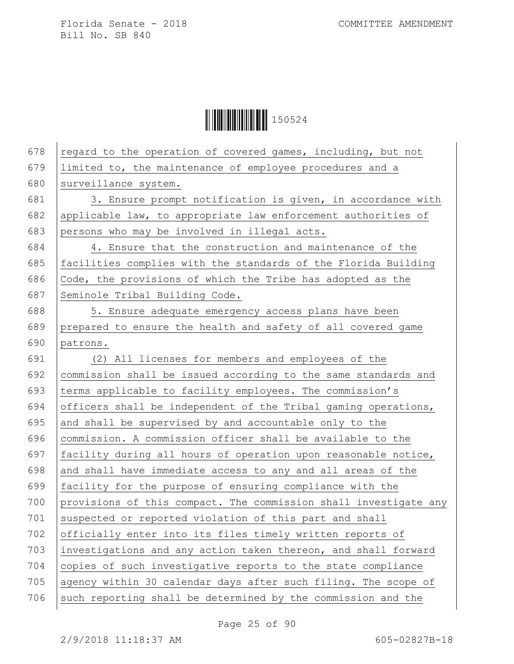**│││││││││││││││││** 150524

| 678 | regard to the operation of covered games, including, but not     |
|-----|------------------------------------------------------------------|
| 679 | limited to, the maintenance of employee procedures and a         |
| 680 | surveillance system.                                             |
| 681 | 3. Ensure prompt notification is given, in accordance with       |
| 682 | applicable law, to appropriate law enforcement authorities of    |
| 683 | persons who may be involved in illegal acts.                     |
| 684 | 4. Ensure that the construction and maintenance of the           |
| 685 | facilities complies with the standards of the Florida Building   |
| 686 | Code, the provisions of which the Tribe has adopted as the       |
| 687 | Seminole Tribal Building Code.                                   |
| 688 | 5. Ensure adequate emergency access plans have been              |
| 689 | prepared to ensure the health and safety of all covered game     |
| 690 | patrons.                                                         |
| 691 | (2) All licenses for members and employees of the                |
| 692 | commission shall be issued according to the same standards and   |
| 693 | terms applicable to facility employees. The commission's         |
| 694 | officers shall be independent of the Tribal gaming operations,   |
| 695 | and shall be supervised by and accountable only to the           |
| 696 | commission. A commission officer shall be available to the       |
| 697 | facility during all hours of operation upon reasonable notice,   |
| 698 | and shall have immediate access to any and all areas of the      |
| 699 | facility for the purpose of ensuring compliance with the         |
| 700 | provisions of this compact. The commission shall investigate any |
| 701 | suspected or reported violation of this part and shall           |
| 702 | officially enter into its files timely written reports of        |
| 703 | investigations and any action taken thereon, and shall forward   |
| 704 | copies of such investigative reports to the state compliance     |
| 705 | agency within 30 calendar days after such filing. The scope of   |
| 706 | such reporting shall be determined by the commission and the     |
|     |                                                                  |

Page 25 of 90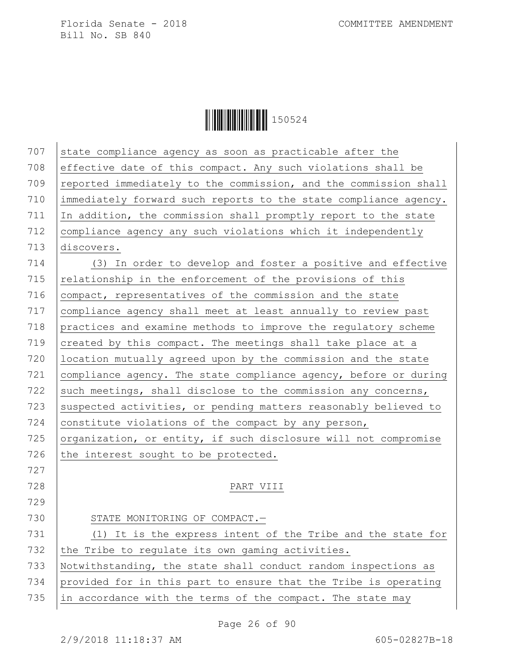**│││││││││││││││││** 150524

| 707 | state compliance agency as soon as practicable after the         |
|-----|------------------------------------------------------------------|
| 708 | effective date of this compact. Any such violations shall be     |
| 709 | reported immediately to the commission, and the commission shall |
| 710 | immediately forward such reports to the state compliance agency. |
| 711 | In addition, the commission shall promptly report to the state   |
| 712 | compliance agency any such violations which it independently     |
| 713 | discovers.                                                       |
| 714 | (3) In order to develop and foster a positive and effective      |
| 715 | relationship in the enforcement of the provisions of this        |
| 716 | compact, representatives of the commission and the state         |
| 717 | compliance agency shall meet at least annually to review past    |
| 718 | practices and examine methods to improve the regulatory scheme   |
| 719 | created by this compact. The meetings shall take place at a      |
| 720 | location mutually agreed upon by the commission and the state    |
| 721 | compliance agency. The state compliance agency, before or during |
| 722 | such meetings, shall disclose to the commission any concerns,    |
| 723 | suspected activities, or pending matters reasonably believed to  |
| 724 | constitute violations of the compact by any person,              |
| 725 | organization, or entity, if such disclosure will not compromise  |
| 726 | the interest sought to be protected.                             |
| 727 |                                                                  |
| 728 | PART VIII                                                        |
| 729 |                                                                  |
| 730 | STATE MONITORING OF COMPACT.-                                    |
| 731 | (1) It is the express intent of the Tribe and the state for      |
| 732 | the Tribe to regulate its own gaming activities.                 |
| 733 | Notwithstanding, the state shall conduct random inspections as   |
| 734 | provided for in this part to ensure that the Tribe is operating  |
| 735 | in accordance with the terms of the compact. The state may       |
|     |                                                                  |

Page 26 of 90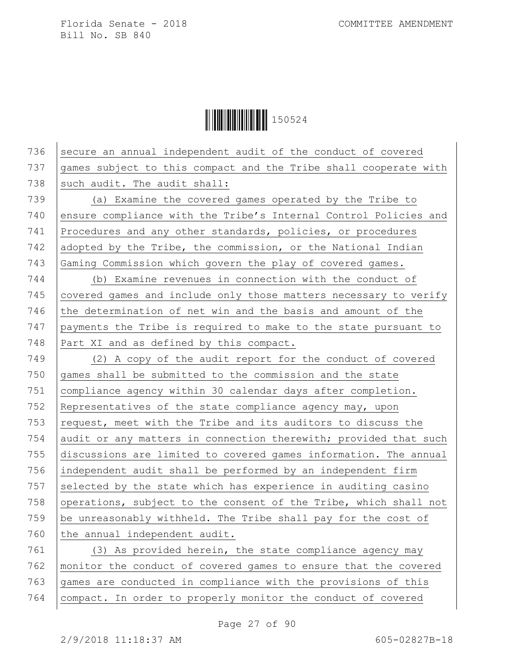**|| || || || || || || || || || || ||** 150524

 secure an annual independent audit of the conduct of covered games subject to this compact and the Tribe shall cooperate with 738 such audit. The audit shall: (a) Examine the covered games operated by the Tribe to 740 ensure compliance with the Tribe's Internal Control Policies and Procedures and any other standards, policies, or procedures 742 adopted by the Tribe, the commission, or the National Indian Gaming Commission which govern the play of covered games. (b) Examine revenues in connection with the conduct of 745 covered games and include only those matters necessary to verify 746 the determination of net win and the basis and amount of the payments the Tribe is required to make to the state pursuant to 748 Part XI and as defined by this compact. (2) A copy of the audit report for the conduct of covered games shall be submitted to the commission and the state compliance agency within 30 calendar days after completion. Representatives of the state compliance agency may, upon  $\vert$  request, meet with the Tribe and its auditors to discuss the 754 audit or any matters in connection therewith; provided that such discussions are limited to covered games information. The annual 756 independent audit shall be performed by an independent firm 757 selected by the state which has experience in auditing casino  $\sqrt{ }$  operations, subject to the consent of the Tribe, which shall not be unreasonably withheld. The Tribe shall pay for the cost of the annual independent audit. (3) As provided herein, the state compliance agency may

762 monitor the conduct of covered games to ensure that the covered  $763$  games are conducted in compliance with the provisions of this 764 compact. In order to properly monitor the conduct of covered

Page 27 of 90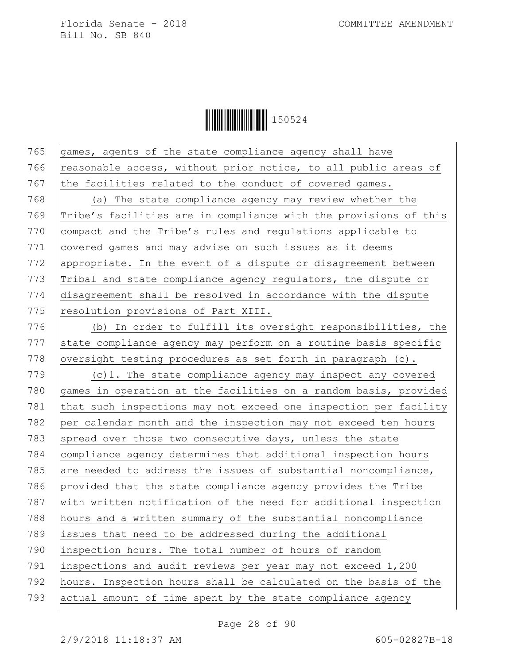**│││││││││││││││││** 150524

| 765 | games, agents of the state compliance agency shall have          |
|-----|------------------------------------------------------------------|
| 766 | reasonable access, without prior notice, to all public areas of  |
| 767 | the facilities related to the conduct of covered games.          |
| 768 | (a) The state compliance agency may review whether the           |
| 769 | Tribe's facilities are in compliance with the provisions of this |
| 770 | compact and the Tribe's rules and regulations applicable to      |
| 771 | covered games and may advise on such issues as it deems          |
| 772 | appropriate. In the event of a dispute or disagreement between   |
| 773 | Tribal and state compliance agency regulators, the dispute or    |
| 774 | disagreement shall be resolved in accordance with the dispute    |
| 775 | resolution provisions of Part XIII.                              |
| 776 | (b) In order to fulfill its oversight responsibilities, the      |
| 777 | state compliance agency may perform on a routine basis specific  |
| 778 | oversight testing procedures as set forth in paragraph (c).      |
| 779 | $(c)$ 1. The state compliance agency may inspect any covered     |
| 780 | games in operation at the facilities on a random basis, provided |
| 781 | that such inspections may not exceed one inspection per facility |
| 782 | per calendar month and the inspection may not exceed ten hours   |
| 783 | spread over those two consecutive days, unless the state         |
| 784 | compliance agency determines that additional inspection hours    |
| 785 | are needed to address the issues of substantial noncompliance,   |
| 786 | provided that the state compliance agency provides the Tribe     |
| 787 | with written notification of the need for additional inspection  |
| 788 | hours and a written summary of the substantial noncompliance     |
| 789 | issues that need to be addressed during the additional           |
| 790 | inspection hours. The total number of hours of random            |
| 791 | inspections and audit reviews per year may not exceed 1,200      |
| 792 | hours. Inspection hours shall be calculated on the basis of the  |
| 793 | actual amount of time spent by the state compliance agency       |

Page 28 of 90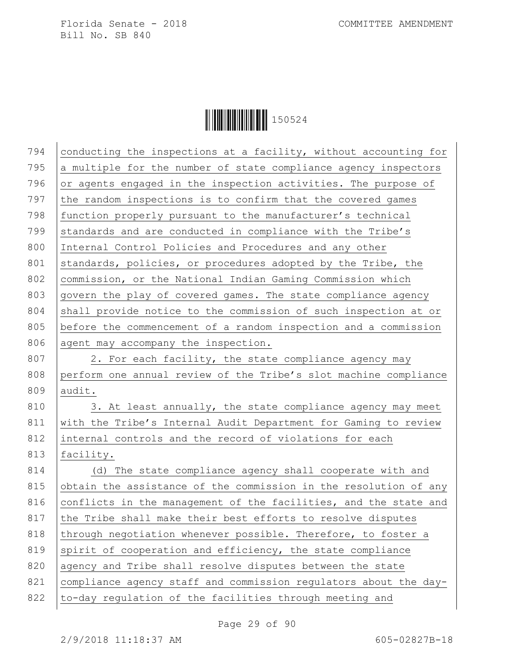**│││││││││││││││││** 150524

| 794 | conducting the inspections at a facility, without accounting for |
|-----|------------------------------------------------------------------|
| 795 | a multiple for the number of state compliance agency inspectors  |
| 796 | or agents engaged in the inspection activities. The purpose of   |
| 797 | the random inspections is to confirm that the covered games      |
| 798 | function properly pursuant to the manufacturer's technical       |
| 799 | standards and are conducted in compliance with the Tribe's       |
| 800 | Internal Control Policies and Procedures and any other           |
| 801 | standards, policies, or procedures adopted by the Tribe, the     |
| 802 | commission, or the National Indian Gaming Commission which       |
| 803 | govern the play of covered games. The state compliance agency    |
| 804 | shall provide notice to the commission of such inspection at or  |
| 805 | before the commencement of a random inspection and a commission  |
| 806 | agent may accompany the inspection.                              |
| 807 | 2. For each facility, the state compliance agency may            |
| 808 | perform one annual review of the Tribe's slot machine compliance |
| 809 | audit.                                                           |
| 810 | 3. At least annually, the state compliance agency may meet       |
| 811 | with the Tribe's Internal Audit Department for Gaming to review  |
| 812 | internal controls and the record of violations for each          |
| 813 | facility.                                                        |
| 814 | (d) The state compliance agency shall cooperate with and         |
| 815 | obtain the assistance of the commission in the resolution of any |
| 816 | conflicts in the management of the facilities, and the state and |
| 817 | the Tribe shall make their best efforts to resolve disputes      |
| 818 | through negotiation whenever possible. Therefore, to foster a    |
| 819 | spirit of cooperation and efficiency, the state compliance       |
| 820 | agency and Tribe shall resolve disputes between the state        |
| 821 | compliance agency staff and commission regulators about the day- |
| 822 | to-day regulation of the facilities through meeting and          |
|     |                                                                  |

Page 29 of 90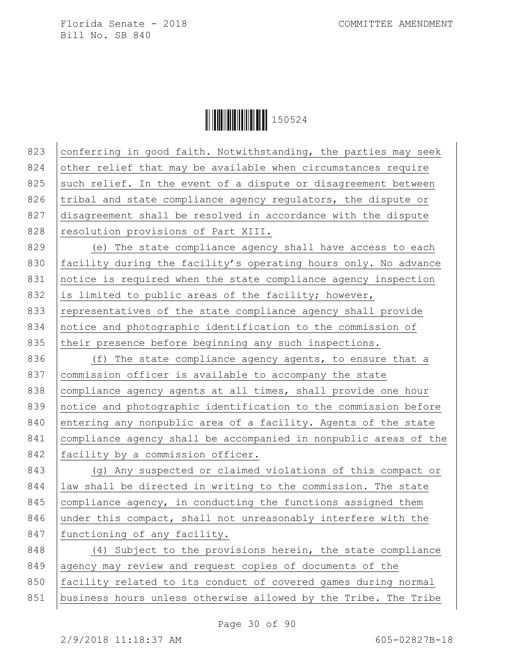**|| || || || || || || || || || || || ||** 150524

823 conferring in good faith. Notwithstanding, the parties may seek 824 other relief that may be available when circumstances require 825 such relief. In the event of a dispute or disagreement between 826 tribal and state compliance agency regulators, the dispute or 827 disagreement shall be resolved in accordance with the dispute 828 resolution provisions of Part XIII. 829 (e) The state compliance agency shall have access to each 830 facility during the facility's operating hours only. No advance 831 notice is required when the state compliance agency inspection 832 is limited to public areas of the facility; however, 833 representatives of the state compliance agency shall provide 834 notice and photographic identification to the commission of 835 their presence before beginning any such inspections. 836 (f) The state compliance agency agents, to ensure that a 837 commission officer is available to accompany the state 838 compliance agency agents at all times, shall provide one hour 839 notice and photographic identification to the commission before 840 entering any nonpublic area of a facility. Agents of the state 841 compliance agency shall be accompanied in nonpublic areas of the 842 | facility by a commission officer. 843 (g) Any suspected or claimed violations of this compact or 844 | law shall be directed in writing to the commission. The state 845 compliance agency, in conducting the functions assigned them 846 under this compact, shall not unreasonably interfere with the 847 | functioning of any facility. 848 (4) Subject to the provisions herein, the state compliance 849 agency may review and request copies of documents of the

850 facility related to its conduct of covered games during normal

851 business hours unless otherwise allowed by the Tribe. The Tribe

Page 30 of 90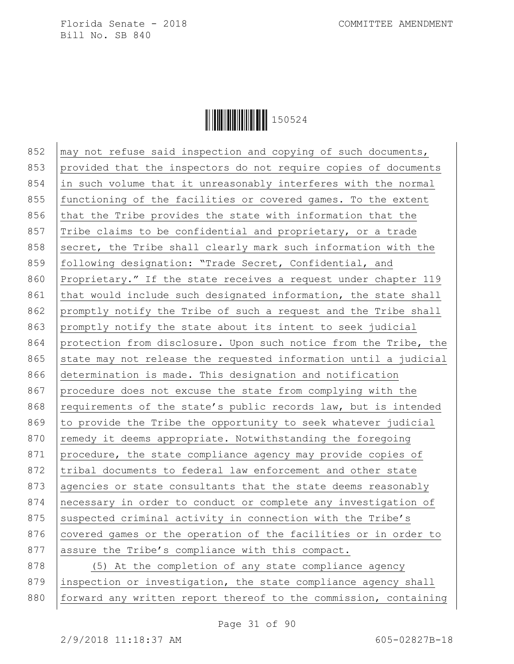

852  $\vert$  may not refuse said inspection and copying of such documents, 853 provided that the inspectors do not require copies of documents 854 in such volume that it unreasonably interferes with the normal 855 functioning of the facilities or covered games. To the extent 856  $\vert$  that the Tribe provides the state with information that the 857 Tribe claims to be confidential and proprietary, or a trade 858 secret, the Tribe shall clearly mark such information with the 859 following designation: "Trade Secret, Confidential, and 860 Proprietary." If the state receives a request under chapter 119 861 that would include such designated information, the state shall 862 promptly notify the Tribe of such a request and the Tribe shall 863 promptly notify the state about its intent to seek judicial 864 protection from disclosure. Upon such notice from the Tribe, the 865 state may not release the requested information until a judicial 866 determination is made. This designation and notification 867 procedure does not excuse the state from complying with the 868 requirements of the state's public records law, but is intended 869  $\vert$  to provide the Tribe the opportunity to seek whatever judicial 870  $\vert$  remedy it deems appropriate. Notwithstanding the foregoing 871 procedure, the state compliance agency may provide copies of 872 tribal documents to federal law enforcement and other state 873 agencies or state consultants that the state deems reasonably 874 necessary in order to conduct or complete any investigation of 875 suspected criminal activity in connection with the Tribe's 876 covered games or the operation of the facilities or in order to 877 assure the Tribe's compliance with this compact. 878 (5) At the completion of any state compliance agency 879 inspection or investigation, the state compliance agency shall 880 | forward any written report thereof to the commission, containing

Page 31 of 90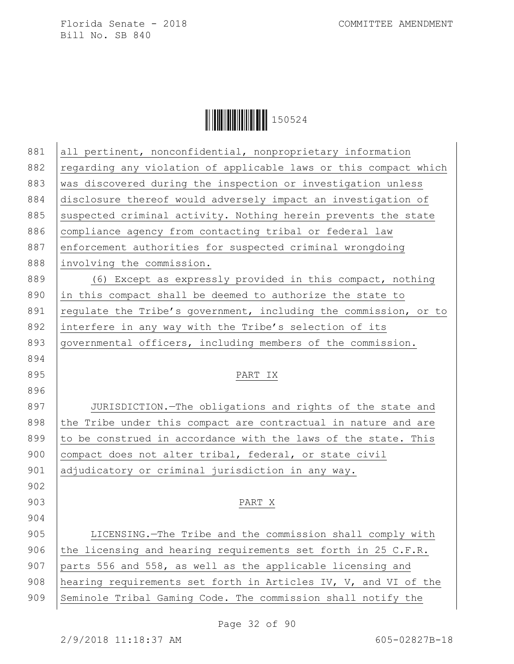**│││││││││││││││││** 150524

| 881 | all pertinent, nonconfidential, nonproprietary information       |
|-----|------------------------------------------------------------------|
| 882 | regarding any violation of applicable laws or this compact which |
| 883 | was discovered during the inspection or investigation unless     |
| 884 | disclosure thereof would adversely impact an investigation of    |
| 885 | suspected criminal activity. Nothing herein prevents the state   |
| 886 | compliance agency from contacting tribal or federal law          |
| 887 | enforcement authorities for suspected criminal wrongdoing        |
| 888 | involving the commission.                                        |
| 889 | (6) Except as expressly provided in this compact, nothing        |
| 890 | in this compact shall be deemed to authorize the state to        |
| 891 | requlate the Tribe's government, including the commission, or to |
| 892 | interfere in any way with the Tribe's selection of its           |
| 893 | governmental officers, including members of the commission.      |
| 894 |                                                                  |
| 895 | PART IX                                                          |
| 896 |                                                                  |
| 897 | JURISDICTION.-The obligations and rights of the state and        |
| 898 | the Tribe under this compact are contractual in nature and are   |
| 899 | to be construed in accordance with the laws of the state. This   |
| 900 | compact does not alter tribal, federal, or state civil           |
| 901 | adjudicatory or criminal jurisdiction in any way.                |
| 902 |                                                                  |
| 903 | PART X                                                           |
| 904 |                                                                  |
| 905 | LICENSING.-The Tribe and the commission shall comply with        |
| 906 | the licensing and hearing requirements set forth in 25 C.F.R.    |
| 907 | parts 556 and 558, as well as the applicable licensing and       |
| 908 | hearing requirements set forth in Articles IV, V, and VI of the  |
| 909 | Seminole Tribal Gaming Code. The commission shall notify the     |

Page 32 of 90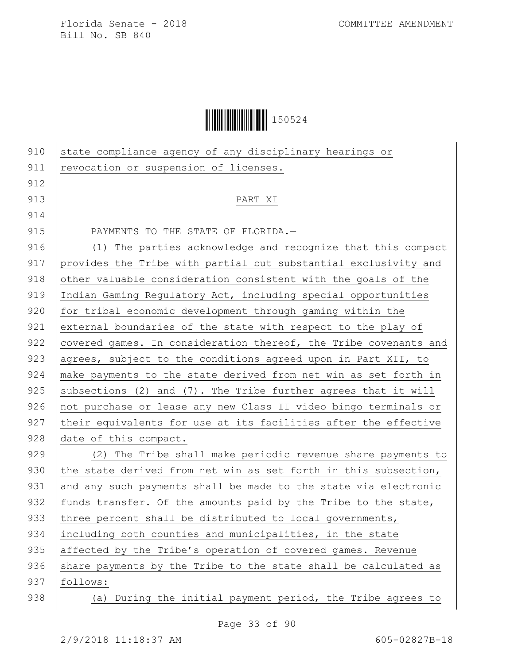| 910 | state compliance agency of any disciplinary hearings or          |
|-----|------------------------------------------------------------------|
| 911 | revocation or suspension of licenses.                            |
| 912 |                                                                  |
| 913 | PART XI                                                          |
| 914 |                                                                  |
| 915 | PAYMENTS TO THE STATE OF FLORIDA.-                               |
| 916 | The parties acknowledge and recognize that this compact<br>(1)   |
| 917 | provides the Tribe with partial but substantial exclusivity and  |
| 918 | other valuable consideration consistent with the goals of the    |
| 919 | Indian Gaming Regulatory Act, including special opportunities    |
| 920 | for tribal economic development through gaming within the        |
| 921 | external boundaries of the state with respect to the play of     |
| 922 | covered games. In consideration thereof, the Tribe covenants and |
| 923 | agrees, subject to the conditions agreed upon in Part XII, to    |
| 924 | make payments to the state derived from net win as set forth in  |
| 925 | subsections (2) and (7). The Tribe further agrees that it will   |
| 926 | not purchase or lease any new Class II video bingo terminals or  |
| 927 | their equivalents for use at its facilities after the effective  |
| 928 | date of this compact.                                            |
| 929 | (2) The Tribe shall make periodic revenue share payments to      |
| 930 | the state derived from net win as set forth in this subsection,  |
| 931 | and any such payments shall be made to the state via electronic  |
| 932 | funds transfer. Of the amounts paid by the Tribe to the state,   |
| 933 | three percent shall be distributed to local governments,         |
| 934 | including both counties and municipalities, in the state         |
| 935 | affected by the Tribe's operation of covered games. Revenue      |
| 936 | share payments by the Tribe to the state shall be calculated as  |
| 937 | follows:                                                         |
| 938 | (a) During the initial payment period, the Tribe agrees to       |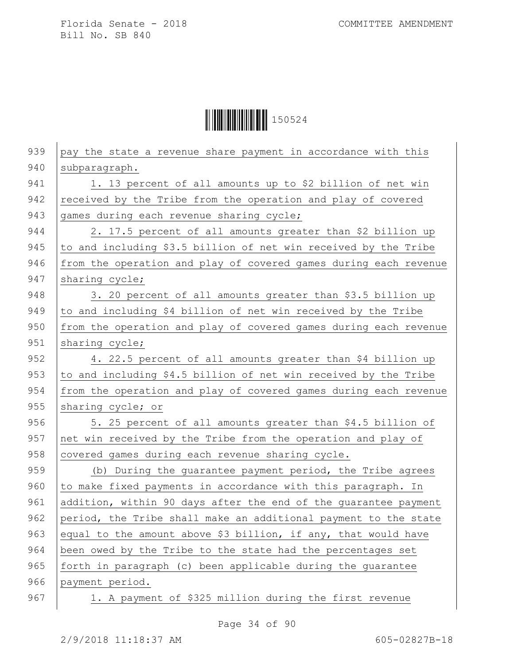| 939 | pay the state a revenue share payment in accordance with this    |
|-----|------------------------------------------------------------------|
| 940 | subparagraph.                                                    |
| 941 | 1. 13 percent of all amounts up to \$2 billion of net win        |
| 942 | received by the Tribe from the operation and play of covered     |
| 943 | games during each revenue sharing cycle;                         |
| 944 | 2. 17.5 percent of all amounts greater than \$2 billion up       |
| 945 | to and including \$3.5 billion of net win received by the Tribe  |
| 946 | from the operation and play of covered games during each revenue |
| 947 | sharing cycle;                                                   |
| 948 | 3. 20 percent of all amounts greater than \$3.5 billion up       |
| 949 | to and including \$4 billion of net win received by the Tribe    |
| 950 | from the operation and play of covered games during each revenue |
| 951 | sharing cycle;                                                   |
| 952 | 4. 22.5 percent of all amounts greater than \$4 billion up       |
| 953 | to and including \$4.5 billion of net win received by the Tribe  |
| 954 | from the operation and play of covered games during each revenue |
| 955 | sharing cycle; or                                                |
| 956 | 5. 25 percent of all amounts greater than \$4.5 billion of       |
| 957 | net win received by the Tribe from the operation and play of     |
| 958 | covered games during each revenue sharing cycle.                 |
| 959 | (b) During the guarantee payment period, the Tribe agrees        |
| 960 | to make fixed payments in accordance with this paragraph. In     |
| 961 | addition, within 90 days after the end of the guarantee payment  |
| 962 | period, the Tribe shall make an additional payment to the state  |
| 963 | equal to the amount above \$3 billion, if any, that would have   |
| 964 | been owed by the Tribe to the state had the percentages set      |
| 965 | forth in paragraph (c) been applicable during the guarantee      |
| 966 | payment period.                                                  |
| 967 | 1. A payment of \$325 million during the first revenue           |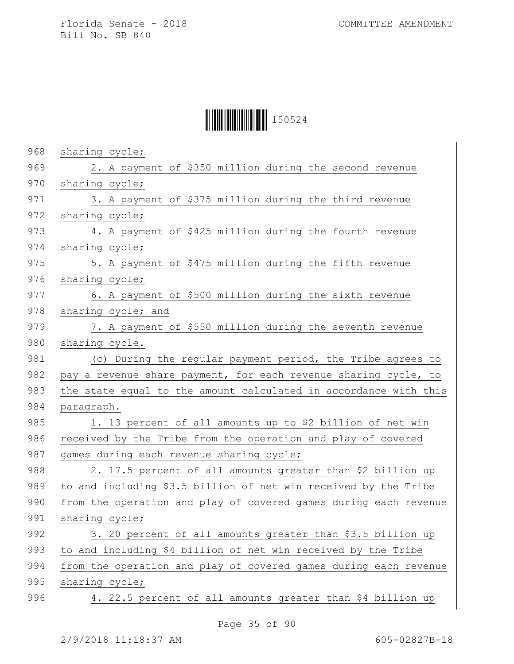| 968 | sharing cycle;                                                   |
|-----|------------------------------------------------------------------|
| 969 | 2. A payment of \$350 million during the second revenue          |
| 970 | sharing cycle;                                                   |
| 971 | 3. A payment of \$375 million during the third revenue           |
| 972 | sharing cycle;                                                   |
| 973 | 4. A payment of \$425 million during the fourth revenue          |
| 974 | sharing cycle;                                                   |
| 975 | 5. A payment of \$475 million during the fifth revenue           |
| 976 | sharing cycle;                                                   |
| 977 | 6. A payment of \$500 million during the sixth revenue           |
| 978 | sharing cycle; and                                               |
| 979 | 7. A payment of \$550 million during the seventh revenue         |
| 980 | sharing cycle.                                                   |
| 981 | (c) During the regular payment period, the Tribe agrees to       |
| 982 | pay a revenue share payment, for each revenue sharing cycle, to  |
| 983 | the state equal to the amount calculated in accordance with this |
| 984 | paragraph.                                                       |
| 985 | 1. 13 percent of all amounts up to \$2 billion of net win        |
| 986 | received by the Tribe from the operation and play of covered     |
| 987 | games during each revenue sharing cycle;                         |
| 988 | 2. 17.5 percent of all amounts greater than \$2 billion up       |
| 989 | to and including \$3.5 billion of net win received by the Tribe  |
| 990 | from the operation and play of covered games during each revenue |
| 991 | sharing cycle;                                                   |
| 992 | 3. 20 percent of all amounts greater than \$3.5 billion up       |
| 993 | to and including \$4 billion of net win received by the Tribe    |
| 994 | from the operation and play of covered games during each revenue |
| 995 | sharing cycle;                                                   |
| 996 | 4. 22.5 percent of all amounts greater than \$4 billion up       |
|     |                                                                  |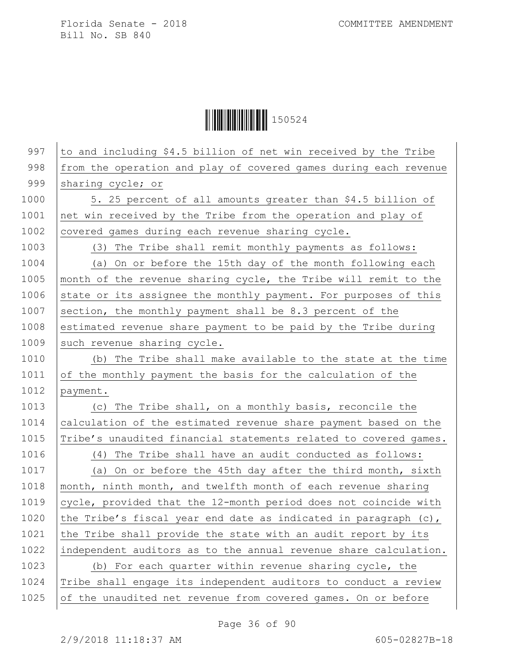| 997  | to and including \$4.5 billion of net win received by the Tribe  |
|------|------------------------------------------------------------------|
| 998  | from the operation and play of covered games during each revenue |
| 999  | sharing cycle; or                                                |
| 1000 | 5. 25 percent of all amounts greater than \$4.5 billion of       |
| 1001 | net win received by the Tribe from the operation and play of     |
| 1002 | covered games during each revenue sharing cycle.                 |
| 1003 | (3) The Tribe shall remit monthly payments as follows:           |
| 1004 | (a) On or before the 15th day of the month following each        |
| 1005 | month of the revenue sharing cycle, the Tribe will remit to the  |
| 1006 | state or its assignee the monthly payment. For purposes of this  |
| 1007 | section, the monthly payment shall be 8.3 percent of the         |
| 1008 | estimated revenue share payment to be paid by the Tribe during   |
| 1009 | such revenue sharing cycle.                                      |
| 1010 | (b) The Tribe shall make available to the state at the time      |
| 1011 | of the monthly payment the basis for the calculation of the      |
| 1012 | payment.                                                         |
| 1013 | (c) The Tribe shall, on a monthly basis, reconcile the           |
| 1014 | calculation of the estimated revenue share payment based on the  |
| 1015 | Tribe's unaudited financial statements related to covered games. |
| 1016 | (4) The Tribe shall have an audit conducted as follows:          |
| 1017 | (a) On or before the 45th day after the third month, sixth       |
| 1018 | month, ninth month, and twelfth month of each revenue sharing    |
| 1019 | cycle, provided that the 12-month period does not coincide with  |
| 1020 | the Tribe's fiscal year end date as indicated in paragraph (c),  |
| 1021 | the Tribe shall provide the state with an audit report by its    |
| 1022 | independent auditors as to the annual revenue share calculation. |
| 1023 | (b) For each quarter within revenue sharing cycle, the           |
| 1024 | Tribe shall engage its independent auditors to conduct a review  |
| 1025 | of the unaudited net revenue from covered games. On or before    |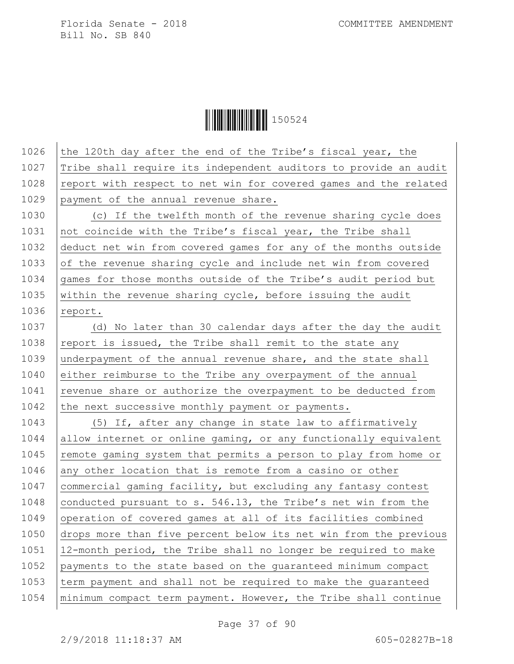**││││││││││││││** 150524

1026 the 120th day after the end of the Tribe's fiscal year, the 1027 Tribe shall require its independent auditors to provide an audit  $1028$  report with respect to net win for covered games and the related 1029 payment of the annual revenue share. 1030 (c) If the twelfth month of the revenue sharing cycle does 1031 not coincide with the Tribe's fiscal year, the Tribe shall 1032 deduct net win from covered games for any of the months outside 1033 of the revenue sharing cycle and include net win from covered 1034 games for those months outside of the Tribe's audit period but 1035 within the revenue sharing cycle, before issuing the audit  $1036$  report. 1037 (d) No later than 30 calendar days after the day the audit 1038 report is issued, the Tribe shall remit to the state any 1039 underpayment of the annual revenue share, and the state shall 1040 either reimburse to the Tribe any overpayment of the annual  $1041$  revenue share or authorize the overpayment to be deducted from 1042 the next successive monthly payment or payments. 1043 (5) If, after any change in state law to affirmatively 1044 allow internet or online gaming, or any functionally equivalent 1045 | remote gaming system that permits a person to play from home or 1046 any other location that is remote from a casino or other 1047 commercial gaming facility, but excluding any fantasy contest 1048 conducted pursuant to s. 546.13, the Tribe's net win from the 1049 operation of covered games at all of its facilities combined 1050 drops more than five percent below its net win from the previous 1051 12-month period, the Tribe shall no longer be required to make 1052 payments to the state based on the guaranteed minimum compact 1053 term payment and shall not be required to make the guaranteed 1054 minimum compact term payment. However, the Tribe shall continue

Page 37 of 90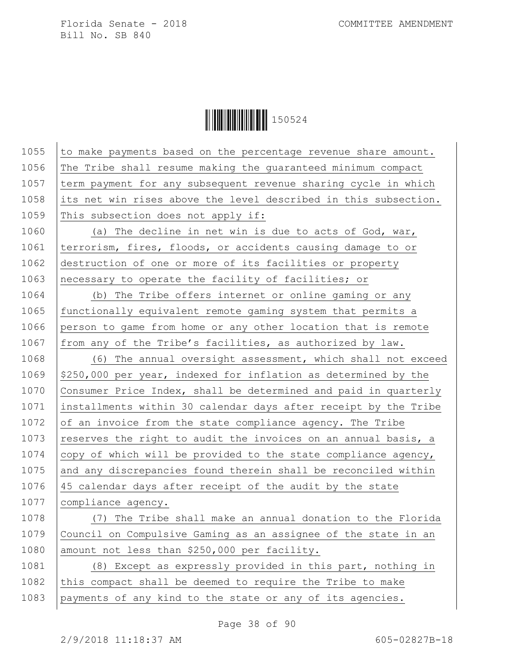**││││││││││││││** 150524

1055  $\vert$  to make payments based on the percentage revenue share amount. 1056 The Tribe shall resume making the guaranteed minimum compact 1057  $\times$  term payment for any subsequent revenue sharing cycle in which 1058 its net win rises above the level described in this subsection. 1059 This subsection does not apply if: 1060 (a) The decline in net win is due to acts of God, war, 1061 | terrorism, fires, floods, or accidents causing damage to or 1062 destruction of one or more of its facilities or property 1063 necessary to operate the facility of facilities; or 1064 (b) The Tribe offers internet or online gaming or any 1065 | functionally equivalent remote gaming system that permits a 1066 person to game from home or any other location that is remote 1067  $|$  from any of the Tribe's facilities, as authorized by law. 1068 (6) The annual oversight assessment, which shall not exceed 1069  $\frac{1}{250}$ ,000 per year, indexed for inflation as determined by the 1070 Consumer Price Index, shall be determined and paid in quarterly 1071 installments within 30 calendar days after receipt by the Tribe 1072 of an invoice from the state compliance agency. The Tribe 1073 reserves the right to audit the invoices on an annual basis, a 1074  $\vert$  copy of which will be provided to the state compliance agency, 1075 and any discrepancies found therein shall be reconciled within 1076 45 calendar days after receipt of the audit by the state 1077 compliance agency. 1078 (7) The Tribe shall make an annual donation to the Florida 1079 Council on Compulsive Gaming as an assignee of the state in an 1080 amount not less than \$250,000 per facility. 1081 (8) Except as expressly provided in this part, nothing in 1082 this compact shall be deemed to require the Tribe to make 1083 | payments of any kind to the state or any of its agencies.

Page 38 of 90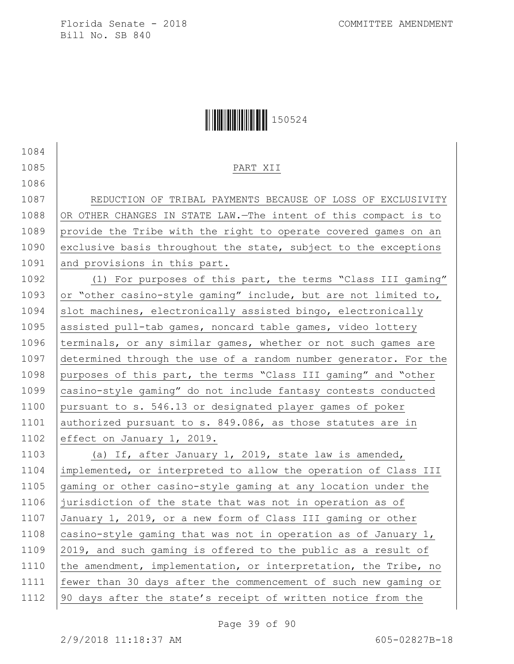1084

1086

## Ì150524}Î150524

#### 1085 PART XII

1087 | REDUCTION OF TRIBAL PAYMENTS BECAUSE OF LOSS OF EXCLUSIVITY 1088 OR OTHER CHANGES IN STATE LAW. -The intent of this compact is to 1089 provide the Tribe with the right to operate covered games on an 1090 exclusive basis throughout the state, subject to the exceptions 1091 and provisions in this part.

1092 (1) For purposes of this part, the terms "Class III gaming" 1093 or "other casino-style gaming" include, but are not limited to, 1094  $\vert$  slot machines, electronically assisted bingo, electronically 1095 assisted pull-tab games, noncard table games, video lottery 1096 terminals, or any similar games, whether or not such games are 1097 determined through the use of a random number generator. For the 1098 purposes of this part, the terms "Class III gaming" and "other 1099 casino-style gaming" do not include fantasy contests conducted 1100 pursuant to s. 546.13 or designated player games of poker 1101 authorized pursuant to s. 849.086, as those statutes are in 1102 effect on January 1, 2019.

1103 (a) If, after January 1, 2019, state law is amended, implemented, or interpreted to allow the operation of Class III 1105 gaming or other casino-style gaming at any location under the jurisdiction of the state that was not in operation as of January 1, 2019, or a new form of Class III gaming or other  $\vert$  casino-style gaming that was not in operation as of January 1, 2019, and such gaming is offered to the public as a result of 1110 the amendment, implementation, or interpretation, the Tribe, no fewer than 30 days after the commencement of such new gaming or 90 days after the state's receipt of written notice from the

Page 39 of 90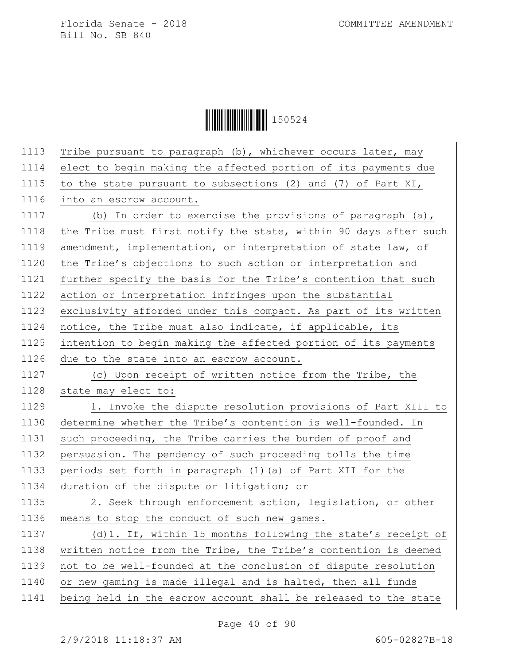**│││││││││││││││││** 150524

| 1113 | Tribe pursuant to paragraph (b), whichever occurs later, may     |
|------|------------------------------------------------------------------|
| 1114 | elect to begin making the affected portion of its payments due   |
| 1115 | to the state pursuant to subsections (2) and (7) of Part XI,     |
| 1116 | into an escrow account.                                          |
| 1117 | (b) In order to exercise the provisions of paragraph (a),        |
| 1118 | the Tribe must first notify the state, within 90 days after such |
| 1119 | amendment, implementation, or interpretation of state law, of    |
| 1120 | the Tribe's objections to such action or interpretation and      |
| 1121 | further specify the basis for the Tribe's contention that such   |
| 1122 | action or interpretation infringes upon the substantial          |
| 1123 | exclusivity afforded under this compact. As part of its written  |
| 1124 | notice, the Tribe must also indicate, if applicable, its         |
| 1125 | intention to begin making the affected portion of its payments   |
| 1126 | due to the state into an escrow account.                         |
| 1127 | (c) Upon receipt of written notice from the Tribe, the           |
| 1128 | state may elect to:                                              |
| 1129 | 1. Invoke the dispute resolution provisions of Part XIII to      |
| 1130 | determine whether the Tribe's contention is well-founded. In     |
| 1131 | such proceeding, the Tribe carries the burden of proof and       |
| 1132 | persuasion. The pendency of such proceeding tolls the time       |
| 1133 | periods set forth in paragraph (1) (a) of Part XII for the       |
| 1134 | duration of the dispute or litigation; or                        |
| 1135 | 2. Seek through enforcement action, legislation, or other        |
| 1136 | means to stop the conduct of such new games.                     |
| 1137 | (d) 1. If, within 15 months following the state's receipt of     |
| 1138 | written notice from the Tribe, the Tribe's contention is deemed  |
| 1139 | not to be well-founded at the conclusion of dispute resolution   |
| 1140 | or new gaming is made illegal and is halted, then all funds      |
| 1141 | being held in the escrow account shall be released to the state  |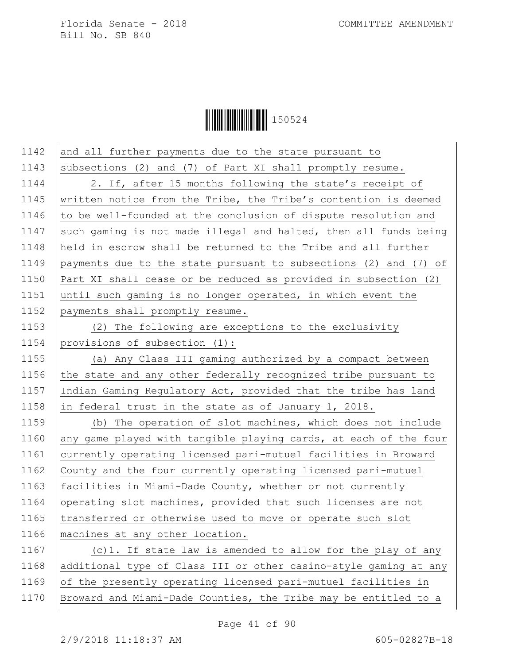

1142 and all further payments due to the state pursuant to 1143 subsections (2) and (7) of Part XI shall promptly resume. 1144 | 2. If, after 15 months following the state's receipt of 1145 | written notice from the Tribe, the Tribe's contention is deemed 1146  $\vert$  to be well-founded at the conclusion of dispute resolution and 1147 such gaming is not made illegal and halted, then all funds being 1148 held in escrow shall be returned to the Tribe and all further 1149 payments due to the state pursuant to subsections (2) and (7) of 1150 Part XI shall cease or be reduced as provided in subsection (2) 1151 until such gaming is no longer operated, in which event the 1152 payments shall promptly resume. 1153 (2) The following are exceptions to the exclusivity 1154 provisions of subsection (1): 1155 (a) Any Class III gaming authorized by a compact between 1156  $\vert$  the state and any other federally recognized tribe pursuant to 1157 Indian Gaming Regulatory Act, provided that the tribe has land 1158 in federal trust in the state as of January 1, 2018. 1159 (b) The operation of slot machines, which does not include 1160 any game played with tangible playing cards, at each of the four 1161 currently operating licensed pari-mutuel facilities in Broward 1162 County and the four currently operating licensed pari-mutuel 1163 facilities in Miami-Dade County, whether or not currently 1164 operating slot machines, provided that such licenses are not 1165 transferred or otherwise used to move or operate such slot 1166 | machines at any other location. 1167 (c)1. If state law is amended to allow for the play of any 1168 additional type of Class III or other casino-style gaming at any 1169 of the presently operating licensed pari-mutuel facilities in 1170 Broward and Miami-Dade Counties, the Tribe may be entitled to a

Page 41 of 90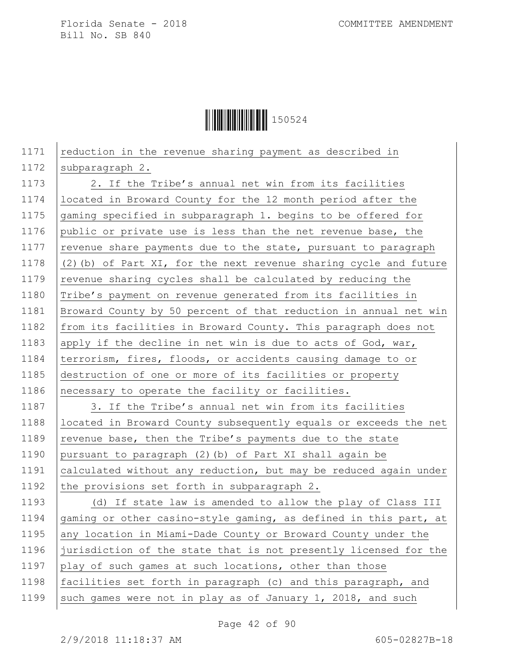**││││││││││││││** 150524

1171 reduction in the revenue sharing payment as described in 1172 subparagraph 2. 1173 | 2. If the Tribe's annual net win from its facilities 1174 located in Broward County for the 12 month period after the 1175 gaming specified in subparagraph 1. begins to be offered for 1176 public or private use is less than the net revenue base, the 1177  $\vert$  revenue share payments due to the state, pursuant to paragraph 1178  $(2)$  (b) of Part XI, for the next revenue sharing cycle and future 1179 revenue sharing cycles shall be calculated by reducing the 1180 Tribe's payment on revenue generated from its facilities in 1181 Broward County by 50 percent of that reduction in annual net win 1182 from its facilities in Broward County. This paragraph does not 1183 apply if the decline in net win is due to acts of God, war, 1184 | terrorism, fires, floods, or accidents causing damage to or 1185 destruction of one or more of its facilities or property 1186 necessary to operate the facility or facilities. 1187 3. If the Tribe's annual net win from its facilities 1188 | located in Broward County subsequently equals or exceeds the net 1189  $\vert$  revenue base, then the Tribe's payments due to the state 1190 pursuant to paragraph (2)(b) of Part XI shall again be 1191 calculated without any reduction, but may be reduced again under 1192 the provisions set forth in subparagraph 2. 1193 (d) If state law is amended to allow the play of Class III 1194 gaming or other casino-style gaming, as defined in this part, at 1195 any location in Miami-Dade County or Broward County under the 1196 jurisdiction of the state that is not presently licensed for the 1197 play of such games at such locations, other than those 1198 facilities set forth in paragraph (c) and this paragraph, and 1199 such games were not in play as of January 1, 2018, and such

Page 42 of 90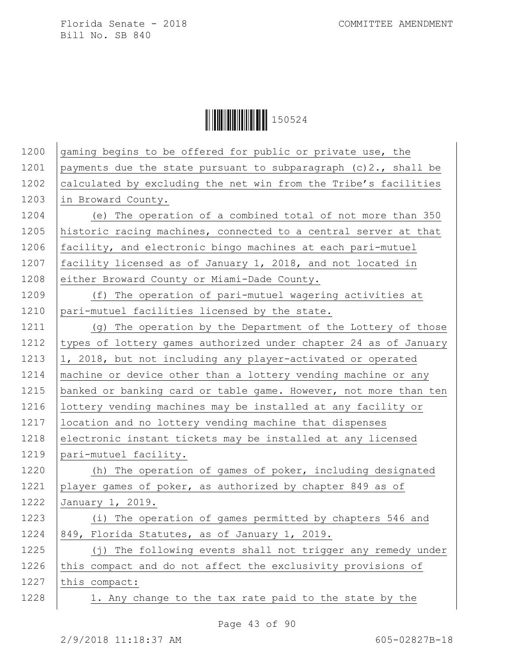**│││││││││││││││││** 150524

| 1200 | gaming begins to be offered for public or private use, the         |
|------|--------------------------------------------------------------------|
| 1201 | payments due the state pursuant to subparagraph $(c)$ 2., shall be |
| 1202 | calculated by excluding the net win from the Tribe's facilities    |
| 1203 | in Broward County.                                                 |
| 1204 | (e) The operation of a combined total of not more than 350         |
| 1205 | historic racing machines, connected to a central server at that    |
| 1206 | facility, and electronic bingo machines at each pari-mutuel        |
| 1207 | facility licensed as of January 1, 2018, and not located in        |
| 1208 | either Broward County or Miami-Dade County.                        |
| 1209 | (f) The operation of pari-mutuel wagering activities at            |
| 1210 | pari-mutuel facilities licensed by the state.                      |
| 1211 | (g) The operation by the Department of the Lottery of those        |
| 1212 | types of lottery games authorized under chapter 24 as of January   |
| 1213 | 1, 2018, but not including any player-activated or operated        |
| 1214 | machine or device other than a lottery vending machine or any      |
| 1215 | banked or banking card or table game. However, not more than ten   |
| 1216 | lottery vending machines may be installed at any facility or       |
| 1217 | location and no lottery vending machine that dispenses             |
| 1218 | electronic instant tickets may be installed at any licensed        |
| 1219 | pari-mutuel facility.                                              |
| 1220 | (h) The operation of games of poker, including designated          |
| 1221 | player games of poker, as authorized by chapter 849 as of          |
| 1222 | January 1, 2019.                                                   |
| 1223 | (i) The operation of games permitted by chapters 546 and           |
| 1224 | 849, Florida Statutes, as of January 1, 2019.                      |
| 1225 | (j) The following events shall not trigger any remedy under        |
| 1226 | this compact and do not affect the exclusivity provisions of       |
| 1227 | this compact:                                                      |
| 1228 | 1. Any change to the tax rate paid to the state by the             |

Page 43 of 90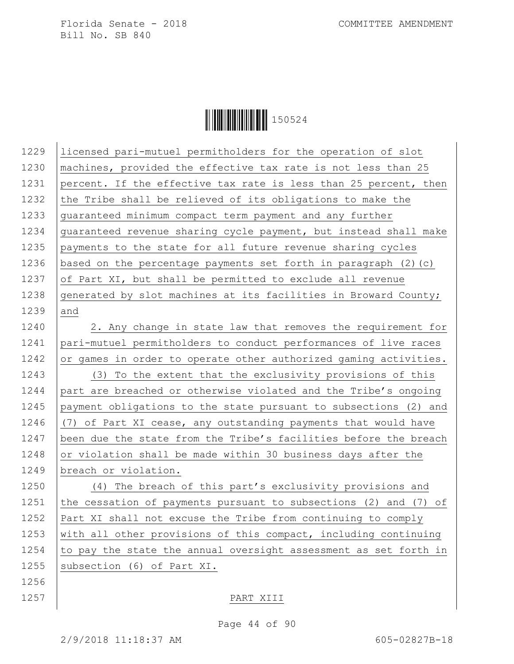**|| || || || || || || || || || || ||** 150524

| 1229 | licensed pari-mutuel permitholders for the operation of slot      |
|------|-------------------------------------------------------------------|
| 1230 | machines, provided the effective tax rate is not less than 25     |
| 1231 | percent. If the effective tax rate is less than 25 percent, then  |
| 1232 | the Tribe shall be relieved of its obligations to make the        |
| 1233 | guaranteed minimum compact term payment and any further           |
| 1234 | guaranteed revenue sharing cycle payment, but instead shall make  |
| 1235 | payments to the state for all future revenue sharing cycles       |
| 1236 | based on the percentage payments set forth in paragraph $(2)$ (c) |
| 1237 | of Part XI, but shall be permitted to exclude all revenue         |
| 1238 | generated by slot machines at its facilities in Broward County;   |
| 1239 | and                                                               |
| 1240 | 2. Any change in state law that removes the requirement for       |
| 1241 | pari-mutuel permitholders to conduct performances of live races   |
| 1242 | or games in order to operate other authorized gaming activities.  |
| 1243 | To the extent that the exclusivity provisions of this<br>(3)      |
| 1244 | part are breached or otherwise violated and the Tribe's ongoing   |
| 1245 | payment obligations to the state pursuant to subsections (2) and  |
| 1246 | (7) of Part XI cease, any outstanding payments that would have    |
| 1247 | been due the state from the Tribe's facilities before the breach  |
| 1248 | or violation shall be made within 30 business days after the      |
| 1249 | breach or violation.                                              |
| 1250 | (4) The breach of this part's exclusivity provisions and          |
| 1251 | the cessation of payments pursuant to subsections (2) and (7) of  |
| 1252 | Part XI shall not excuse the Tribe from continuing to comply      |
| 1253 | with all other provisions of this compact, including continuing   |
| 1254 | to pay the state the annual oversight assessment as set forth in  |
| 1255 | subsection (6) of Part XI.                                        |
| 1256 |                                                                   |

### 1257 PART XIII

Page 44 of 90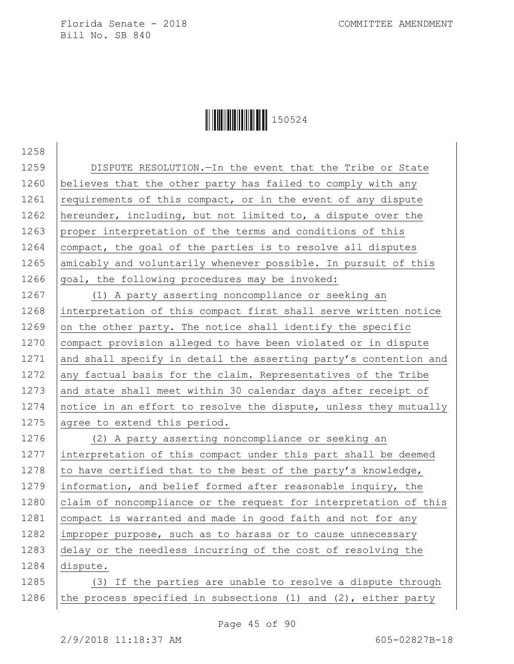1258

Ì150524}Î150524

1259 | DISPUTE RESOLUTION. - In the event that the Tribe or State 1260 believes that the other party has failed to comply with any 1261 requirements of this compact, or in the event of any dispute 1262 hereunder, including, but not limited to, a dispute over the 1263 proper interpretation of the terms and conditions of this 1264  $\vert$  compact, the goal of the parties is to resolve all disputes 1265 amicably and voluntarily whenever possible. In pursuit of this 1266 goal, the following procedures may be invoked:

1267 (1) A party asserting noncompliance or seeking an 1268 interpretation of this compact first shall serve written notice 1269 on the other party. The notice shall identify the specific 1270 compact provision alleged to have been violated or in dispute 1271 and shall specify in detail the asserting party's contention and 1272 any factual basis for the claim. Representatives of the Tribe 1273 and state shall meet within 30 calendar days after receipt of 1274 notice in an effort to resolve the dispute, unless they mutually 1275 agree to extend this period.

1276 (2) A party asserting noncompliance or seeking an 1277 interpretation of this compact under this part shall be deemed 1278 to have certified that to the best of the party's knowledge, 1279 information, and belief formed after reasonable inquiry, the 1280 claim of noncompliance or the request for interpretation of this 1281 compact is warranted and made in good faith and not for any 1282 improper purpose, such as to harass or to cause unnecessary 1283 delay or the needless incurring of the cost of resolving the 1284 dispute.

1285 (3) If the parties are unable to resolve a dispute through 1286 the process specified in subsections (1) and (2), either party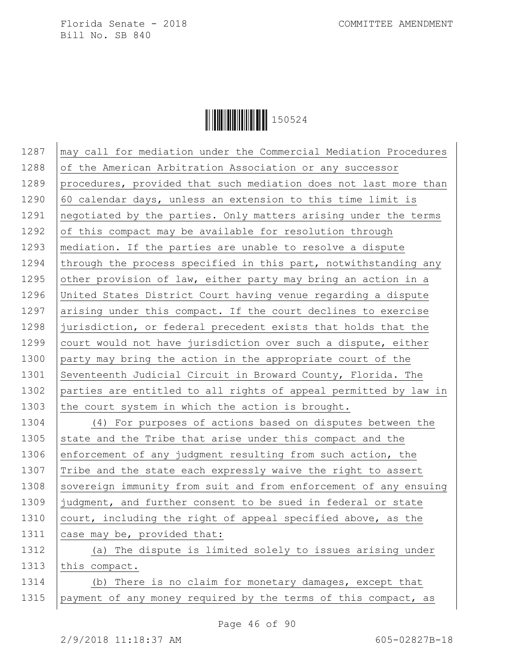

1287 | may call for mediation under the Commercial Mediation Procedures 1288 of the American Arbitration Association or any successor 1289 procedures, provided that such mediation does not last more than 1290  $\vert$  60 calendar days, unless an extension to this time limit is 1291 | negotiated by the parties. Only matters arising under the terms 1292  $\vert$  of this compact may be available for resolution through 1293 | mediation. If the parties are unable to resolve a dispute 1294 through the process specified in this part, notwithstanding any 1295 other provision of law, either party may bring an action in a 1296 United States District Court having venue regarding a dispute 1297 arising under this compact. If the court declines to exercise 1298 jurisdiction, or federal precedent exists that holds that the 1299  $\vert$  court would not have jurisdiction over such a dispute, either 1300 party may bring the action in the appropriate court of the 1301 Seventeenth Judicial Circuit in Broward County, Florida. The 1302 parties are entitled to all rights of appeal permitted by law in 1303 the court system in which the action is brought.

1304 (4) For purposes of actions based on disputes between the 1305 state and the Tribe that arise under this compact and the 1306 enforcement of any judgment resulting from such action, the 1307 Tribe and the state each expressly waive the right to assert 1308 Sovereign immunity from suit and from enforcement of any ensuing 1309 judgment, and further consent to be sued in federal or state 1310  $\vert$  court, including the right of appeal specified above, as the 1311 case may be, provided that:

1312 (a) The dispute is limited solely to issues arising under 1313 this compact. 1314 (b) There is no claim for monetary damages, except that

1315 payment of any money required by the terms of this compact, as

Page 46 of 90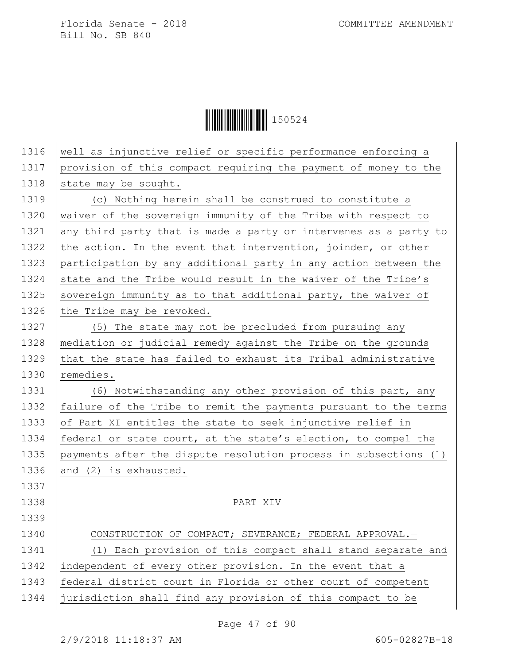**│││││││││││││││││** 150524

| 1316 | well as injunctive relief or specific performance enforcing a    |
|------|------------------------------------------------------------------|
| 1317 | provision of this compact requiring the payment of money to the  |
| 1318 | state may be sought.                                             |
| 1319 | (c) Nothing herein shall be construed to constitute a            |
| 1320 | waiver of the sovereign immunity of the Tribe with respect to    |
| 1321 | any third party that is made a party or intervenes as a party to |
| 1322 | the action. In the event that intervention, joinder, or other    |
| 1323 | participation by any additional party in any action between the  |
| 1324 | state and the Tribe would result in the waiver of the Tribe's    |
| 1325 | sovereign immunity as to that additional party, the waiver of    |
| 1326 | the Tribe may be revoked.                                        |
| 1327 | (5) The state may not be precluded from pursuing any             |
| 1328 | mediation or judicial remedy against the Tribe on the grounds    |
| 1329 | that the state has failed to exhaust its Tribal administrative   |
| 1330 | remedies.                                                        |
| 1331 | (6) Notwithstanding any other provision of this part, any        |
| 1332 | failure of the Tribe to remit the payments pursuant to the terms |
| 1333 | of Part XI entitles the state to seek injunctive relief in       |
| 1334 | federal or state court, at the state's election, to compel the   |
| 1335 | payments after the dispute resolution process in subsections (1) |
| 1336 | and (2) is exhausted.                                            |
| 1337 |                                                                  |
| 1338 | PART XIV                                                         |
| 1339 |                                                                  |
| 1340 | CONSTRUCTION OF COMPACT; SEVERANCE; FEDERAL APPROVAL.-           |
| 1341 | (1) Each provision of this compact shall stand separate and      |
| 1342 | independent of every other provision. In the event that a        |
| 1343 | federal district court in Florida or other court of competent    |
| 1344 | jurisdiction shall find any provision of this compact to be      |

Page 47 of 90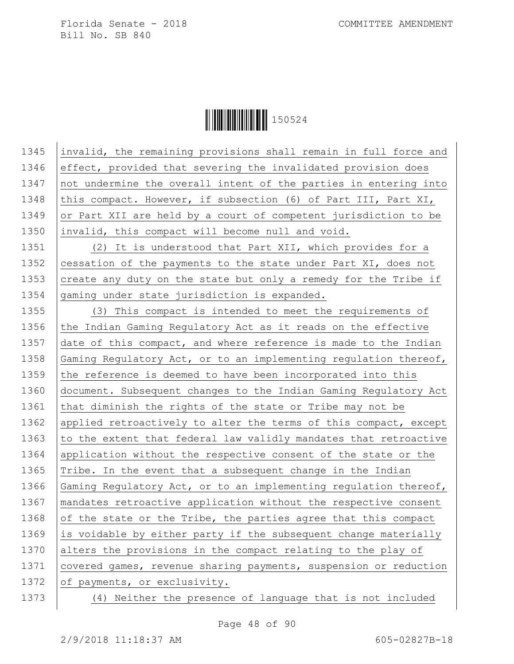

1345 invalid, the remaining provisions shall remain in full force and 1346 effect, provided that severing the invalidated provision does 1347 not undermine the overall intent of the parties in entering into 1348 this compact. However, if subsection (6) of Part III, Part XI, 1349 or Part XII are held by a court of competent jurisdiction to be 1350 invalid, this compact will become null and void.

1351 (2) It is understood that Part XII, which provides for a 1352 cessation of the payments to the state under Part XI, does not 1353 create any duty on the state but only a remedy for the Tribe if 1354 gaming under state jurisdiction is expanded.

1355 (3) This compact is intended to meet the requirements of 1356 the Indian Gaming Regulatory Act as it reads on the effective 1357 date of this compact, and where reference is made to the Indian 1358 Gaming Regulatory Act, or to an implementing regulation thereof, 1359 the reference is deemed to have been incorporated into this 1360 document. Subsequent changes to the Indian Gaming Regulatory Act 1361 that diminish the rights of the state or Tribe may not be 1362 applied retroactively to alter the terms of this compact, except 1363  $\vert$  to the extent that federal law validly mandates that retroactive 1364 application without the respective consent of the state or the 1365  $\vert$ Tribe. In the event that a subsequent change in the Indian 1366 Gaming Regulatory Act, or to an implementing regulation thereof, 1367 mandates retroactive application without the respective consent 1368 of the state or the Tribe, the parties agree that this compact 1369 is voidable by either party if the subsequent change materially 1370 alters the provisions in the compact relating to the play of 1371 covered games, revenue sharing payments, suspension or reduction 1372 of payments, or exclusivity.

1373 (4) Neither the presence of language that is not included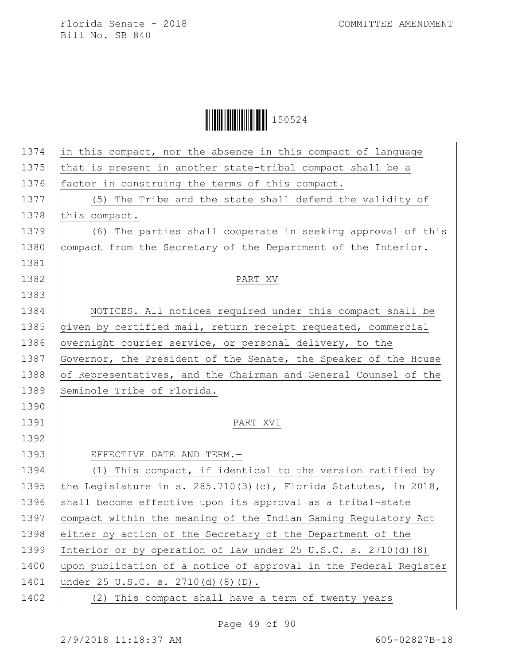## **│││││││││││││││││** 150524

| 1374 | in this compact, nor the absence in this compact of language          |
|------|-----------------------------------------------------------------------|
| 1375 | that is present in another state-tribal compact shall be a            |
| 1376 | factor in construing the terms of this compact.                       |
| 1377 | (5) The Tribe and the state shall defend the validity of              |
| 1378 | this compact.                                                         |
| 1379 | (6) The parties shall cooperate in seeking approval of this           |
| 1380 | compact from the Secretary of the Department of the Interior.         |
| 1381 |                                                                       |
| 1382 | PART XV                                                               |
| 1383 |                                                                       |
| 1384 | NOTICES.-All notices required under this compact shall be             |
| 1385 | given by certified mail, return receipt requested, commercial         |
| 1386 | overnight courier service, or personal delivery, to the               |
| 1387 | Governor, the President of the Senate, the Speaker of the House       |
| 1388 | of Representatives, and the Chairman and General Counsel of the       |
| 1389 | Seminole Tribe of Florida.                                            |
| 1390 |                                                                       |
| 1391 | PART XVI                                                              |
| 1392 |                                                                       |
| 1393 | EFFECTIVE DATE AND TERM.-                                             |
| 1394 | (1) This compact, if identical to the version ratified by             |
| 1395 | the Legislature in s. $285.710(3)(c)$ , Florida Statutes, in $2018$ , |
| 1396 | shall become effective upon its approval as a tribal-state            |
| 1397 | compact within the meaning of the Indian Gaming Requlatory Act        |
| 1398 | either by action of the Secretary of the Department of the            |
| 1399 | Interior or by operation of law under 25 U.S.C. s. 2710(d) (8)        |
| 1400 | upon publication of a notice of approval in the Federal Register      |
| 1401 | under 25 U.S.C. s. 2710(d)(8)(D).                                     |
| 1402 | (2) This compact shall have a term of twenty years                    |
|      |                                                                       |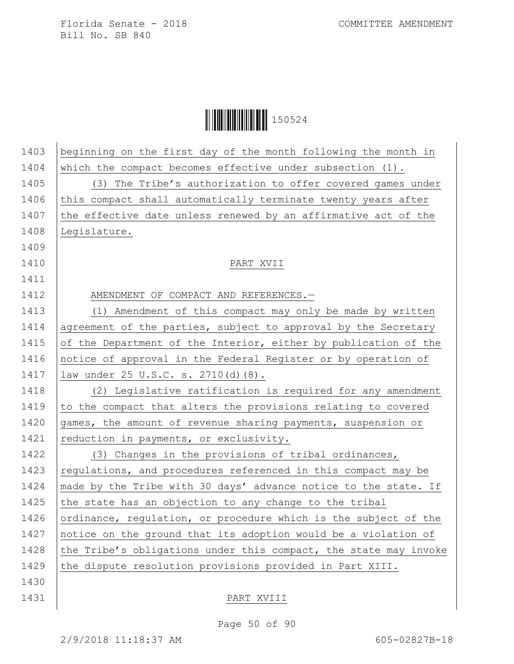# **│││││││││││││││││** 150524

| 1403 | beginning on the first day of the month following the month in   |
|------|------------------------------------------------------------------|
| 1404 | which the compact becomes effective under subsection $(1)$ .     |
| 1405 | (3) The Tribe's authorization to offer covered games under       |
| 1406 | this compact shall automatically terminate twenty years after    |
| 1407 | the effective date unless renewed by an affirmative act of the   |
| 1408 | Legislature.                                                     |
| 1409 |                                                                  |
| 1410 | PART XVII                                                        |
| 1411 |                                                                  |
| 1412 | AMENDMENT OF COMPACT AND REFERENCES.-                            |
| 1413 | (1) Amendment of this compact may only be made by written        |
| 1414 | agreement of the parties, subject to approval by the Secretary   |
| 1415 | of the Department of the Interior, either by publication of the  |
| 1416 | notice of approval in the Federal Register or by operation of    |
| 1417 | law under 25 U.S.C. s. 2710(d) (8).                              |
| 1418 | (2) Legislative ratification is required for any amendment       |
| 1419 | to the compact that alters the provisions relating to covered    |
| 1420 | games, the amount of revenue sharing payments, suspension or     |
| 1421 | reduction in payments, or exclusivity.                           |
| 1422 | (3) Changes in the provisions of tribal ordinances,              |
| 1423 | regulations, and procedures referenced in this compact may be    |
| 1424 | made by the Tribe with 30 days' advance notice to the state. If  |
| 1425 | the state has an objection to any change to the tribal           |
| 1426 | ordinance, regulation, or procedure which is the subject of the  |
| 1427 | notice on the ground that its adoption would be a violation of   |
| 1428 | the Tribe's obligations under this compact, the state may invoke |
| 1429 | the dispute resolution provisions provided in Part XIII.         |
| 1430 |                                                                  |
| 1431 | PART XVIII                                                       |

#### Page 50 of 90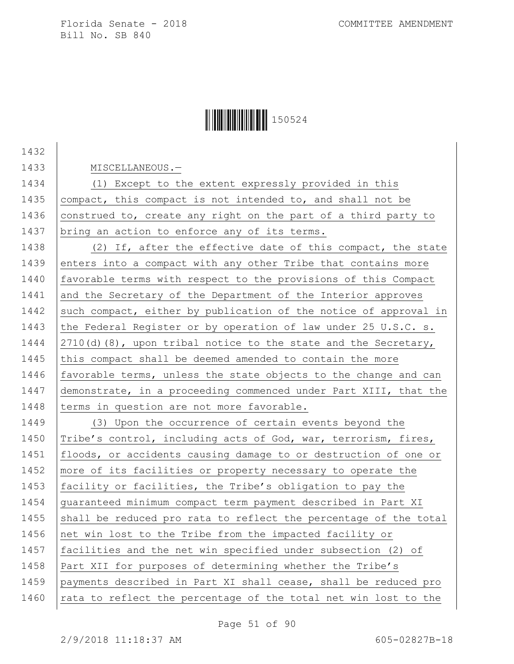## Ì150524}Î150524

1432 1433 | MISCELLANEOUS.-1434 (1) Except to the extent expressly provided in this 1435 compact, this compact is not intended to, and shall not be 1436 construed to, create any right on the part of a third party to 1437 bring an action to enforce any of its terms. 1438 (2) If, after the effective date of this compact, the state 1439 enters into a compact with any other Tribe that contains more 1440 favorable terms with respect to the provisions of this Compact 1441 and the Secretary of the Department of the Interior approves 1442 such compact, either by publication of the notice of approval in 1443 the Federal Register or by operation of law under 25 U.S.C. s. 1444  $\vert$  2710(d)(8), upon tribal notice to the state and the Secretary, 1445 this compact shall be deemed amended to contain the more 1446  $\vert$  favorable terms, unless the state objects to the change and can 1447 demonstrate, in a proceeding commenced under Part XIII, that the 1448 terms in question are not more favorable. 1449 (3) Upon the occurrence of certain events beyond the 1450 Tribe's control, including acts of God, war, terrorism, fires, 1451 floods, or accidents causing damage to or destruction of one or 1452 | more of its facilities or property necessary to operate the 1453 facility or facilities, the Tribe's obligation to pay the 1454 guaranteed minimum compact term payment described in Part XI 1455 shall be reduced pro rata to reflect the percentage of the total 1456 net win lost to the Tribe from the impacted facility or 1457 facilities and the net win specified under subsection (2) of 1458 Part XII for purposes of determining whether the Tribe's 1459 payments described in Part XI shall cease, shall be reduced pro 1460  $\vert$  rata to reflect the percentage of the total net win lost to the

Page 51 of 90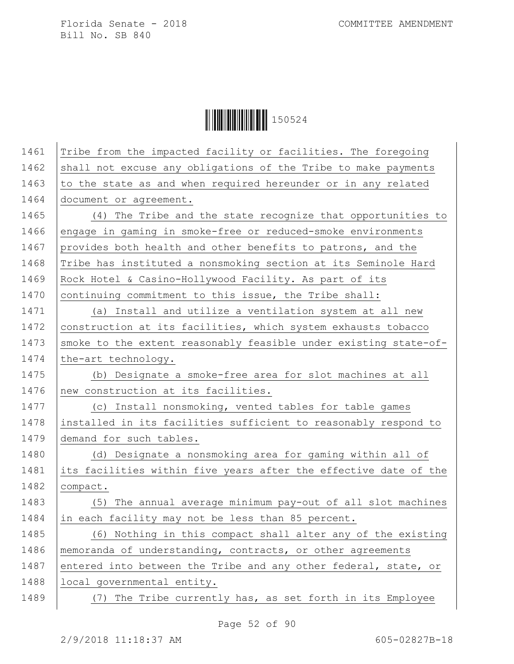**│││││││││││││││││** 150524

| 1461 | Tribe from the impacted facility or facilities. The foregoing    |
|------|------------------------------------------------------------------|
| 1462 | shall not excuse any obligations of the Tribe to make payments   |
| 1463 | to the state as and when required hereunder or in any related    |
| 1464 | document or agreement.                                           |
| 1465 | (4) The Tribe and the state recognize that opportunities to      |
| 1466 | engage in gaming in smoke-free or reduced-smoke environments     |
| 1467 | provides both health and other benefits to patrons, and the      |
| 1468 | Tribe has instituted a nonsmoking section at its Seminole Hard   |
| 1469 | Rock Hotel & Casino-Hollywood Facility. As part of its           |
| 1470 | continuing commitment to this issue, the Tribe shall:            |
| 1471 | (a) Install and utilize a ventilation system at all new          |
| 1472 | construction at its facilities, which system exhausts tobacco    |
| 1473 | smoke to the extent reasonably feasible under existing state-of- |
| 1474 | the-art technology.                                              |
| 1475 | (b) Designate a smoke-free area for slot machines at all         |
| 1476 | new construction at its facilities.                              |
| 1477 | (c) Install nonsmoking, vented tables for table games            |
| 1478 | installed in its facilities sufficient to reasonably respond to  |
| 1479 | demand for such tables.                                          |
| 1480 | (d) Designate a nonsmoking area for gaming within all of         |
| 1481 | its facilities within five years after the effective date of the |
| 1482 | compact.                                                         |
| 1483 | (5) The annual average minimum pay-out of all slot machines      |
| 1484 | in each facility may not be less than 85 percent.                |
| 1485 | (6) Nothing in this compact shall alter any of the existing      |
| 1486 | memoranda of understanding, contracts, or other agreements       |
| 1487 | entered into between the Tribe and any other federal, state, or  |
| 1488 | local governmental entity.                                       |
| 1489 | (7) The Tribe currently has, as set forth in its Employee        |
|      |                                                                  |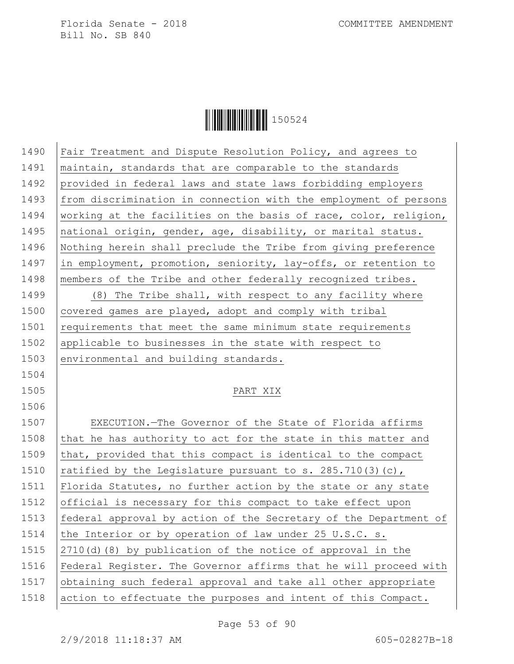

1490 | Fair Treatment and Dispute Resolution Policy, and agrees to 1491 | maintain, standards that are comparable to the standards 1492 provided in federal laws and state laws forbidding employers 1493 from discrimination in connection with the employment of persons 1494 | working at the facilities on the basis of race, color, religion, 1495 national origin, gender, age, disability, or marital status. 1496 Nothing herein shall preclude the Tribe from giving preference 1497 in employment, promotion, seniority, lay-offs, or retention to 1498 members of the Tribe and other federally recognized tribes. 1499 (8) The Tribe shall, with respect to any facility where 1500 covered games are played, adopt and comply with tribal 1501 requirements that meet the same minimum state requirements 1502 applicable to businesses in the state with respect to 1503 environmental and building standards. 1504 1505 PART XIX 1506 1507 EXECUTION.—The Governor of the State of Florida affirms 1508 that he has authority to act for the state in this matter and

1509 that, provided that this compact is identical to the compact 1510  $rational$  ratified by the Legislature pursuant to s. 285.710(3)(c), 1511 Florida Statutes, no further action by the state or any state 1512 official is necessary for this compact to take effect upon 1513 federal approval by action of the Secretary of the Department of 1514 the Interior or by operation of law under 25 U.S.C. s. 1515  $\left( 2710\right)$  (8) by publication of the notice of approval in the 1516 Federal Register. The Governor affirms that he will proceed with 1517 obtaining such federal approval and take all other appropriate 1518 action to effectuate the purposes and intent of this Compact.

Page 53 of 90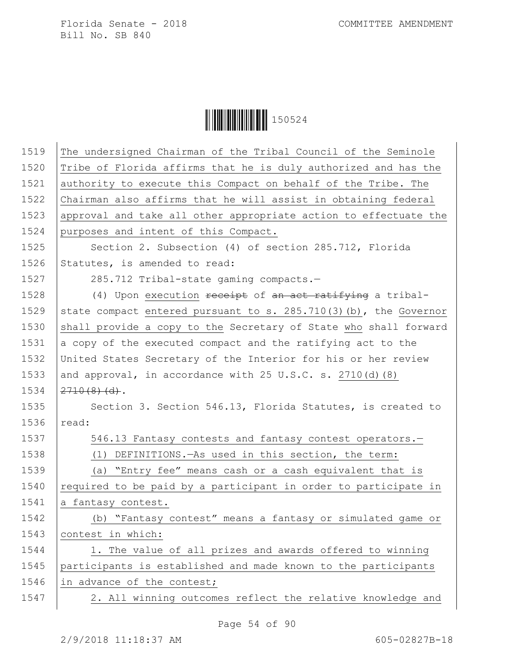**│││││││││││││││││** 150524

| 1519 | The undersigned Chairman of the Tribal Council of the Seminole                 |
|------|--------------------------------------------------------------------------------|
| 1520 | Tribe of Florida affirms that he is duly authorized and has the                |
| 1521 | authority to execute this Compact on behalf of the Tribe. The                  |
| 1522 | Chairman also affirms that he will assist in obtaining federal                 |
| 1523 | approval and take all other appropriate action to effectuate the               |
| 1524 | purposes and intent of this Compact.                                           |
| 1525 | Section 2. Subsection (4) of section 285.712, Florida                          |
| 1526 | Statutes, is amended to read:                                                  |
| 1527 | 285.712 Tribal-state gaming compacts.-                                         |
| 1528 | (4) Upon execution receipt of an act ratifying a tribal-                       |
| 1529 | state compact entered pursuant to s. 285.710(3) (b), the Governor              |
| 1530 | shall provide a copy to the Secretary of State who shall forward               |
| 1531 | a copy of the executed compact and the ratifying act to the                    |
| 1532 | United States Secretary of the Interior for his or her review                  |
| 1533 | and approval, in accordance with $25 \text{ U.S.C. s. } 2710 \text{ (d) } (8)$ |
| 1534 | $2710(8)(d)$ .                                                                 |
| 1535 | Section 3. Section 546.13, Florida Statutes, is created to                     |
| 1536 | read:                                                                          |
| 1537 | 546.13 Fantasy contests and fantasy contest operators.-                        |
| 1538 | (1) DEFINITIONS. - As used in this section, the term:                          |
| 1539 | (a) "Entry fee" means cash or a cash equivalent that is                        |
| 1540 | required to be paid by a participant in order to participate in                |
| 1541 | a fantasy contest.                                                             |
| 1542 | (b) "Fantasy contest" means a fantasy or simulated game or                     |
| 1543 | contest in which:                                                              |
| 1544 | 1. The value of all prizes and awards offered to winning                       |
| 1545 | participants is established and made known to the participants                 |
| 1546 | in advance of the contest;                                                     |
| 1547 | 2. All winning outcomes reflect the relative knowledge and                     |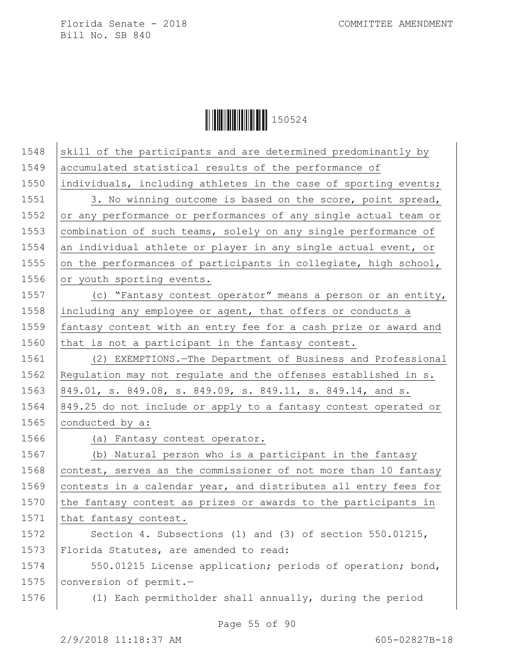**│││││││││││││││││** 150524

| 1548 | skill of the participants and are determined predominantly by   |
|------|-----------------------------------------------------------------|
| 1549 | accumulated statistical results of the performance of           |
| 1550 | individuals, including athletes in the case of sporting events; |
| 1551 | 3. No winning outcome is based on the score, point spread,      |
| 1552 | or any performance or performances of any single actual team or |
| 1553 | combination of such teams, solely on any single performance of  |
| 1554 | an individual athlete or player in any single actual event, or  |
| 1555 | on the performances of participants in collegiate, high school, |
| 1556 | or youth sporting events.                                       |
| 1557 | (c) "Fantasy contest operator" means a person or an entity,     |
| 1558 | including any employee or agent, that offers or conducts a      |
| 1559 | fantasy contest with an entry fee for a cash prize or award and |
| 1560 | that is not a participant in the fantasy contest.               |
| 1561 | (2) EXEMPTIONS. The Department of Business and Professional     |
| 1562 | Regulation may not regulate and the offenses established in s.  |
| 1563 | 849.01, s. 849.08, s. 849.09, s. 849.11, s. 849.14, and s.      |
| 1564 | 849.25 do not include or apply to a fantasy contest operated or |
| 1565 | conducted by a:                                                 |
| 1566 | (a) Fantasy contest operator.                                   |
| 1567 | (b) Natural person who is a participant in the fantasy          |
| 1568 | contest, serves as the commissioner of not more than 10 fantasy |
| 1569 | contests in a calendar year, and distributes all entry fees for |
| 1570 | the fantasy contest as prizes or awards to the participants in  |
| 1571 | that fantasy contest.                                           |
| 1572 | Section 4. Subsections (1) and (3) of section 550.01215,        |
| 1573 | Florida Statutes, are amended to read:                          |
| 1574 | 550.01215 License application; periods of operation; bond,      |
| 1575 | conversion of permit.-                                          |
| 1576 | (1) Each permitholder shall annually, during the period         |
|      |                                                                 |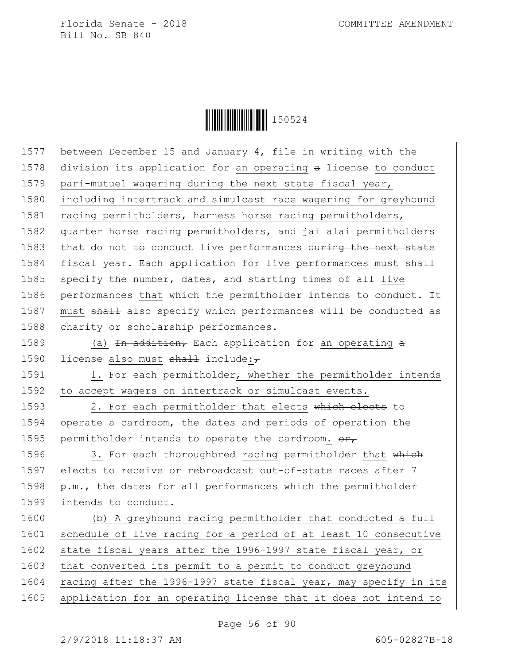**││││││││││││││** 150524

1577 between December 15 and January 4, file in writing with the 1578 division its application for an operating a license to conduct 1579 pari-mutuel wagering during the next state fiscal year, 1580 including intertrack and simulcast race wagering for greyhound 1581 | racing permitholders, harness horse racing permitholders, 1582 quarter horse racing permitholders, and jai alai permitholders 1583 that do not  $\pm$ o conduct live performances during the next state 1584  $f{\text{f}$   $f{\text{f}$   $}$   $f{\text{g}}$   $f{\text{g}}$   $f{\text{g}}$  and application for live performances must  $f{\text{g}}$ 1585 specify the number, dates, and starting times of all live 1586 performances that  $whieh$  the permitholder intends to conduct. It 1587 | must shall also specify which performances will be conducted as 1588 charity or scholarship performances. 1589 (a) In addition, Each application for an operating  $\alpha$ 1590 license also must shall include: $\tau$ 1591 | 1. For each permitholder, whether the permitholder intends 1592 to accept wagers on intertrack or simulcast events. 1593 | 2. For each permitholder that elects which elects to 1594 operate a cardroom, the dates and periods of operation the 1595 permitholder intends to operate the cardroom.  $\theta$ 1596 3. For each thoroughbred racing permitholder that which 1597 elects to receive or rebroadcast out-of-state races after 7 1598  $\vert p.m.,$  the dates for all performances which the permitholder 1599 intends to conduct. 1600 (b) A greyhound racing permitholder that conducted a full 1601 Schedule of live racing for a period of at least 10 consecutive 1602 state fiscal years after the 1996-1997 state fiscal year, or 1603 that converted its permit to a permit to conduct greyhound

1604 | racing after the 1996-1997 state fiscal year, may specify in its 1605 | application for an operating license that it does not intend to

Page 56 of 90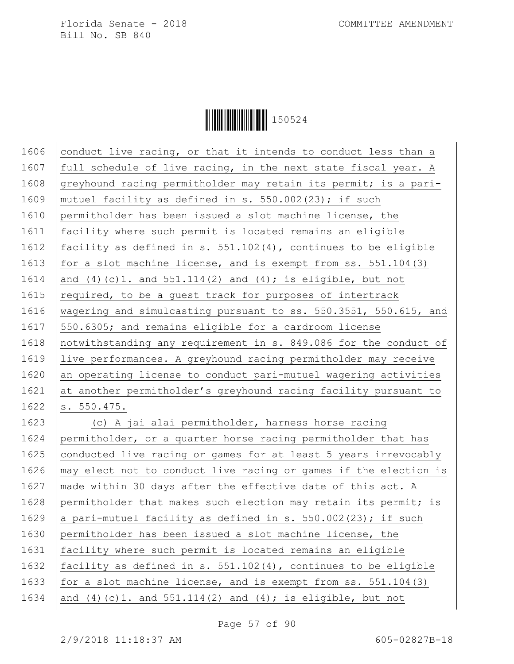Ì150524}Î150524

1606 conduct live racing, or that it intends to conduct less than a 1607  $\vert$  full schedule of live racing, in the next state fiscal year. A 1608 greyhound racing permitholder may retain its permit; is a pari-1609 | mutuel facility as defined in s.  $550.002(23)$ ; if such 1610 permitholder has been issued a slot machine license, the 1611 facility where such permit is located remains an eligible 1612 facility as defined in s. 551.102(4), continues to be eligible 1613 for a slot machine license, and is exempt from ss. 551.104(3) 1614 and (4)(c)1. and 551.114(2) and (4); is eligible, but not 1615  $\vert$  required, to be a quest track for purposes of intertrack 1616 | wagering and simulcasting pursuant to ss. 550.3551, 550.615, and 1617 550.6305; and remains eligible for a cardroom license 1618 notwithstanding any requirement in s. 849.086 for the conduct of 1619 live performances. A greyhound racing permitholder may receive 1620 an operating license to conduct pari-mutuel wagering activities 1621 at another permitholder's greyhound racing facility pursuant to 1622 | s. 550.475. 1623 (c) A jai alai permitholder, harness horse racing 1624 permitholder, or a quarter horse racing permitholder that has 1625 conducted live racing or games for at least 5 years irrevocably 1626  $\vert$  may elect not to conduct live racing or games if the election is 1627 | made within 30 days after the effective date of this act. A 1628 permitholder that makes such election may retain its permit; is 1629 a pari-mutuel facility as defined in s. 550.002(23); if such 1630 permitholder has been issued a slot machine license, the 1631 facility where such permit is located remains an eligible 1632 facility as defined in s. 551.102(4), continues to be eligible 1633  $for a slot machine license, and is exempt from ss. 551.104(3)$ 1634 | and (4) (c) 1. and  $551.114(2)$  and (4); is eligible, but not

Page 57 of 90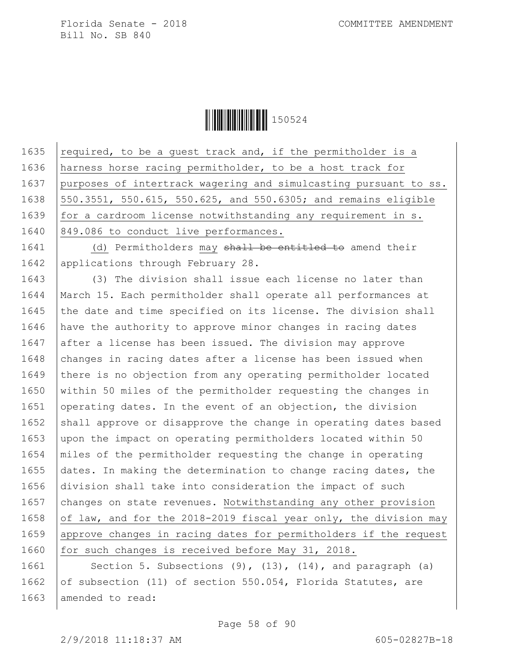**││││││││││││││** 150524

1635  $\vert$  required, to be a guest track and, if the permitholder is a 1636 harness horse racing permitholder, to be a host track for 1637 purposes of intertrack wagering and simulcasting pursuant to ss. 1638 550.3551, 550.615, 550.625, and 550.6305; and remains eligible 1639  $for a$  cardroom license notwithstanding any requirement in  $s$ . 1640 849.086 to conduct live performances.

1641 (d) Permitholders may shall be entitled to amend their 1642 | applications through February 28.

1643 | (3) The division shall issue each license no later than 1644 March 15. Each permitholder shall operate all performances at 1645 the date and time specified on its license. The division shall 1646 have the authority to approve minor changes in racing dates 1647 after a license has been issued. The division may approve 1648 changes in racing dates after a license has been issued when 1649 there is no objection from any operating permitholder located 1650 within 50 miles of the permitholder requesting the changes in 1651 operating dates. In the event of an objection, the division 1652 shall approve or disapprove the change in operating dates based 1653 upon the impact on operating permitholders located within 50 1654 miles of the permitholder requesting the change in operating 1655 dates. In making the determination to change racing dates, the 1656 division shall take into consideration the impact of such 1657 changes on state revenues. Notwithstanding any other provision 1658 of law, and for the 2018-2019 fiscal year only, the division may 1659 approve changes in racing dates for permitholders if the request 1660 for such changes is received before May 31, 2018.

1661 | Section 5. Subsections (9), (13), (14), and paragraph (a) 1662 of subsection (11) of section 550.054, Florida Statutes, are 1663 amended to read: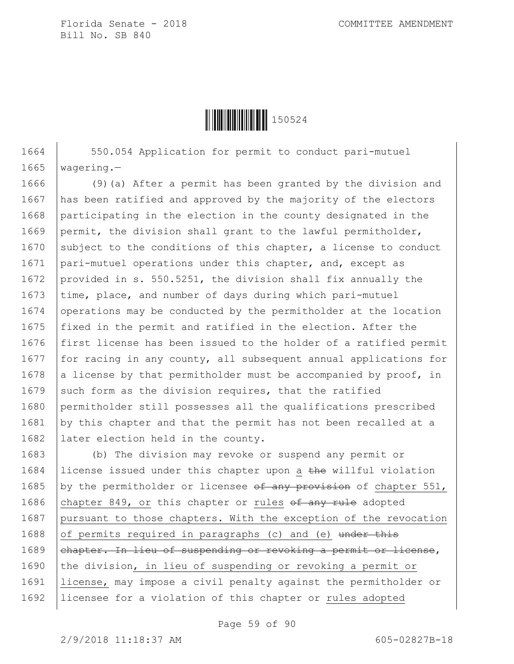

1664 | 550.054 Application for permit to conduct pari-mutuel 1665 wagering.—

1666 (9)(a) After a permit has been granted by the division and 1667 has been ratified and approved by the majority of the electors 1668 participating in the election in the county designated in the 1669 permit, the division shall grant to the lawful permitholder, 1670 subject to the conditions of this chapter, a license to conduct 1671 pari-mutuel operations under this chapter, and, except as 1672 provided in s. 550.5251, the division shall fix annually the 1673  $\times$  time, place, and number of days during which pari-mutuel 1674 operations may be conducted by the permitholder at the location 1675 fixed in the permit and ratified in the election. After the 1676 first license has been issued to the holder of a ratified permit 1677  $for$  racing in any county, all subsequent annual applications for 1678 a license by that permitholder must be accompanied by proof, in 1679 such form as the division requires, that the ratified 1680 permitholder still possesses all the qualifications prescribed 1681 by this chapter and that the permit has not been recalled at a 1682 | later election held in the county.

1683 (b) The division may revoke or suspend any permit or 1684 Iicense issued under this chapter upon a the willful violation 1685 by the permitholder or licensee  $\theta$  any provision of chapter 551, 1686 chapter 849, or this chapter or rules  $\theta$  any rule adopted 1687 pursuant to those chapters. With the exception of the revocation 1688 of permits required in paragraphs (c) and (e) under this 1689 ehapter. In lieu of suspending or revoking a permit or license, 1690 the division, in lieu of suspending or revoking a permit or 1691 license, may impose a civil penalty against the permitholder or 1692 licensee for a violation of this chapter or rules adopted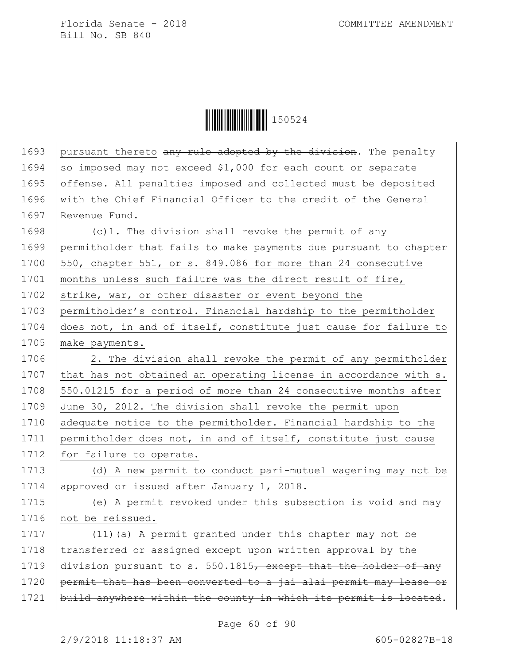**│││││││││││││││││** 150524

| 1693 | pursuant thereto any rule adopted by the division. The penalty   |
|------|------------------------------------------------------------------|
| 1694 | so imposed may not exceed \$1,000 for each count or separate     |
| 1695 | offense. All penalties imposed and collected must be deposited   |
| 1696 | with the Chief Financial Officer to the credit of the General    |
| 1697 | Revenue Fund.                                                    |
| 1698 | (c)1. The division shall revoke the permit of any                |
| 1699 | permitholder that fails to make payments due pursuant to chapter |
| 1700 | 550, chapter 551, or s. 849.086 for more than 24 consecutive     |
| 1701 | months unless such failure was the direct result of fire,        |
| 1702 | strike, war, or other disaster or event beyond the               |
| 1703 | permitholder's control. Financial hardship to the permitholder   |
| 1704 | does not, in and of itself, constitute just cause for failure to |
| 1705 | make payments.                                                   |
| 1706 | 2. The division shall revoke the permit of any permitholder      |
| 1707 | that has not obtained an operating license in accordance with s. |
| 1708 | 550.01215 for a period of more than 24 consecutive months after  |
| 1709 | June 30, 2012. The division shall revoke the permit upon         |
| 1710 | adequate notice to the permitholder. Financial hardship to the   |
| 1711 | permitholder does not, in and of itself, constitute just cause   |
| 1712 | for failure to operate.                                          |
| 1713 | (d) A new permit to conduct pari-mutuel wagering may not be      |
| 1714 | approved or issued after January 1, 2018.                        |
| 1715 | (e) A permit revoked under this subsection is void and may       |
| 1716 | not be reissued.                                                 |
| 1717 | (11) (a) A permit granted under this chapter may not be          |
| 1718 | transferred or assigned except upon written approval by the      |
| 1719 | division pursuant to s. 550.1815, except that the holder of any  |
| 1720 | permit that has been converted to a jai alai permit may lease or |
| 1721 | build anywhere within the county in which its permit is located. |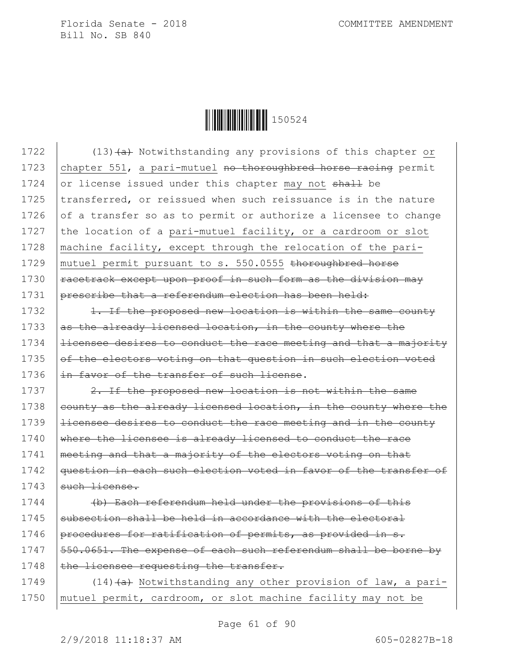**││││││││││││││** 150524

1722 (13) $\leftarrow$  (13) (a) Notwithstanding any provisions of this chapter or 1723 chapter 551, a pari-mutuel no thoroughbred horse racing permit 1724 or license issued under this chapter may not  $shath$  be 1725 transferred, or reissued when such reissuance is in the nature 1726  $\sigma$  of a transfer so as to permit or authorize a licensee to change 1727 the location of a pari-mutuel facility, or a cardroom or slot 1728 | machine facility, except through the relocation of the pari-1729 | mutuel permit pursuant to s. 550.0555 thoroughbred horse 1730  $\vert$  racetrack except upon proof in such form as the division may 1731 prescribe that a referendum election has been held:

1732 1. If the proposed new location is within the same county 1733  $\vert$  as the already licensed location, in the county where the 1734 **licensee desires to conduct the race meeting and that a majority** 1735  $of$  the electors voting on that question in such election voted 1736 in favor of the transfer of such license.

1737  $\vert$  2. If the proposed new location is not within the same 1738 county as the already licensed location, in the county where the 1739 | <del>licensee desires to conduct the race meeting and in the county</del> 1740  $\frac{1}{2}$  where the licensee is already licensed to conduct the race 1741 | meeting and that a majority of the electors voting on that 1742 | question in each such election voted in favor of the transfer of  $1743$  such license.

1744 (b) Each referendum held under the provisions of this  $1745$  subsection shall be held in accordance with the electoral 1746 procedures for ratification of permits, as provided in  $s$ . 1747 | 550.0651. The expense of each such referendum shall be borne by 1748  $\left| \text{the} \right.$  licensee requesting the transfer.

1749  $(14)$   $(a)$  Notwithstanding any other provision of law, a pari-1750 mutuel permit, cardroom, or slot machine facility may not be

Page 61 of 90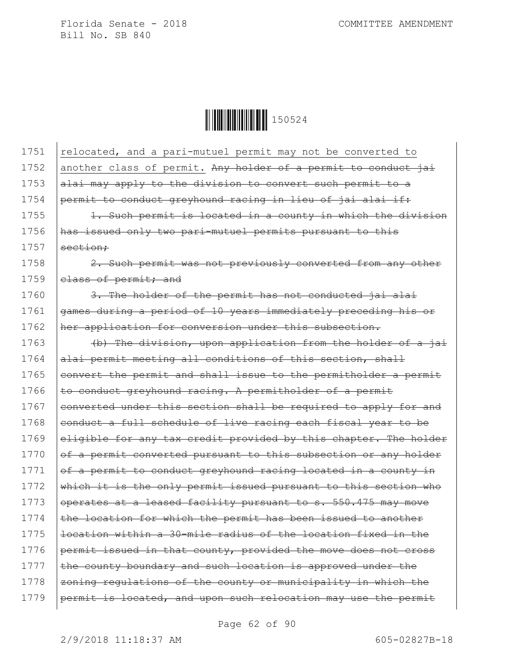

1751 relocated, and a pari-mutuel permit may not be converted to 1752 another class of permit. Any holder of a permit to conduct jai 1753  $|$ alai may apply to the division to convert such permit to a 1754 permit to conduct greyhound racing in lieu of jai alai if: 1755 | 1. Such permit is located in a county in which the division 1756 has issued only two pari-mutuel permits pursuant to this  $1757$  section: 1758 **2.** Such permit was not previously converted from any other 1759 elass of permit; and 1760  $\vert$  3. The holder of the permit has not conducted jai alai 1761 games during a period of 10 years immediately preceding his or 1762 her application for conversion under this subsection. 1763 (b) The division, upon application from the holder of a jai 1764 alai permit meeting all conditions of this section, shall 1765 eonvert the permit and shall issue to the permitholder a permit 1766  $\epsilon$  to conduct greyhound racing. A permitholder of a permit 1767 converted under this section shall be required to apply for and 1768 eonduct a full schedule of live racing each fiscal year to be 1769 eligible for any tax credit provided by this chapter. The holder 1770  $\sigma$   $\sigma$  a permit converted pursuant to this subsection or any holder 1771  $\sigma$  a permit to conduct greyhound racing located in a county in 1772 which it is the only permit issued pursuant to this section who 1773 operates at a leased facility pursuant to s. 550.475 may move  $1774$  the location for which the permit has been issued to another 1775  $\vert$  location within a 30-mile radius of the location fixed in the 1776  $permit issued in that country, provided the move does not cross$ 1777  $\vert$  the county boundary and such location is approved under the 1778 zoning regulations of the county or municipality in which the 1779 | permit is located, and upon such relocation may use the permit

Page 62 of 90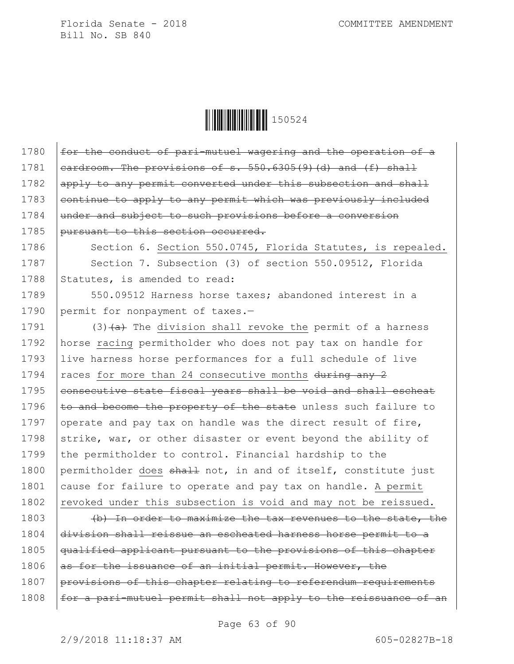**││││││││││││││** 150524

1780  $\int$  for the conduct of pari-mutuel wagering and the operation of a 1781  $\vert$  cardroom. The provisions of s. 550.6305(9)(d) and (f) shall 1782 apply to any permit converted under this subsection and shall 1783  $|$  continue to apply to any permit which was previously included 1784 under and subject to such provisions before a conversion 1785 pursuant to this section occurred.

1786 | Section 6. Section 550.0745, Florida Statutes, is repealed. 1787 Section 7. Subsection (3) of section 550.09512, Florida 1788 Statutes, is amended to read:

1789 550.09512 Harness horse taxes; abandoned interest in a 1790 permit for nonpayment of taxes.-

1791  $(3)$   $(a)$  The division shall revoke the permit of a harness 1792 horse racing permitholder who does not pay tax on handle for 1793 live harness horse performances for a full schedule of live 1794  $rac{ex}{ex}$  races for more than 24 consecutive months during any 2 1795 eonsecutive state fiscal years shall be void and shall escheat 1796  $\pm$ o and become the property of the state unless such failure to 1797 operate and pay tax on handle was the direct result of fire, 1798 strike, war, or other disaster or event beyond the ability of 1799 the permitholder to control. Financial hardship to the 1800 permitholder does shall not, in and of itself, constitute just 1801 cause for failure to operate and pay tax on handle. A permit 1802 revoked under this subsection is void and may not be reissued.

1803 (b) In order to maximize the tax revenues to the state, the division shall reissue an escheated harness horse permit to a qualified applicant pursuant to the provisions of this chapter  $\vert$  as for the issuance of an initial permit. However, the provisions of this chapter relating to referendum requirements 1808 | for a pari-mutuel permit shall not apply to the reissuance of an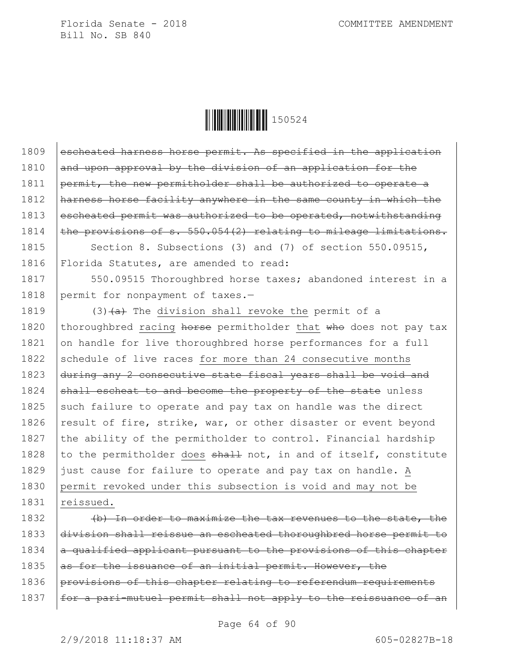**││││││││││││││││││** 150524

| 1809 | escheated harness horse permit. As specified in the application  |
|------|------------------------------------------------------------------|
| 1810 | and upon approval by the division of an application for the      |
| 1811 | permit, the new permitholder shall be authorized to operate a    |
| 1812 | harness horse facility anywhere in the same county in which the  |
| 1813 | escheated permit was authorized to be operated, notwithstanding  |
| 1814 | the provisions of s. 550.054(2) relating to mileage limitations. |
| 1815 | Section 8. Subsections (3) and (7) of section 550.09515,         |
| 1816 | Florida Statutes, are amended to read:                           |
| 1817 | 550.09515 Thoroughbred horse taxes; abandoned interest in a      |
| 1818 | permit for nonpayment of taxes.-                                 |
| 1819 | $(3)$ $(a)$ The division shall revoke the permit of a            |
| 1820 | thoroughbred racing horse permitholder that who does not pay tax |
| 1821 | on handle for live thoroughbred horse performances for a full    |
| 1822 | schedule of live races for more than 24 consecutive months       |
| 1823 | during any 2 consecutive state fiscal years shall be void and    |
| 1824 | shall escheat to and become the property of the state unless     |
| 1825 | such failure to operate and pay tax on handle was the direct     |
| 1826 | result of fire, strike, war, or other disaster or event beyond   |
| 1827 | the ability of the permitholder to control. Financial hardship   |
| 1828 | to the permitholder does shall not, in and of itself, constitute |
| 1829 | just cause for failure to operate and pay tax on handle. A       |
| 1830 | permit revoked under this subsection is void and may not be      |
| 1831 | reissued.                                                        |
| 1832 | (b) In order to maximize the tax revenues to the state, the      |
| 1833 | division shall reissue an escheated thoroughbred horse permit to |
| 1834 | a qualified applicant pursuant to the provisions of this chapter |
| 1835 | as for the issuance of an initial permit. However, the           |
| 1836 | provisions of this chapter relating to referendum requirements   |
| 1837 | for a pari-mutuel permit shall not apply to the reissuance of an |
|      |                                                                  |

Page 64 of 90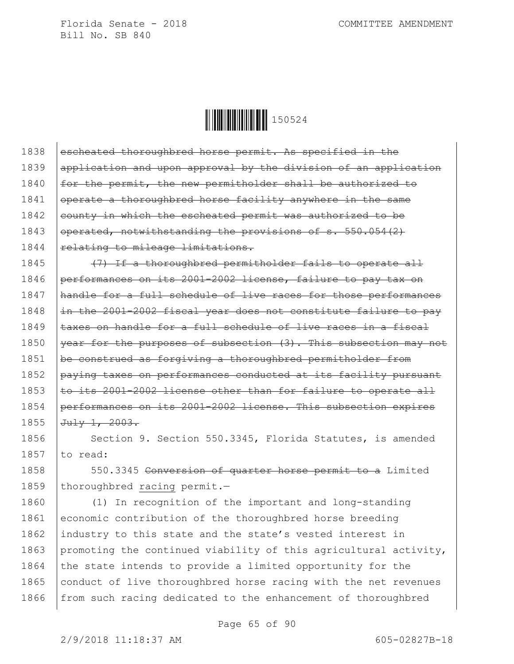**│││││││││││││││││** 150524

1838 escheated thoroughbred horse permit. As specified in the

| 1839 | application and upon approval by the division of an application  |
|------|------------------------------------------------------------------|
| 1840 | for the permit, the new permitholder shall be authorized to      |
| 1841 | operate a thoroughbred horse facility anywhere in the same       |
| 1842 | county in which the escheated permit was authorized to be        |
| 1843 | operated, notwithstanding the provisions of s. 550.054(2)        |
| 1844 | relating to mileage limitations.                                 |
| 1845 | (7) If a thoroughbred permitholder fails to operate all          |
| 1846 | performances on its 2001-2002 license, failure to pay tax on     |
| 1847 | handle for a full schedule of live races for those performances  |
| 1848 | in the 2001-2002 fiscal year does not constitute failure to pay  |
| 1849 | taxes on handle for a full schedule of live races in a fiscal    |
| 1850 | year for the purposes of subsection (3). This subsection may not |
| 1851 | be construed as forgiving a thoroughbred permitholder from       |
| 1852 | paying taxes on performances conducted at its facility pursuant  |
| 1853 | to its 2001-2002 license other than for failure to operate all   |
| 1854 | performances on its 2001-2002 license. This subsection expires   |
| 1855 | $Ju \perp y 1, 2003.$                                            |
| 1856 | Section 9. Section 550.3345, Florida Statutes, is amended        |
| 1857 | to read:                                                         |
| 1858 | 550.3345 Conversion of quarter horse permit to a Limited         |
| 1859 | thoroughbred racing permit.-                                     |
| 1860 | (1) In recognition of the important and long-standing            |
| 1861 | economic contribution of the thoroughbred horse breeding         |
| 1862 | industry to this state and the state's vested interest in        |
| 1863 | promoting the continued viability of this agricultural activity, |
| 1864 | the state intends to provide a limited opportunity for the       |
| 1865 | conduct of live thoroughbred horse racing with the net revenues  |
| 1866 | from such racing dedicated to the enhancement of thoroughbred    |
|      |                                                                  |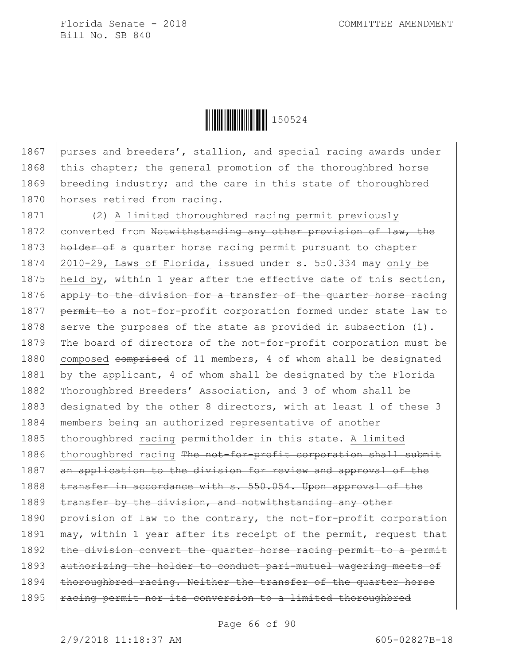

1867 purses and breeders', stallion, and special racing awards under 1868 this chapter; the general promotion of the thoroughbred horse 1869 | breeding industry; and the care in this state of thoroughbred 1870 horses retired from racing.

1871 (2) A limited thoroughbred racing permit previously 1872 converted from Notwithstanding any other provision of law, the 1873 | holder of a quarter horse racing permit pursuant to chapter 1874 | 2010-29, Laws of Florida, issued under s. 550.334 may only be 1875 | held by, within 1 year after the effective date of this section, 1876  $\alpha$  apply to the division for a transfer of the quarter horse racing 1877 | permit to a not-for-profit corporation formed under state law to 1878 serve the purposes of the state as provided in subsection  $(1)$ . 1879 The board of directors of the not-for-profit corporation must be 1880 composed comprised of 11 members, 4 of whom shall be designated 1881 by the applicant, 4 of whom shall be designated by the Florida 1882 Thoroughbred Breeders' Association, and 3 of whom shall be 1883 designated by the other 8 directors, with at least 1 of these 3 1884 members being an authorized representative of another 1885 thoroughbred racing permitholder in this state. A limited 1886 thoroughbred racing The not-for-profit corporation shall submit 1887  $\vert$  an application to the division for review and approval of the 1888 | transfer in accordance with s. 550.054. Upon approval of the 1889  $\times$  transfer by the division, and notwithstanding any other 1890 | provision of law to the contrary, the not-for-profit corporation 1891  $\vert$  may, within 1 year after its receipt of the permit, request that 1892  $\vert$  the division convert the quarter horse racing permit to a permit 1893 authorizing the holder to conduct pari-mutuel wagering meets of  $1894$  thoroughbred racing. Neither the transfer of the quarter horse  $1895$  | racing permit nor its conversion to a limited thoroughbred

Page 66 of 90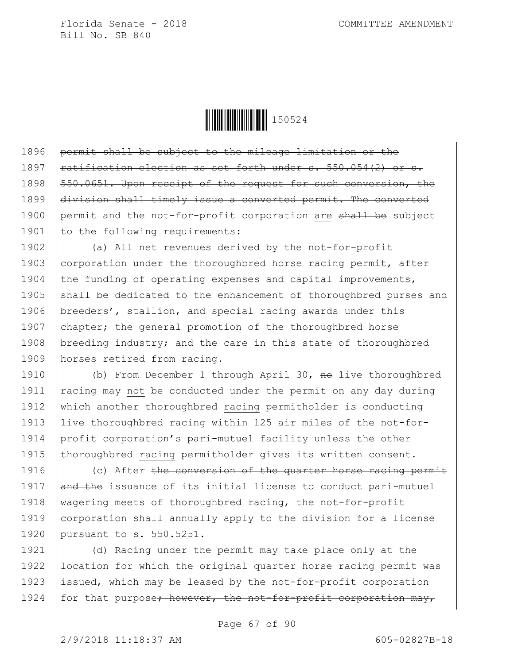

1896 permit shall be subject to the mileage limitation or the 1897  $rational$  ratification election as set forth under s. 550.054(2) or s. 1898 550.0651. Upon receipt of the request for such conversion, the 1899 division shall timely issue a converted permit. The converted 1900 permit and the not-for-profit corporation are shall be subject 1901  $\vert$  to the following requirements:

1902 (a) All net revenues derived by the not-for-profit 1903 corporation under the thoroughbred horse racing permit, after 1904 the funding of operating expenses and capital improvements, 1905 shall be dedicated to the enhancement of thoroughbred purses and 1906 | breeders', stallion, and special racing awards under this 1907 chapter; the general promotion of the thoroughbred horse 1908 breeding industry; and the care in this state of thoroughbred 1909 horses retired from racing.

1910 (b) From December 1 through April 30, no live thoroughbred 1911 | racing may not be conducted under the permit on any day during 1912 which another thoroughbred racing permitholder is conducting 1913 live thoroughbred racing within 125 air miles of the not-for-1914 profit corporation's pari-mutuel facility unless the other 1915 | thoroughbred racing permitholder gives its written consent.

1916 (c) After the conversion of the quarter horse racing permit 1917  $\theta$  and the issuance of its initial license to conduct pari-mutuel 1918 | wagering meets of thoroughbred racing, the not-for-profit 1919 corporation shall annually apply to the division for a license 1920 pursuant to s. 550.5251.

1921 (d) Racing under the permit may take place only at the 1922 location for which the original quarter horse racing permit was 1923 | issued, which may be leased by the not-for-profit corporation 1924 | for that purpose; however, the not-for-profit corporation may,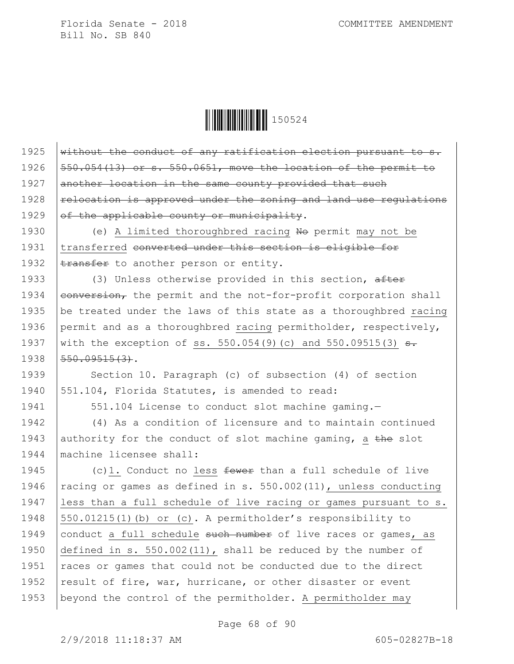**││││││││││││││** 150524

 $\frac{1}{1}$  without the conduct of any ratification election pursuant to s.  $\sqrt{550.054(13)}$  or s. 550.0651, move the location of the permit to another location in the same county provided that such  $\vert$  relocation is approved under the zoning and land use regulations  $of$  the applicable county or municipality. 1930 (e) A limited thoroughbred racing No permit may not be 1931 transferred converted under this section is eligible for  $\times$  transfer to another person or entity. 1933 (3) Unless otherwise provided in this section, after  $\sqrt{\frac{1}{1934}}$   $\sqrt{\frac{1}{1934}}$  the permit and the not-for-profit corporation shall 1935 | be treated under the laws of this state as a thoroughbred racing 1936 permit and as a thoroughbred racing permitholder, respectively, 1937 with the exception of ss. 550.054(9)(c) and 550.09515(3)  $\frac{1}{2}$ . |  $550.09515(3)$ . 1939 Section 10. Paragraph (c) of subsection (4) of section 551.104, Florida Statutes, is amended to read: 1941 | 551.104 License to conduct slot machine gaming.- (4) As a condition of licensure and to maintain continued 1943 authority for the conduct of slot machine gaming, a the slot machine licensee shall:  $\vert$  (c)1. Conduct no less fewer than a full schedule of live  $rac{1}{3}$  racing or games as defined in s. 550.002(11), unless conducting less than a full schedule of live racing or games pursuant to s. 550.01215(1)(b) or (c). A permitholder's responsibility to 1949 conduct a full schedule such number of live races or games, as defined in s. 550.002(11), shall be reduced by the number of  $\vert$  races or games that could not be conducted due to the direct 1952 result of fire, war, hurricane, or other disaster or event beyond the control of the permitholder. A permitholder may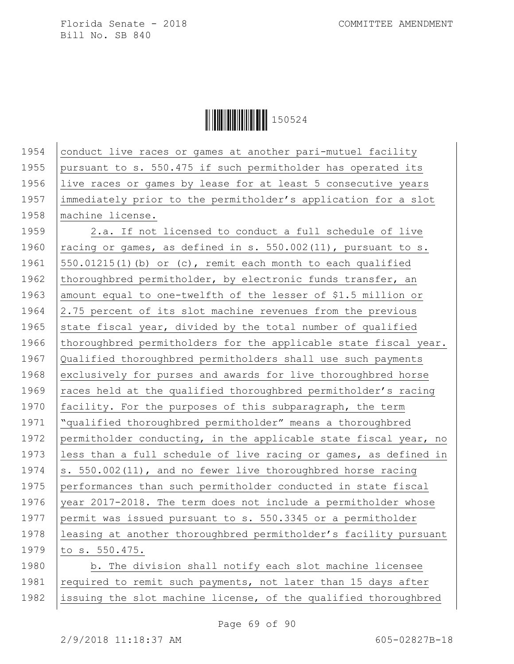Ì150524}Î150524

1954 conduct live races or games at another pari-mutuel facility 1955 pursuant to s. 550.475 if such permitholder has operated its 1956 live races or games by lease for at least 5 consecutive years 1957 immediately prior to the permitholder's application for a slot 1958 | machine license. 1959 2.a. If not licensed to conduct a full schedule of live 1960  $rac{1}{100}$  racing or games, as defined in s. 550.002(11), pursuant to s. 1961  $\vert$  550.01215(1)(b) or (c), remit each month to each qualified 1962 thoroughbred permitholder, by electronic funds transfer, an 1963 amount equal to one-twelfth of the lesser of \$1.5 million or 1964  $\vert$  2.75 percent of its slot machine revenues from the previous 1965 state fiscal year, divided by the total number of qualified 1966 thoroughbred permitholders for the applicable state fiscal year. 1967 Qualified thoroughbred permitholders shall use such payments 1968 exclusively for purses and awards for live thoroughbred horse 1969 | races held at the qualified thoroughbred permitholder's racing 1970 facility. For the purposes of this subparagraph, the term 1971 "qualified thoroughbred permitholder" means a thoroughbred 1972 permitholder conducting, in the applicable state fiscal year, no 1973 less than a full schedule of live racing or games, as defined in 1974  $\vert$ s. 550.002(11), and no fewer live thoroughbred horse racing 1975 performances than such permitholder conducted in state fiscal 1976 year 2017-2018. The term does not include a permitholder whose 1977 permit was issued pursuant to s. 550.3345 or a permitholder 1978 leasing at another thoroughbred permitholder's facility pursuant 1979 to s. 550.475. 1980 b. The division shall notify each slot machine licensee 1981  $\vert$  required to remit such payments, not later than 15 days after 1982 issuing the slot machine license, of the qualified thoroughbred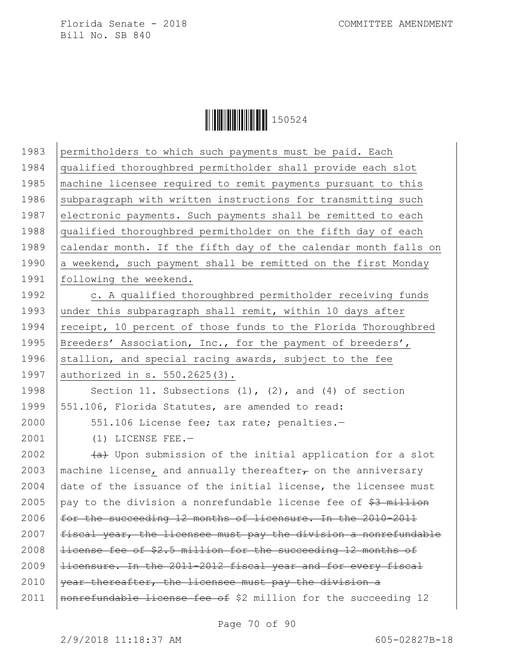**│││││││││││││││││** 150524

| 1983 | permitholders to which such payments must be paid. Each            |
|------|--------------------------------------------------------------------|
| 1984 | qualified thoroughbred permitholder shall provide each slot        |
| 1985 | machine licensee required to remit payments pursuant to this       |
| 1986 | subparagraph with written instructions for transmitting such       |
| 1987 | electronic payments. Such payments shall be remitted to each       |
| 1988 | qualified thoroughbred permitholder on the fifth day of each       |
| 1989 | calendar month. If the fifth day of the calendar month falls on    |
| 1990 | a weekend, such payment shall be remitted on the first Monday      |
| 1991 | following the weekend.                                             |
| 1992 | c. A qualified thoroughbred permitholder receiving funds           |
| 1993 | under this subparagraph shall remit, within 10 days after          |
| 1994 | receipt, 10 percent of those funds to the Florida Thoroughbred     |
| 1995 | Breeders' Association, Inc., for the payment of breeders',         |
| 1996 | stallion, and special racing awards, subject to the fee            |
| 1997 | authorized in s. 550.2625(3).                                      |
| 1998 | Section 11. Subsections $(1)$ , $(2)$ , and $(4)$ of section       |
| 1999 | 551.106, Florida Statutes, are amended to read:                    |
| 2000 | 551.106 License fee; tax rate; penalties.-                         |
| 2001 | $(1)$ LICENSE FEE.-                                                |
| 2002 | (a) Upon submission of the initial application for a slot          |
| 2003 | machine license, and annually thereafter $\tau$ on the anniversary |
| 2004 | date of the issuance of the initial license, the licensee must     |
| 2005 | pay to the division a nonrefundable license fee of \$3 million     |
| 2006 | for the succeeding 12 months of licensure. In the 2010-2011        |
| 2007 | fiscal year, the licensee must pay the division a nonrefundable    |
| 2008 | license fee of \$2.5 million for the succeeding 12 months of       |
| 2009 | licensure. In the 2011-2012 fiscal year and for every fiscal       |
| 2010 | year thereafter, the licensee must pay the division a              |
| 2011 | nonrefundable license fee of \$2 million for the succeeding 12     |
|      |                                                                    |

Page 70 of 90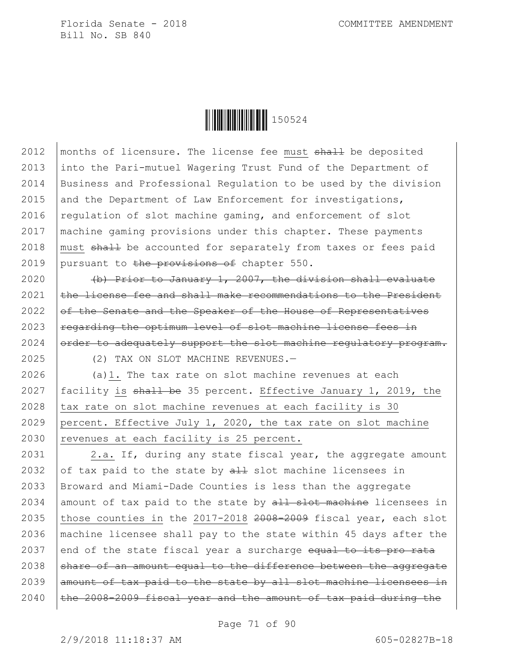

2012 | months of licensure. The license fee must  $shall$  be deposited 2013 into the Pari-mutuel Wagering Trust Fund of the Department of 2014 Business and Professional Regulation to be used by the division 2015 and the Department of Law Enforcement for investigations, 2016 | regulation of slot machine gaming, and enforcement of slot 2017 machine gaming provisions under this chapter. These payments 2018 | must  $\frac{1}{2}$  be accounted for separately from taxes or fees paid 2019 | pursuant to the provisions of chapter  $550$ .

2020 (b) Prior to January 1, 2007, the division shall evaluate  $the$  license fee and shall make recommendations to the President of the Senate and the Speaker of the House of Representatives regarding the optimum level of slot machine license fees in order to adequately support the slot machine regulatory program.

2025 (2) TAX ON SLOT MACHINE REVENUES.—

2026 (a)1. The tax rate on slot machine revenues at each 2027 | facility is  $shall$  be 35 percent. Effective January 1, 2019, the  $2028$   $\vert$  tax rate on slot machine revenues at each facility is 30 2029 | percent. Effective July 1, 2020, the tax rate on slot machine 2030 revenues at each facility is 25 percent.

2031 | 2.a. If, during any state fiscal year, the aggregate amount 2032 of tax paid to the state by  $aH$  slot machine licensees in 2033 Broward and Miami-Dade Counties is less than the aggregate 2034 amount of tax paid to the state by  $all$  slot machine licensees in 2035 those counties in the 2017-2018  $2008-2009$  fiscal year, each slot 2036 machine licensee shall pay to the state within 45 days after the 2037 end of the state fiscal year a surcharge  $\frac{1}{10}$  to its pro rata  $2038$  share of an amount equal to the difference between the aggregate 2039  $\vert$  amount of tax paid to the state by all slot machine licensees in  $2040$  |the 2008-2009 fiscal year and the amount of tax paid during the

Page 71 of 90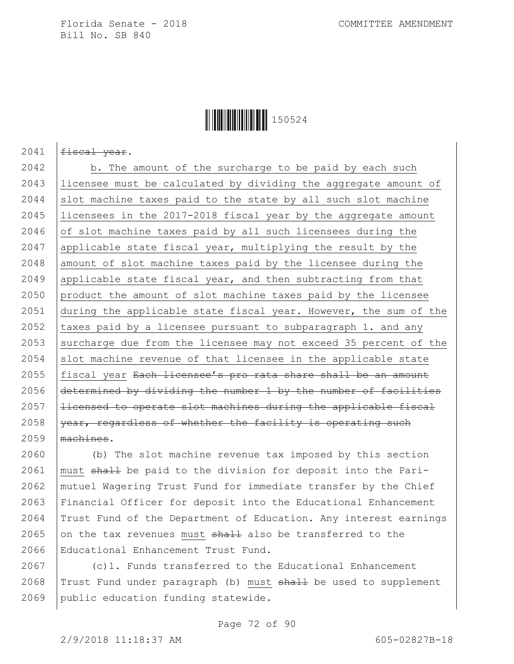## Ì150524}Î150524

2041  $fiseal year.$ 

2042 | b. The amount of the surcharge to be paid by each such licensee must be calculated by dividing the aggregate amount of slot machine taxes paid to the state by all such slot machine licensees in the 2017-2018 fiscal year by the aggregate amount  $of$  slot machine taxes paid by all such licensees during the applicable state fiscal year, multiplying the result by the 2048 amount of slot machine taxes paid by the licensee during the 2049 applicable state fiscal year, and then subtracting from that product the amount of slot machine taxes paid by the licensee during the applicable state fiscal year. However, the sum of the  $\vert$  taxes paid by a licensee pursuant to subparagraph 1. and any 2053 surcharge due from the licensee may not exceed 35 percent of the slot machine revenue of that licensee in the applicable state 2055 | fiscal year Each licensee's pro rata share shall be an amount  $\det$  determined by dividing the number 1 by the number of facilities |  $\pm$ icensed to operate slot machines during the applicable fiscal year, regardless of whether the facility is operating such machines.

 (b) The slot machine revenue tax imposed by this section 2061 | must  $shall$  be paid to the division for deposit into the Pari- mutuel Wagering Trust Fund for immediate transfer by the Chief Financial Officer for deposit into the Educational Enhancement Trust Fund of the Department of Education. Any interest earnings 2065 on the tax revenues must  $shath$  also be transferred to the Educational Enhancement Trust Fund.

2067 (c)1. Funds transferred to the Educational Enhancement 2068  $|$  Trust Fund under paragraph (b) must  $shall$  be used to supplement 2069 public education funding statewide.

2/9/2018 11:18:37 AM 605-02827B-18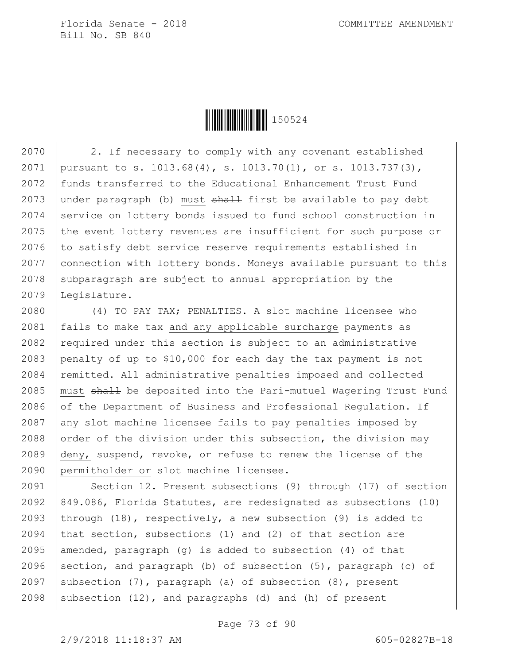

2070 2. If necessary to comply with any covenant established 2071 pursuant to s. 1013.68(4), s. 1013.70(1), or s. 1013.737(3), 2072 funds transferred to the Educational Enhancement Trust Fund 2073 under paragraph (b) must  $shath$  first be available to pay debt 2074 Service on lottery bonds issued to fund school construction in 2075 the event lottery revenues are insufficient for such purpose or  $2076$  to satisfy debt service reserve requirements established in 2077 connection with lottery bonds. Moneys available pursuant to this  $2078$  subparagraph are subject to annual appropriation by the 2079 Legislature.

 (4) TO PAY TAX; PENALTIES.—A slot machine licensee who fails to make tax and any applicable surcharge payments as 2082 required under this section is subject to an administrative 2083 penalty of up to \$10,000 for each day the tax payment is not 2084 | remitted. All administrative penalties imposed and collected 2085 | must  $\frac{1}{2085}$  be deposited into the Pari-mutuel Wagering Trust Fund  $\circ$  of the Department of Business and Professional Requlation. If any slot machine licensee fails to pay penalties imposed by  $\vert$  order of the division under this subsection, the division may deny, suspend, revoke, or refuse to renew the license of the permitholder or slot machine licensee.

2091 | Section 12. Present subsections (9) through (17) of section 2092 849.086, Florida Statutes, are redesignated as subsections (10) 2093 | through  $(18)$ , respectively, a new subsection  $(9)$  is added to 2094 that section, subsections (1) and (2) of that section are 2095 amended, paragraph (g) is added to subsection (4) of that 2096 section, and paragraph (b) of subsection  $(5)$ , paragraph (c) of 2097 Subsection  $(7)$ , paragraph (a) of subsection  $(8)$ , present 2098 | subsection  $(12)$ , and paragraphs  $(d)$  and  $(h)$  of present

Page 73 of 90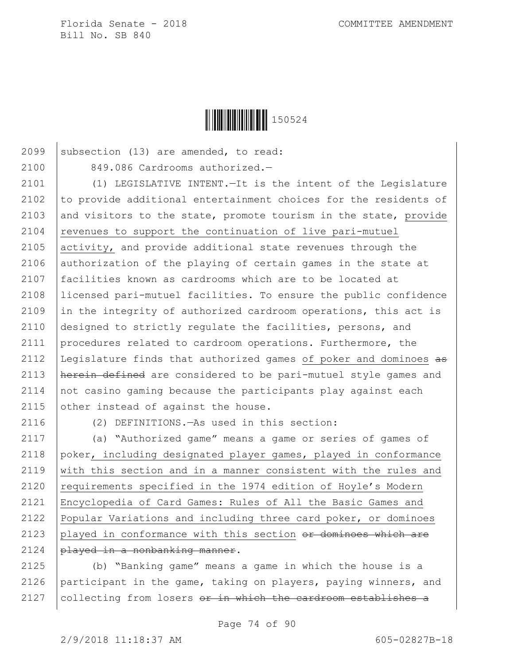

2099 subsection  $(13)$  are amended, to read: 2100 849.086 Cardrooms authorized.-

 (1) LEGISLATIVE INTENT.—It is the intent of the Legislature 2102 to provide additional entertainment choices for the residents of 2103 and visitors to the state, promote tourism in the state, provide revenues to support the continuation of live pari-mutuel activity, and provide additional state revenues through the authorization of the playing of certain games in the state at facilities known as cardrooms which are to be located at licensed pari-mutuel facilities. To ensure the public confidence  $\vert$  in the integrity of authorized cardroom operations, this act is designed to strictly regulate the facilities, persons, and procedures related to cardroom operations. Furthermore, the 2112 | Legislature finds that authorized games of poker and dominoes as 2113 | herein defined are considered to be pari-mutuel style games and not casino gaming because the participants play against each  $\vert$  other instead of against the house.

2116 (2) DEFINITIONS.—As used in this section:

 (a) "Authorized game" means a game or series of games of poker, including designated player games, played in conformance  $\vert$  with this section and in a manner consistent with the rules and  $\vert$  requirements specified in the 1974 edition of Hoyle's Modern Encyclopedia of Card Games: Rules of All the Basic Games and Popular Variations and including three card poker, or dominoes 2123 played in conformance with this section  $or$  dominoes which are played in a nonbanking manner.

2125 (b) "Banking game" means a game in which the house is a 2126 | participant in the game, taking on players, paying winners, and 2127 | collecting from losers or in which the cardroom establishes a

Page 74 of 90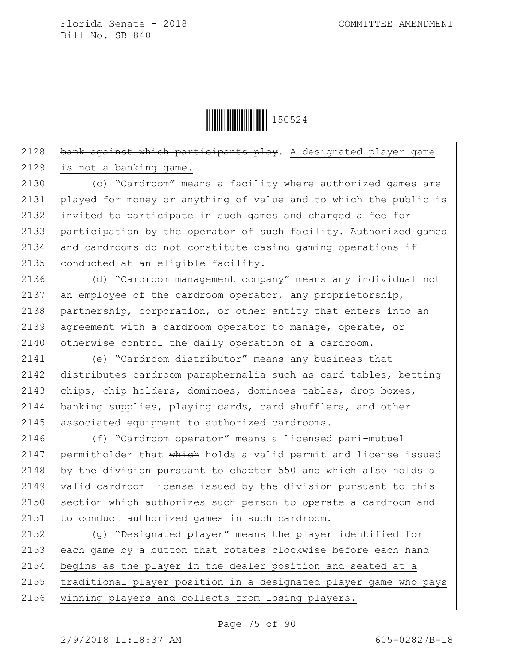

2128  $\beta$  bank against which participants play. A designated player game 2129 is not a banking game.

 (c) "Cardroom" means a facility where authorized games are played for money or anything of value and to which the public is invited to participate in such games and charged a fee for participation by the operator of such facility. Authorized games and cardrooms do not constitute casino gaming operations if  $|$  conducted at an eligible facility.

2136 (d) "Cardroom management company" means any individual not 2137 an employee of the cardroom operator, any proprietorship, 2138 partnership, corporation, or other entity that enters into an 2139 agreement with a cardroom operator to manage, operate, or 2140 otherwise control the daily operation of a cardroom.

 (e) "Cardroom distributor" means any business that distributes cardroom paraphernalia such as card tables, betting  $\vert$  chips, chip holders, dominoes, dominoes tables, drop boxes, banking supplies, playing cards, card shufflers, and other associated equipment to authorized cardrooms.

 (f) "Cardroom operator" means a licensed pari-mutuel 2147 permitholder that which holds a valid permit and license issued by the division pursuant to chapter 550 and which also holds a  $\vert$  valid cardroom license issued by the division pursuant to this 2150 Section which authorizes such person to operate a cardroom and to conduct authorized games in such cardroom.

2152 (g) "Designated player" means the player identified for 2153 each game by a button that rotates clockwise before each hand 2154 begins as the player in the dealer position and seated at a 2155 | traditional player position in a designated player game who pays 2156 | winning players and collects from losing players.

Page 75 of 90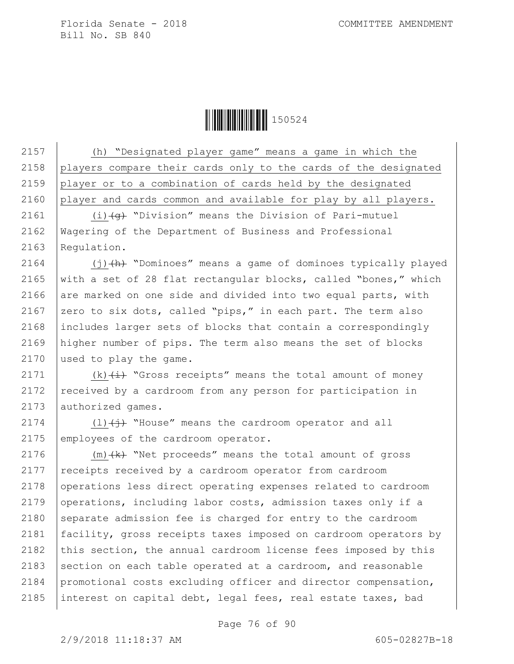**││││││││││││││** 150524

 (h) "Designated player game" means a game in which the players compare their cards only to the cards of the designated player or to a combination of cards held by the designated 2160 player and cards common and available for play by all players.

2161  $(i)$   $\left(4\right)$  "Division" means the Division of Pari-mutuel 2162 Wagering of the Department of Business and Professional 2163 Regulation.

2164  $(1)$   $(h)$  "Dominoes" means a game of dominoes typically played 2165 | with a set of 28 flat rectangular blocks, called "bones," which 2166 are marked on one side and divided into two equal parts, with 2167 | zero to six dots, called "pips," in each part. The term also 2168 includes larger sets of blocks that contain a correspondingly 2169 higher number of pips. The term also means the set of blocks 2170 used to play the game.

2171 (k) $(i)$  (k)  $(i)$  "Gross receipts" means the total amount of money 2172  $\vert$  received by a cardroom from any person for participation in 2173 authorized games.

2174 (1) $\leftrightarrow$  "House" means the cardroom operator and all 2175 employees of the cardroom operator.

2176  $(m)$   $(k)$  "Net proceeds" means the total amount of gross 2177 | receipts received by a cardroom operator from cardroom 2178 operations less direct operating expenses related to cardroom 2179 operations, including labor costs, admission taxes only if a 2180 separate admission fee is charged for entry to the cardroom 2181 facility, gross receipts taxes imposed on cardroom operators by 2182 this section, the annual cardroom license fees imposed by this 2183 section on each table operated at a cardroom, and reasonable 2184 promotional costs excluding officer and director compensation, 2185 | interest on capital debt, legal fees, real estate taxes, bad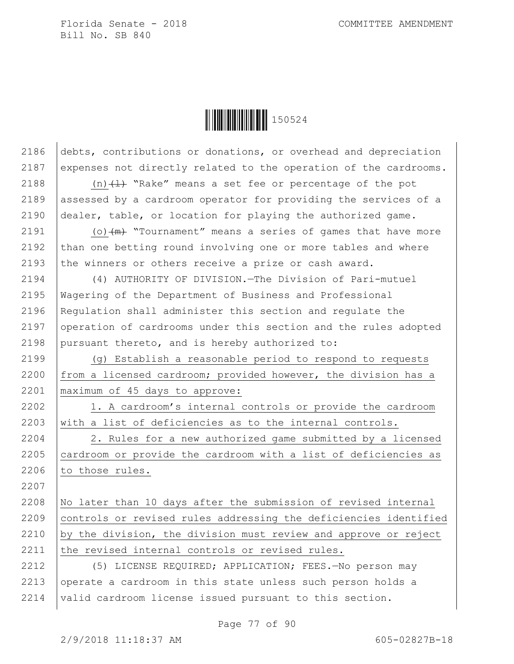

2186 debts, contributions or donations, or overhead and depreciation 2187 expenses not directly related to the operation of the cardrooms.

2188  $(n)$   $(1)$  "Rake" means a set fee or percentage of the pot 2189 assessed by a cardroom operator for providing the services of a 2190 dealer, table, or location for playing the authorized game.

2191  $\vert$  (o)  $\vert$ m $\vert$  "Tournament" means a series of games that have more 2192  $\vert$  than one betting round involving one or more tables and where 2193  $\vert$  the winners or others receive a prize or cash award.

2194 (4) AUTHORITY OF DIVISION.—The Division of Pari-mutuel 2195 Wagering of the Department of Business and Professional 2196 Requiation shall administer this section and requiate the 2197 operation of cardrooms under this section and the rules adopted 2198 pursuant thereto, and is hereby authorized to:

2199 (g) Establish a reasonable period to respond to requests 2200 from a licensed cardroom; provided however, the division has a 2201 maximum of 45 days to approve:

2202 1. A cardroom's internal controls or provide the cardroom 2203 with a list of deficiencies as to the internal controls.

2204 2. Rules for a new authorized game submitted by a licensed 2205 cardroom or provide the cardroom with a list of deficiencies as  $2206$  to those rules.

2208 No later than 10 days after the submission of revised internal 2209 controls or revised rules addressing the deficiencies identified 2210 by the division, the division must review and approve or reject 2211 the revised internal controls or revised rules.

2212 (5) LICENSE REQUIRED; APPLICATION; FEES.—No person may 2213 operate a cardroom in this state unless such person holds a 2214 valid cardroom license issued pursuant to this section.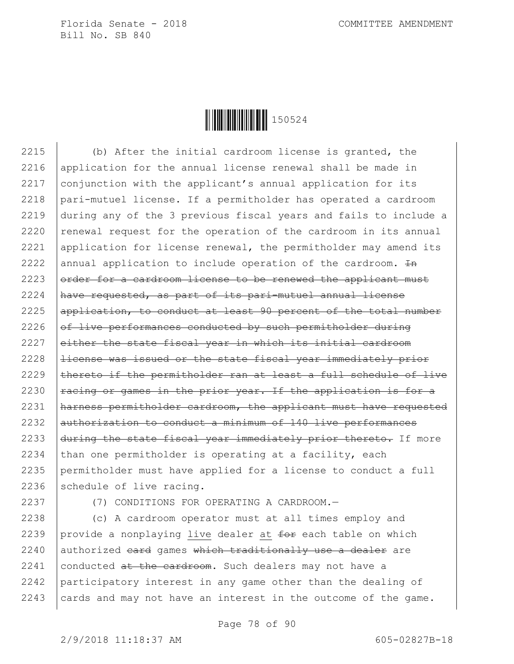

 (b) After the initial cardroom license is granted, the application for the annual license renewal shall be made in conjunction with the applicant's annual application for its pari-mutuel license. If a permitholder has operated a cardroom during any of the 3 previous fiscal years and fails to include a  $\vert$  renewal request for the operation of the cardroom in its annual 2221 application for license renewal, the permitholder may amend its 2222 annual application to include operation of the cardroom.  $In$  order for a cardroom license to be renewed the applicant must have requested, as part of its pari-mutuel annual license application, to conduct at least 90 percent of the total number of live performances conducted by such permitholder during 2227 either the state fiscal year in which its initial cardroom |  $\pm$ icense was issued or the state fiscal year immediately prior  $\vert$  thereto if the permitholder ran at least a full schedule of live  $\vert$  racing or games in the prior year. If the application is for a harness permitholder cardroom, the applicant must have requested authorization to conduct a minimum of 140 live performances  $\frac{1}{4}$  during the state fiscal year immediately prior thereto. If more  $\vert$  than one permitholder is operating at a facility, each permitholder must have applied for a license to conduct a full schedule of live racing.

2237 (7) CONDITIONS FOR OPERATING A CARDROOM.—

2238 (c) A cardroom operator must at all times employ and 2239 provide a nonplaying live dealer at  $f^{\text{def}}$  each table on which  $2240$  authorized card games which traditionally use a dealer are 2241 conducted  $at$  the cardroom. Such dealers may not have a 2242 participatory interest in any game other than the dealing of 2243 cards and may not have an interest in the outcome of the game.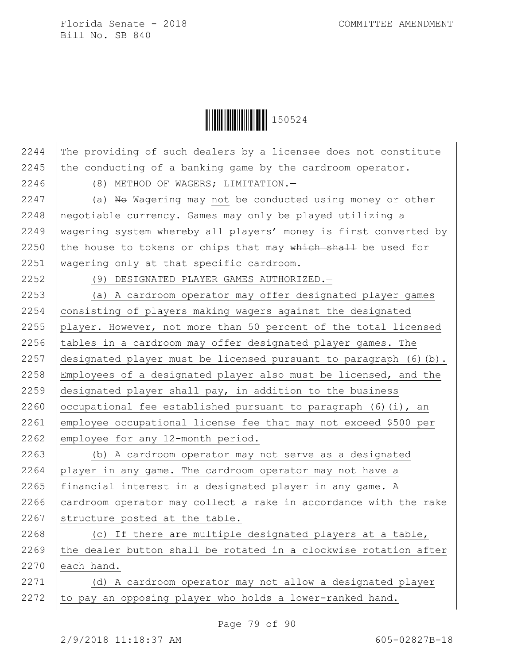

2244 The providing of such dealers by a licensee does not constitute 2245 the conducting of a banking game by the cardroom operator.

2246 (8) METHOD OF WAGERS; LIMITATION.—

 $\vert$  (a) No Wagering may not be conducted using money or other negotiable currency. Games may only be played utilizing a wagering system whereby all players' money is first converted by 2250 the house to tokens or chips that may which shall be used for wagering only at that specific cardroom.

2252 (9) DESIGNATED PLAYER GAMES AUTHORIZED.—

 (a) A cardroom operator may offer designated player games 2254 | consisting of players making wagers against the designated 2255 player. However, not more than 50 percent of the total licensed  $\vert$  tables in a cardroom may offer designated player games. The designated player must be licensed pursuant to paragraph (6)(b). Employees of a designated player also must be licensed, and the  $\vert$  designated player shall pay, in addition to the business  $|ocupational$  fee established pursuant to paragraph (6)(i), an employee occupational license fee that may not exceed \$500 per 2262 employee for any 12-month period.

2263 (b) A cardroom operator may not serve as a designated 2264 player in any game. The cardroom operator may not have a 2265 financial interest in a designated player in any game. A  $2266$  cardroom operator may collect a rake in accordance with the rake 2267 structure posted at the table.

2268 (c) If there are multiple designated players at a table, 2269  $\vert$  the dealer button shall be rotated in a clockwise rotation after 2270 each hand.

2271 (d) A cardroom operator may not allow a designated player 2272 to pay an opposing player who holds a lower-ranked hand.

Page 79 of 90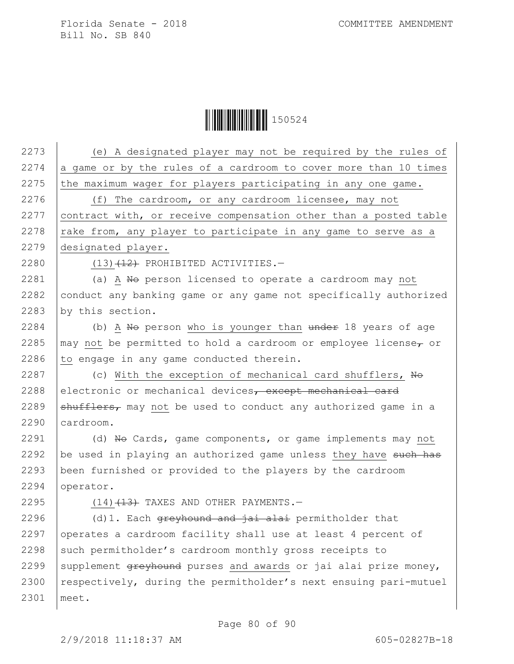**│││││││││││││││││** 150524

 (e) A designated player may not be required by the rules of 2274 a game or by the rules of a cardroom to cover more than 10 times the maximum wager for players participating in any one game. 2276 (f) The cardroom, or any cardroom licensee, may not 2277 | contract with, or receive compensation other than a posted table  $\vert$  rake from, any player to participate in any game to serve as a designated player.  $(13)$   $(12)$  PROHIBITED ACTIVITIES. 2281 (a) A No person licensed to operate a cardroom may not  $\vert$  conduct any banking game or any game not specifically authorized by this section. 2284 (b) A No person who is younger than  $\frac{1}{4}$  who is  $\frac{1}{4}$  who  $\frac{1}{4}$  who  $\frac{1}{4}$  who  $\frac{1}{4}$  who is younger than  $\frac{1}{4}$  who  $\frac{1}{4}$  years of age  $\mu$  may not be permitted to hold a cardroom or employee license, or to engage in any game conducted therein.  $\vert$  (c) With the exception of mechanical card shufflers, No 2288 electronic or mechanical devices, except mechanical card  $\beta$  shufflers, may not be used to conduct any authorized game in a cardroom.  $\vert$  (d) No Cards, game components, or game implements may not  $\vert$  be used in playing an authorized game unless they have such has been furnished or provided to the players by the cardroom operator.  $(14)$   $(13)$  TAXES AND OTHER PAYMENTS.  $\vert$  (d)1. Each <del>greyhound and jai alai</del> permitholder that 2297 operates a cardroom facility shall use at least 4 percent of 2298 such permitholder's cardroom monthly gross receipts to 2299 | supplement  $q$ reyhound purses and awards or jai alai prize money, 2300 respectively, during the permitholder's next ensuing pari-mutuel 2301 meet.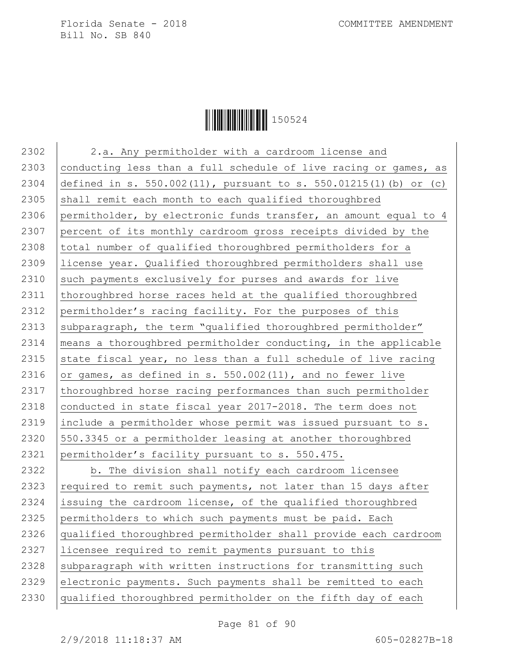

2302 | 2.a. Any permitholder with a cardroom license and 2303 conducting less than a full schedule of live racing or games, as 2304 defined in s. 550.002(11), pursuant to s. 550.01215(1)(b) or (c)  $2305$  shall remit each month to each qualified thoroughbred 2306 permitholder, by electronic funds transfer, an amount equal to 4 2307 percent of its monthly cardroom gross receipts divided by the 2308 total number of qualified thoroughbred permitholders for a 2309 license year. Qualified thoroughbred permitholders shall use 2310 such payments exclusively for purses and awards for live 2311 thoroughbred horse races held at the qualified thoroughbred 2312 permitholder's racing facility. For the purposes of this 2313 | subparagraph, the term "qualified thoroughbred permitholder" 2314 | means a thoroughbred permitholder conducting, in the applicable 2315 state fiscal year, no less than a full schedule of live racing 2316 or games, as defined in s.  $550.002(11)$ , and no fewer live 2317 thoroughbred horse racing performances than such permitholder 2318 conducted in state fiscal year 2017-2018. The term does not 2319 include a permitholder whose permit was issued pursuant to s.  $2320$  550.3345 or a permitholder leasing at another thoroughbred 2321 permitholder's facility pursuant to s. 550.475. 2322 b. The division shall notify each cardroom licensee 2323 required to remit such payments, not later than 15 days after 2324 issuing the cardroom license, of the qualified thoroughbred 2325 permitholders to which such payments must be paid. Each 2326 qualified thoroughbred permitholder shall provide each cardroom 2327 licensee required to remit payments pursuant to this  $2328$  subparagraph with written instructions for transmitting such 2329 electronic payments. Such payments shall be remitted to each 2330 qualified thoroughbred permitholder on the fifth day of each

Page 81 of 90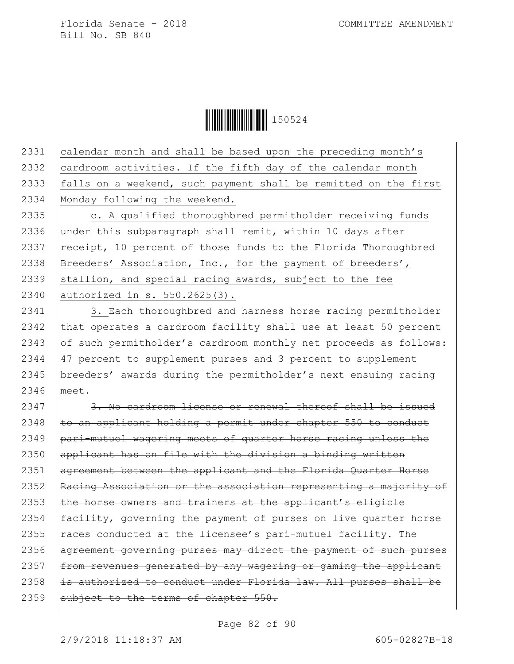Ì150524}Î150524

 calendar month and shall be based upon the preceding month's  $\vert$  cardroom activities. If the fifth day of the calendar month falls on a weekend, such payment shall be remitted on the first Monday following the weekend.

2335 | c. A qualified thoroughbred permitholder receiving funds 2336 under this subparagraph shall remit, within 10 days after 2337  $recipt, 10 percent of those funds to the Florida Thoroughbred$ 2338 | Breeders' Association, Inc., for the payment of breeders', 2339 stallion, and special racing awards, subject to the fee 2340 authorized in s. 550.2625(3).

2341 | 3. Each thoroughbred and harness horse racing permitholder 2342  $\vert$  that operates a cardroom facility shall use at least 50 percent 2343 of such permitholder's cardroom monthly net proceeds as follows: 2344 47 percent to supplement purses and 3 percent to supplement 2345 breeders' awards during the permitholder's next ensuing racing 2346 meet.

  $\frac{3. No\ cardroom\ license or\ renewal\ thereof\ shall\ be\ issued.}$   $\pm$ o an applicant holding a permit under chapter 550 to conduct 2349 | pari-mutuel wagering meets of quarter horse racing unless the applicant has on file with the division a binding written agreement between the applicant and the Florida Quarter Horse 2352 Racing Association or the association representing a majority of  $\vert$  the horse owners and trainers at the applicant's eligible | facility, governing the payment of purses on live quarter horse  $\vert$  races conducted at the licensee's pari-mutuel facility. The 2356 agreement governing purses may direct the payment of such purses  $f$  from revenues generated by any wagering or gaming the applicant  $\vert$  is authorized to conduct under Florida law. All purses shall be subject to the terms of chapter  $550.$ 

Page 82 of 90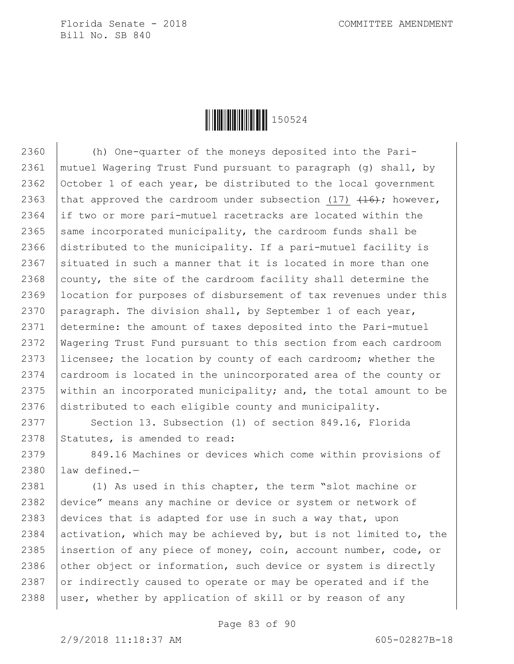

 (h) One-quarter of the moneys deposited into the Pari- mutuel Wagering Trust Fund pursuant to paragraph (g) shall, by October 1 of each year, be distributed to the local government 2363 that approved the cardroom under subsection (17)  $(16)$ ; however, if two or more pari-mutuel racetracks are located within the same incorporated municipality, the cardroom funds shall be distributed to the municipality. If a pari-mutuel facility is 2367 situated in such a manner that it is located in more than one 2368 county, the site of the cardroom facility shall determine the location for purposes of disbursement of tax revenues under this paragraph. The division shall, by September 1 of each year, determine: the amount of taxes deposited into the Pari-mutuel Wagering Trust Fund pursuant to this section from each cardroom licensee; the location by county of each cardroom; whether the 2374 cardroom is located in the unincorporated area of the county or 2375 | within an incorporated municipality; and, the total amount to be distributed to each eligible county and municipality.

2377 Section 13. Subsection (1) of section 849.16, Florida  $2378$  Statutes, is amended to read:

2379 | 849.16 Machines or devices which come within provisions of 2380 law defined.—

2381 | (1) As used in this chapter, the term "slot machine or 2382 device" means any machine or device or system or network of 2383 devices that is adapted for use in such a way that, upon 2384 activation, which may be achieved by, but is not limited to, the 2385 insertion of any piece of money, coin, account number, code, or 2386 other object or information, such device or system is directly 2387 or indirectly caused to operate or may be operated and if the 2388 | user, whether by application of skill or by reason of any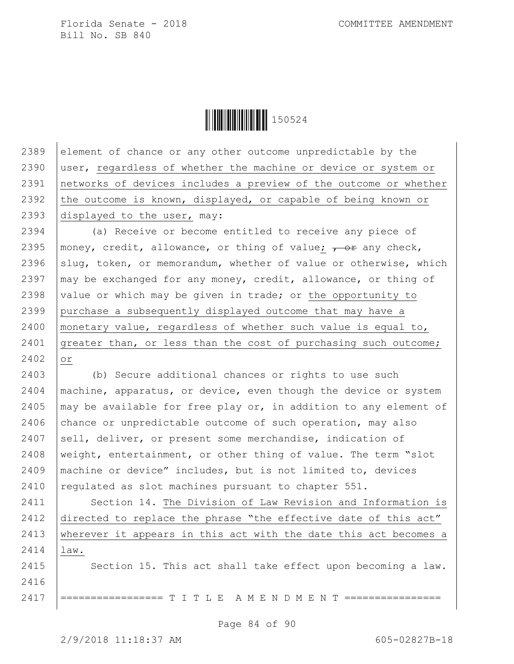**|| || || || || || || || || || || || ||** 150524

2389 element of chance or any other outcome unpredictable by the 2390 user, regardless of whether the machine or device or system or 2391 networks of devices includes a preview of the outcome or whether 2392 the outcome is known, displayed, or capable of being known or 2393 displayed to the user, may:

2394 (a) Receive or become entitled to receive any piece of 2395 | money, credit, allowance, or thing of value;  $\frac{1}{100}$  any check, 2396  $\vert$ slug, token, or memorandum, whether of value or otherwise, which 2397  $\vert$  may be exchanged for any money, credit, allowance, or thing of 2398 value or which may be given in trade; or the opportunity to 2399 purchase a subsequently displayed outcome that may have a 2400 monetary value, regardless of whether such value is equal to, 2401 greater than, or less than the cost of purchasing such outcome; 2402 or

 (b) Secure additional chances or rights to use such machine, apparatus, or device, even though the device or system  $\vert$  may be available for free play or, in addition to any element of chance or unpredictable outcome of such operation, may also sell, deliver, or present some merchandise, indication of weight, entertainment, or other thing of value. The term "slot machine or device" includes, but is not limited to, devices  $\vert$  regulated as slot machines pursuant to chapter 551.

2411 | Section 14. The Division of Law Revision and Information is 2412 directed to replace the phrase "the effective date of this act" 2413 | wherever it appears in this act with the date this act becomes a 2414 law. 2415 Section 15. This act shall take effect upon becoming a law. 2416

2417 |================ T I T L E A M E N D M E N T ===========

Page 84 of 90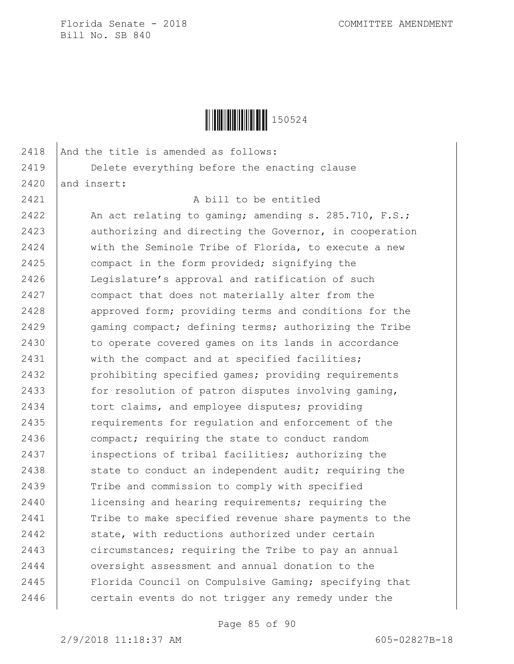

| 2418 | And the title is amended as follows:                   |
|------|--------------------------------------------------------|
| 2419 | Delete everything before the enacting clause           |
| 2420 | and insert:                                            |
| 2421 | A bill to be entitled                                  |
| 2422 | An act relating to gaming; amending s. 285.710, F.S.;  |
| 2423 | authorizing and directing the Governor, in cooperation |
| 2424 | with the Seminole Tribe of Florida, to execute a new   |
| 2425 | compact in the form provided; signifying the           |
| 2426 | Legislature's approval and ratification of such        |
| 2427 | compact that does not materially alter from the        |
| 2428 | approved form; providing terms and conditions for the  |
| 2429 | gaming compact; defining terms; authorizing the Tribe  |
| 2430 | to operate covered games on its lands in accordance    |
| 2431 | with the compact and at specified facilities;          |
| 2432 | prohibiting specified games; providing requirements    |
| 2433 | for resolution of patron disputes involving gaming,    |
| 2434 | tort claims, and employee disputes; providing          |
| 2435 | requirements for regulation and enforcement of the     |
| 2436 | compact; requiring the state to conduct random         |
| 2437 | inspections of tribal facilities; authorizing the      |
| 2438 | state to conduct an independent audit; requiring the   |
| 2439 | Tribe and commission to comply with specified          |
| 2440 | licensing and hearing requirements; requiring the      |
| 2441 | Tribe to make specified revenue share payments to the  |
| 2442 | state, with reductions authorized under certain        |
| 2443 | circumstances; requiring the Tribe to pay an annual    |
| 2444 | oversight assessment and annual donation to the        |
| 2445 | Florida Council on Compulsive Gaming; specifying that  |
| 2446 | certain events do not trigger any remedy under the     |
|      |                                                        |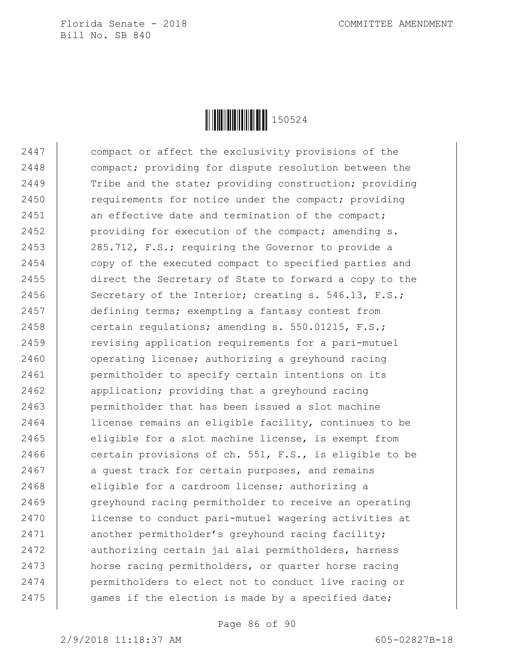

2447 compact or affect the exclusivity provisions of the 2448 compact; providing for dispute resolution between the 2449 Tribe and the state; providing construction; providing 2450 **requirements for notice under the compact; providing** 2451 an effective date and termination of the compact; 2452 providing for execution of the compact; amending s. 2453 285.712, F.S.; requiring the Governor to provide a 2454 copy of the executed compact to specified parties and 2455 direct the Secretary of State to forward a copy to the 2456 Secretary of the Interior; creating s. 546.13, F.S.; 2457 defining terms; exempting a fantasy contest from 2458 certain regulations; amending s. 550.01215, F.S.; 2459 **revising application requirements for a pari-mutuel** 2460 | operating license; authorizing a greyhound racing 2461 | permitholder to specify certain intentions on its 2462 **application;** providing that a greyhound racing 2463 permitholder that has been issued a slot machine 2464 license remains an eligible facility, continues to be 2465 eliqible for a slot machine license, is exempt from 2466 certain provisions of ch. 551, F.S., is eligible to be 2467 a guest track for certain purposes, and remains 2468 eligible for a cardroom license; authorizing a 2469 greyhound racing permitholder to receive an operating 2470 license to conduct pari-mutuel wagering activities at 2471 another permitholder's greyhound racing facility; 2472 authorizing certain jai alai permitholders, harness 2473 horse racing permitholders, or quarter horse racing 2474 permitholders to elect not to conduct live racing or 2475 games if the election is made by a specified date;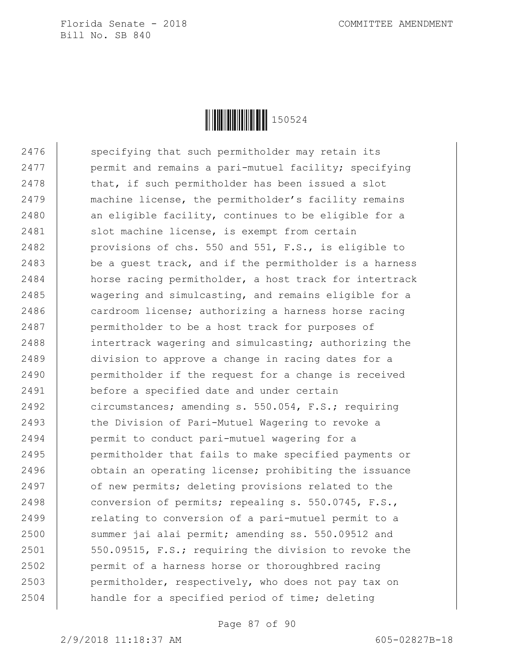

2476 specifying that such permitholder may retain its 2477 **permit and remains a pari-mutuel facility;** specifying 2478 | that, if such permitholder has been issued a slot 2479 | machine license, the permitholder's facility remains 2480 an eligible facility, continues to be eligible for a 2481 Slot machine license, is exempt from certain 2482 **provisions of chs. 550 and 551, F.S., is eligible to** 2483 be a quest track, and if the permitholder is a harness 2484 horse racing permitholder, a host track for intertrack 2485 wagering and simulcasting, and remains eligible for a 2486 cardroom license; authorizing a harness horse racing 2487 permitholder to be a host track for purposes of 2488 intertrack wagering and simulcasting; authorizing the 2489 division to approve a change in racing dates for a 2490 **permitholder if the request for a change is received** 2491 before a specified date and under certain 2492 circumstances; amending s. 550.054, F.S.; requiring 2493 the Division of Pari-Mutuel Wagering to revoke a 2494 permit to conduct pari-mutuel wagering for a 2495 permitholder that fails to make specified payments or 2496 **buding** obtain an operating license; prohibiting the issuance 2497 of new permits; deleting provisions related to the 2498 conversion of permits; repealing s. 550.0745, F.S., 2499 | relating to conversion of a pari-mutuel permit to a 2500 summer jai alai permit; amending ss. 550.09512 and 2501 | 550.09515, F.S.; requiring the division to revoke the 2502 permit of a harness horse or thoroughbred racing 2503 permitholder, respectively, who does not pay tax on 2504 handle for a specified period of time; deleting

Page 87 of 90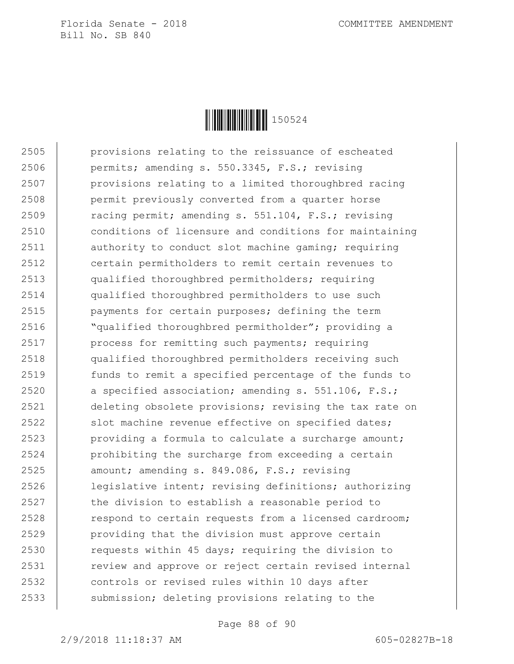

 provisions relating to the reissuance of escheated permits; amending s. 550.3345, F.S.; revising provisions relating to a limited thoroughbred racing permit previously converted from a quarter horse 2509 Tacing permit; amending s. 551.104, F.S.; revising conditions of licensure and conditions for maintaining 2511 authority to conduct slot machine gaming; requiring certain permitholders to remit certain revenues to qualified thoroughbred permitholders; requiring qualified thoroughbred permitholders to use such payments for certain purposes; defining the term "qualified thoroughbred permitholder"; providing a 2517 | process for remitting such payments; requiring qualified thoroughbred permitholders receiving such funds to remit a specified percentage of the funds to  $\vert$  a specified association; amending s. 551.106, F.S.; deleting obsolete provisions; revising the tax rate on 2522 slot machine revenue effective on specified dates;  $\vert$  providing a formula to calculate a surcharge amount; 2524 | prohibiting the surcharge from exceeding a certain 2525 amount; amending s. 849.086, F.S.; revising legislative intent; revising definitions; authorizing 2527 the division to establish a reasonable period to 2528 respond to certain requests from a licensed cardroom; providing that the division must approve certain 2530 requests within 45 days; requiring the division to 2531 | review and approve or reject certain revised internal controls or revised rules within 10 days after 2533 Submission; deleting provisions relating to the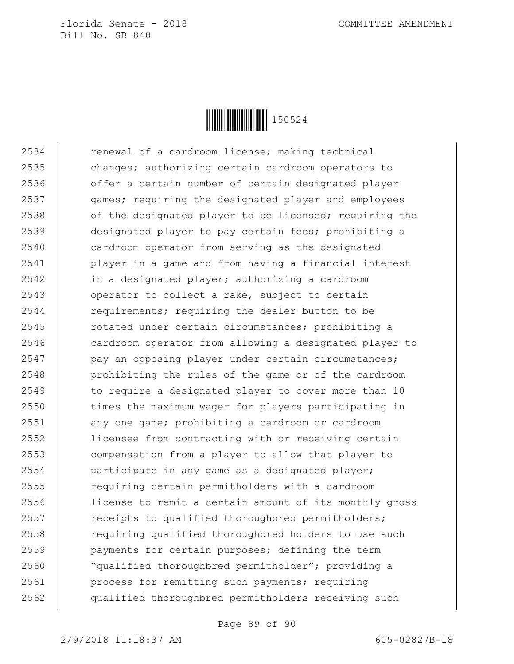

2534 renewal of a cardroom license; making technical 2535 changes; authorizing certain cardroom operators to 2536 offer a certain number of certain designated player 2537 games; requiring the designated player and employees 2538 of the designated player to be licensed; requiring the 2539 designated player to pay certain fees; prohibiting a 2540 cardroom operator from serving as the designated 2541 player in a game and from having a financial interest 2542 in a designated player; authorizing a cardroom 2543 operator to collect a rake, subject to certain 2544 requirements; requiring the dealer button to be 2545 contacted under certain circumstances; prohibiting a 2546 cardroom operator from allowing a designated player to 2547 | pay an opposing player under certain circumstances; 2548 | prohibiting the rules of the game or of the cardroom 2549 to require a designated player to cover more than 10 2550 times the maximum wager for players participating in 2551 any one game; prohibiting a cardroom or cardroom 2552 licensee from contracting with or receiving certain 2553 compensation from a player to allow that player to 2554 participate in any game as a designated player; 2555 requiring certain permitholders with a cardroom 2556 license to remit a certain amount of its monthly gross 2557 The receipts to qualified thoroughbred permitholders; 2558 **requiring qualified thoroughbred holders to use such** 2559 payments for certain purposes; defining the term 2560 **We**qualified thoroughbred permitholder"; providing a 2561 process for remitting such payments; requiring 2562 qualified thoroughbred permitholders receiving such